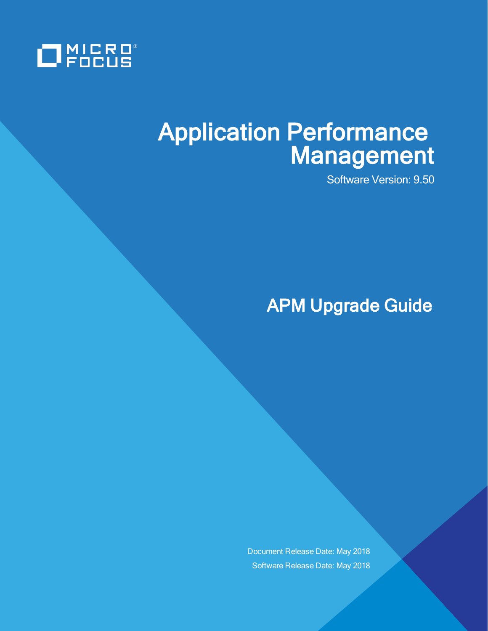

# Application Performance Management

Software Version: 9.50

APM Upgrade Guide

Document Release Date: May 2018 Software Release Date: May 2018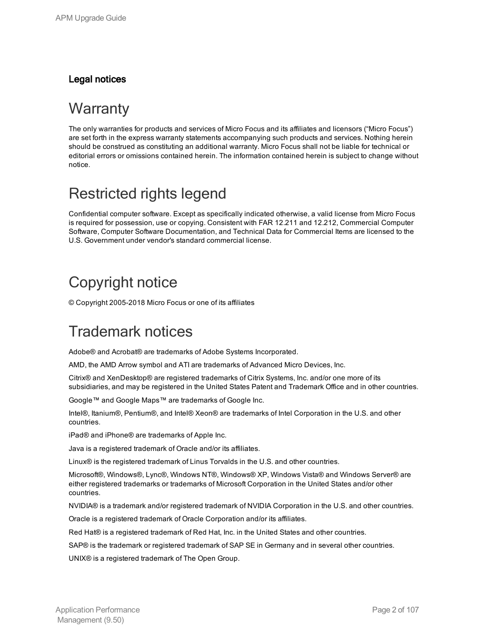### Legal notices

### **Warranty**

The only warranties for products and services of Micro Focus and its affiliates and licensors ("Micro Focus") are set forth in the express warranty statements accompanying such products and services. Nothing herein should be construed as constituting an additional warranty. Micro Focus shall not be liable for technical or editorial errors or omissions contained herein. The information contained herein is subject to change without notice.

## Restricted rights legend

Confidential computer software. Except as specifically indicated otherwise, a valid license from Micro Focus is required for possession, use or copying. Consistent with FAR 12.211 and 12.212, Commercial Computer Software, Computer Software Documentation, and Technical Data for Commercial Items are licensed to the U.S. Government under vendor's standard commercial license.

## Copyright notice

© Copyright 2005-2018 Micro Focus or one of its affiliates

## Trademark notices

Adobe® and Acrobat® are trademarks of Adobe Systems Incorporated.

AMD, the AMD Arrow symbol and ATI are trademarks of Advanced Micro Devices, Inc.

Citrix® and XenDesktop® are registered trademarks of Citrix Systems, Inc. and/or one more of its subsidiaries, and may be registered in the United States Patent and Trademark Office and in other countries.

Google™ and Google Maps™ are trademarks of Google Inc.

Intel®, Itanium®, Pentium®, and Intel® Xeon® are trademarks of Intel Corporation in the U.S. and other countries.

iPad® and iPhone® are trademarks of Apple Inc.

Java is a registered trademark of Oracle and/or its affiliates.

Linux® is the registered trademark of Linus Torvalds in the U.S. and other countries.

Microsoft®, Windows®, Lync®, Windows NT®, Windows® XP, Windows Vista® and Windows Server® are either registered trademarks or trademarks of Microsoft Corporation in the United States and/or other countries.

NVIDIA® is a trademark and/or registered trademark of NVIDIA Corporation in the U.S. and other countries.

Oracle is a registered trademark of Oracle Corporation and/or its affiliates.

Red Hat® is a registered trademark of Red Hat, Inc. in the United States and other countries.

SAP® is the trademark or registered trademark of SAP SE in Germany and in several other countries.

UNIX® is a registered trademark of The Open Group.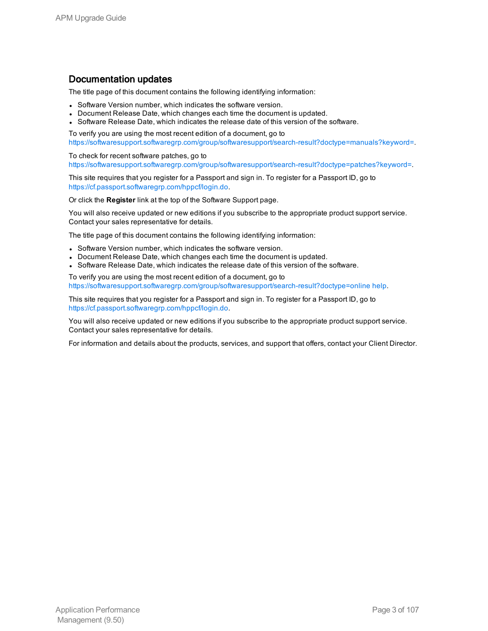### Documentation updates

The title page of this document contains the following identifying information:

- Software Version number, which indicates the software version.
- Document Release Date, which changes each time the document is updated.
- Software Release Date, which indicates the release date of this version of the software.

To verify you are using the most recent edition of a document, go to [https://softwaresupport.softwaregrp.com/group/softwaresupport/search-result?doctype=manuals?keyword=.](https://softwaresupport.softwaregrp.com/group/softwaresupport/search-result?doctype=manuals?keyword=)

To check for recent software patches, go to [https://softwaresupport.softwaregrp.com/group/softwaresupport/search-result?doctype=patches?keyword=.](https://softwaresupport.softwaregrp.com/group/softwaresupport/search-result?doctype=patches?keyword=)

This site requires that you register for a Passport and sign in. To register for a Passport ID, go to <https://cf.passport.softwaregrp.com/hppcf/login.do>.

Or click the **Register** link at the top of the Software Support page.

You will also receive updated or new editions if you subscribe to the appropriate product support service. Contact your sales representative for details.

The title page of this document contains the following identifying information:

- Software Version number, which indicates the software version.
- Document Release Date, which changes each time the document is updated.
- Software Release Date, which indicates the release date of this version of the software.

To verify you are using the most recent edition of a document, go to [https://softwaresupport.softwaregrp.com/group/softwaresupport/search-result?doctype=online](https://softwaresupport.softwaregrp.com/group/softwaresupport/search-result?doctype=online help) help.

This site requires that you register for a Passport and sign in. To register for a Passport ID, go to <https://cf.passport.softwaregrp.com/hppcf/login.do>.

You will also receive updated or new editions if you subscribe to the appropriate product support service. Contact your sales representative for details.

For information and details about the products, services, and support that offers, contact your Client Director.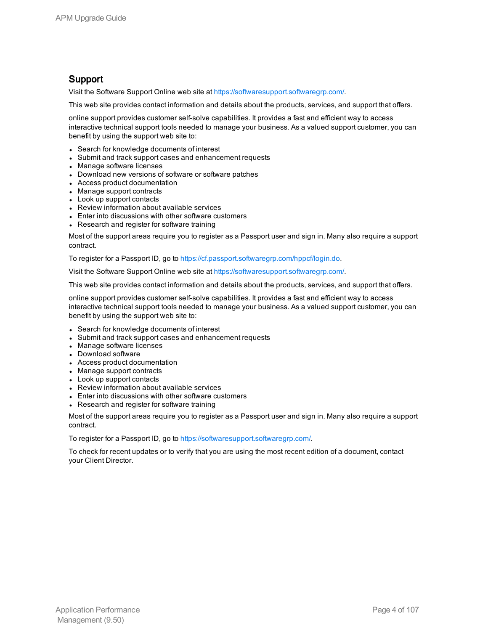### Support

Visit the Software Support Online web site at <https://softwaresupport.softwaregrp.com/>.

This web site provides contact information and details about the products, services, and support that offers.

online support provides customer self-solve capabilities. It provides a fast and efficient way to access interactive technical support tools needed to manage your business. As a valued support customer, you can benefit by using the support web site to:

- Search for knowledge documents of interest
- Submit and track support cases and enhancement requests
- Manage software licenses
- Download new versions of software or software patches
- Access product documentation
- Manage support contracts
- Look up support contacts
- Review information about available services
- Enter into discussions with other software customers
- Research and register for software training

Most of the support areas require you to register as a Passport user and sign in. Many also require a support contract.

To register for a Passport ID, go to [https://cf.passport.softwaregrp.com/hppcf/login.do.](https://cf.passport.softwaregrp.com/hppcf/login.do)

Visit the Software Support Online web site at <https://softwaresupport.softwaregrp.com/>.

This web site provides contact information and details about the products, services, and support that offers.

online support provides customer self-solve capabilities. It provides a fast and efficient way to access interactive technical support tools needed to manage your business. As a valued support customer, you can benefit by using the support web site to:

- Search for knowledge documents of interest
- Submit and track support cases and enhancement requests
- Manage software licenses
- Download software
- Access product documentation
- Manage support contracts
- Look up support contacts
- Review information about available services
- Enter into discussions with other software customers
- Research and register for software training

Most of the support areas require you to register as a Passport user and sign in. Many also require a support contract.

To register for a Passport ID, go to <https://softwaresupport.softwaregrp.com/>.

To check for recent updates or to verify that you are using the most recent edition of a document, contact your Client Director.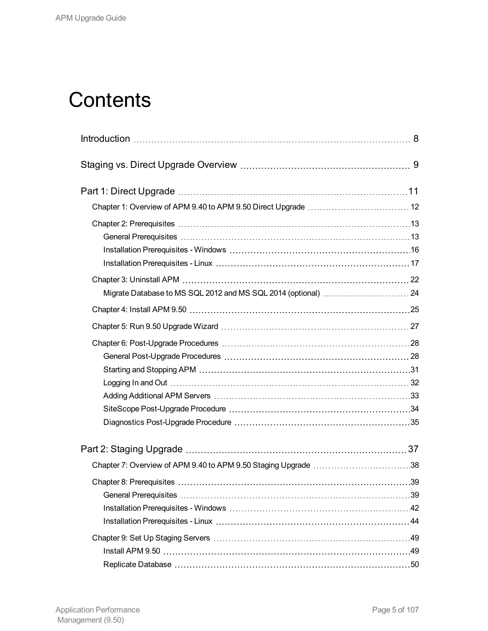# **Contents**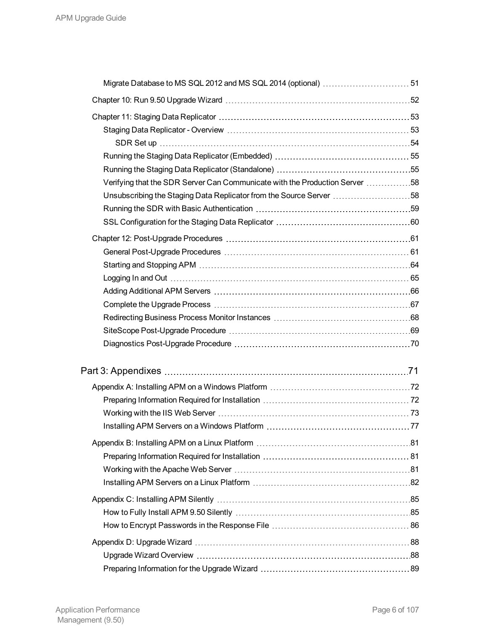| Verifying that the SDR Server Can Communicate with the Production Server 58 |  |
|-----------------------------------------------------------------------------|--|
| Unsubscribing the Staging Data Replicator from the Source Server 58         |  |
|                                                                             |  |
|                                                                             |  |
|                                                                             |  |
|                                                                             |  |
|                                                                             |  |
|                                                                             |  |
|                                                                             |  |
|                                                                             |  |
|                                                                             |  |
|                                                                             |  |
|                                                                             |  |
|                                                                             |  |
|                                                                             |  |
|                                                                             |  |
|                                                                             |  |
|                                                                             |  |
|                                                                             |  |
|                                                                             |  |
|                                                                             |  |
|                                                                             |  |
|                                                                             |  |
|                                                                             |  |
|                                                                             |  |
|                                                                             |  |
|                                                                             |  |
|                                                                             |  |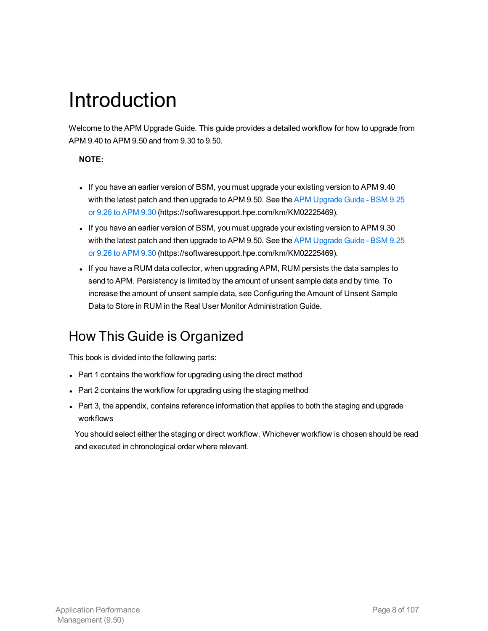# <span id="page-7-0"></span>Introduction

Welcome to the APM Upgrade Guide. This guide provides a detailed workflow for how to upgrade from APM 9.40 to APM 9.50 and from 9.30 to 9.50.

### **NOTE:**

- If you have an earlier version of BSM, you must upgrade your existing version to APM 9.40 with the latest patch and then upgrade to APM 9.50. See the APM [Upgrade](https://softwaresupport.hpe.com/km/KM02225469) Guide - BSM 9.25 or 9.26 to [APM](https://softwaresupport.hpe.com/km/KM02225469) 9.30 (https://softwaresupport.hpe.com/km/KM02225469).
- If you have an earlier version of BSM, you must upgrade your existing version to APM 9.30 with the latest patch and then upgrade to APM 9.50. See the APM [Upgrade](https://softwaresupport.hpe.com/km/KM02225469) Guide - BSM 9.25 or 9.26 to [APM](https://softwaresupport.hpe.com/km/KM02225469) 9.30 (https://softwaresupport.hpe.com/km/KM02225469).
- If you have a RUM data collector, when upgrading APM, RUM persists the data samples to send to APM. Persistency is limited by the amount of unsent sample data and by time. To increase the amount of unsent sample data, see Configuring the Amount of Unsent Sample Data to Store in RUM in the Real User Monitor Administration Guide.

### How This Guide is Organized

This book is divided into the following parts:

- Part 1 contains the workflow for upgrading using the direct method
- Part 2 contains the workflow for upgrading using the staging method
- Part 3, the appendix, contains reference information that applies to both the staging and upgrade workflows

You should select either the staging or direct workflow. Whichever workflow is chosen should be read and executed in chronological order where relevant.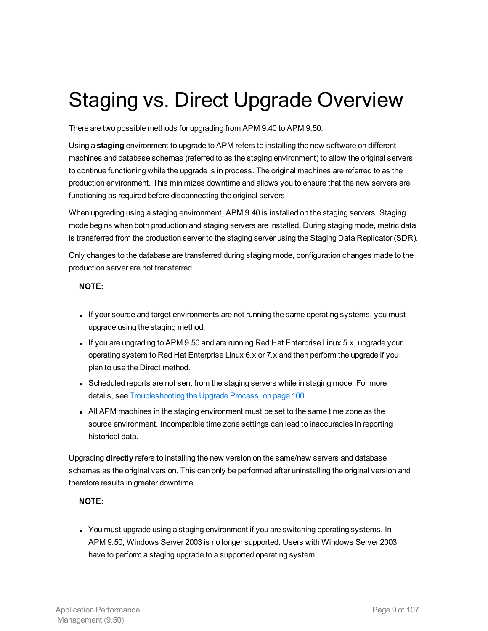# <span id="page-8-0"></span>Staging vs. Direct Upgrade Overview

There are two possible methods for upgrading from APM 9.40 to APM 9.50.

Using a **staging** environment to upgrade to APM refers to installing the new software on different machines and database schemas (referred to as the staging environment) to allow the original servers to continue functioning while the upgrade is in process. The original machines are referred to as the production environment. This minimizes downtime and allows you to ensure that the new servers are functioning as required before disconnecting the original servers.

When upgrading using a staging environment, APM 9.40 is installed on the staging servers. Staging mode begins when both production and staging servers are installed. During staging mode, metric data is transferred from the production server to the staging server using the Staging Data Replicator (SDR).

Only changes to the database are transferred during staging mode, configuration changes made to the production server are not transferred.

### **NOTE:**

- If your source and target environments are not running the same operating systems, you must upgrade using the staging method.
- If you are upgrading to APM 9.50 and are running Red Hat Enterprise Linux 5.x, upgrade your operating system to Red Hat Enterprise Linux 6.x or 7.x and then perform the upgrade if you plan to use the Direct method.
- Scheduled reports are not sent from the staging servers while in staging mode. For more details, see [Troubleshooting](#page-99-1) the Upgrade Process, on page 100.
- All APM machines in the staging environment must be set to the same time zone as the source environment. Incompatible time zone settings can lead to inaccuracies in reporting historical data.

Upgrading **directly** refers to installing the new version on the same/new servers and database schemas as the original version. This can only be performed after uninstalling the original version and therefore results in greater downtime.

### **NOTE:**

• You must upgrade using a staging environment if you are switching operating systems. In APM 9.50, Windows Server 2003 is no longer supported. Users with Windows Server 2003 have to perform a staging upgrade to a supported operating system.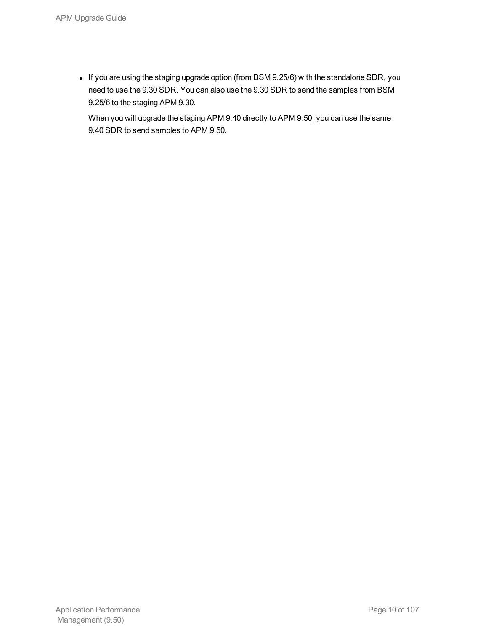• If you are using the staging upgrade option (from BSM 9.25/6) with the standalone SDR, you need to use the 9.30 SDR. You can also use the 9.30 SDR to send the samples from BSM 9.25/6 to the staging APM 9.30.

When you will upgrade the staging APM 9.40 directly to APM 9.50, you can use the same 9.40 SDR to send samples to APM 9.50.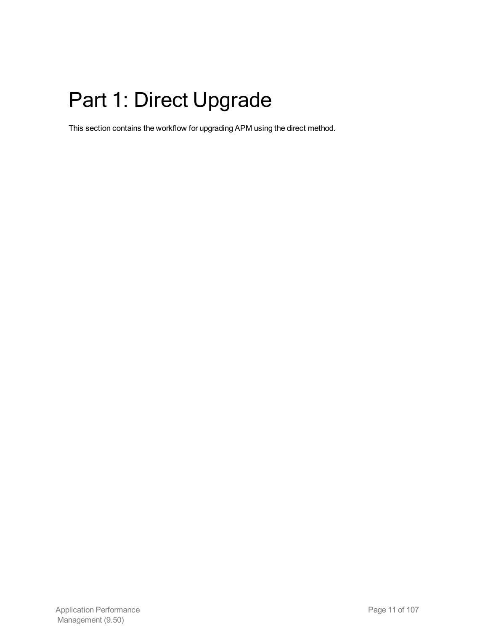# <span id="page-10-0"></span>Part 1: Direct Upgrade

This section contains the workflow for upgrading APM using the direct method.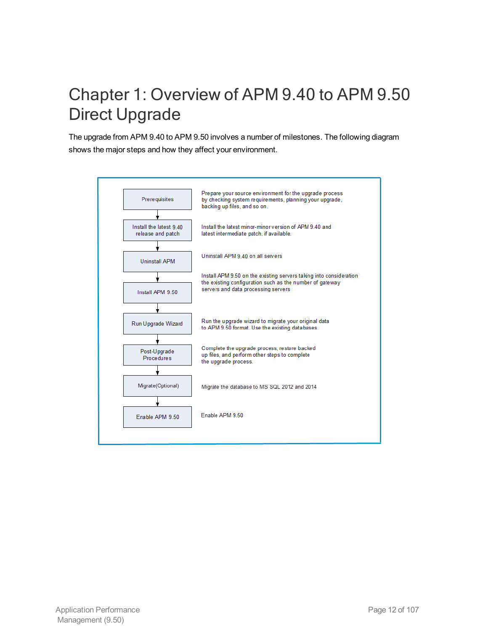## <span id="page-11-0"></span>Chapter 1: Overview of APM 9.40 to APM 9.50 Direct Upgrade

The upgrade from APM 9.40 to APM 9.50 involves a number of milestones. The following diagram shows the major steps and how they affect your environment.

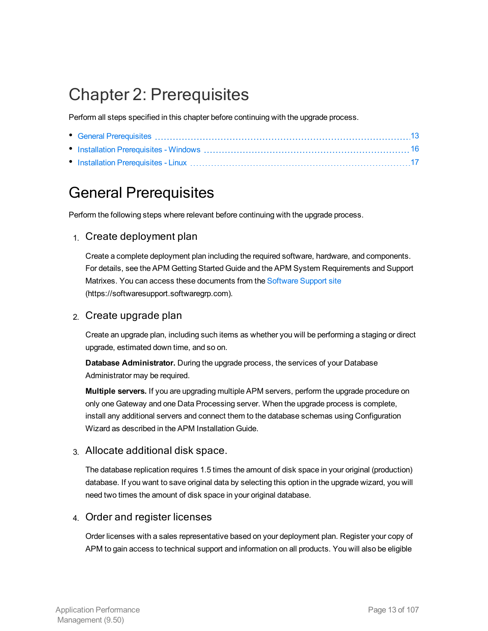## <span id="page-12-0"></span>Chapter 2: Prerequisites

Perform all steps specified in this chapter before continuing with the upgrade process.

## <span id="page-12-1"></span>General Prerequisites

Perform the following steps where relevant before continuing with the upgrade process.

### 1. Create deployment plan

Create a complete deployment plan including the required software, hardware, and components. For details, see the APM Getting Started Guide and the APM System Requirements and Support Matrixes. You can access these documents from the [Software](https://softwaresupport.hpe.com/) Support site (https://softwaresupport.softwaregrp.com).

### 2. Create upgrade plan

Create an upgrade plan, including such items as whether you will be performing a staging or direct upgrade, estimated down time, and so on.

**Database Administrator.** During the upgrade process, the services of your Database Administrator may be required.

**Multiple servers.** If you are upgrading multiple APM servers, perform the upgrade procedure on only one Gateway and one Data Processing server. When the upgrade process is complete, install any additional servers and connect them to the database schemas using Configuration Wizard as described in the APM Installation Guide.

### 3. Allocate additional disk space.

The database replication requires 1.5 times the amount of disk space in your original (production) database. If you want to save original data by selecting this option in the upgrade wizard, you will need two times the amount of disk space in your original database.

### 4. Order and register licenses

Order licenses with a sales representative based on your deployment plan. Register your copy of APM to gain access to technical support and information on all products. You will also be eligible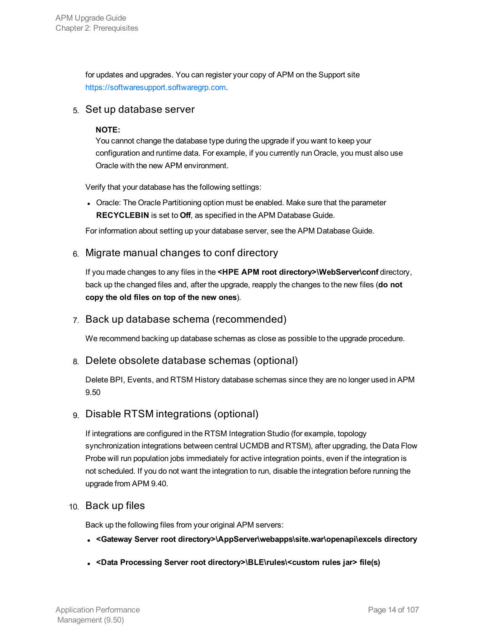for updates and upgrades. You can register your copy of APM on the Support site [https://softwaresupport.softwaregrp.com.](https://softwaresupport.softwaregrp.com/)

### 5. Set up database server

### **NOTE:**

You cannot change the database type during the upgrade if you want to keep your configuration and runtime data. For example, if you currently run Oracle, you must also use Oracle with the new APM environment.

Verify that your database has the following settings:

• Oracle: The Oracle Partitioning option must be enabled. Make sure that the parameter **RECYCLEBIN** is set to **Off**, as specified in the APM Database Guide.

For information about setting up your database server, see the APM Database Guide.

### 6. Migrate manual changes to conf directory

If you made changes to any files in the **<HPE APM root directory>\WebServer\conf** directory, back up the changed files and, after the upgrade, reapply the changes to the new files (**do not copy the old files on top of the new ones**).

### 7. Back up database schema (recommended)

We recommend backing up database schemas as close as possible to the upgrade procedure.

### 8. Delete obsolete database schemas (optional)

Delete BPI, Events, and RTSM History database schemas since they are no longer used in APM 9.50

### 9. Disable RTSM integrations (optional)

If integrations are configured in the RTSM Integration Studio (for example, topology synchronization integrations between central UCMDB and RTSM), after upgrading, the Data Flow Probe will run population jobs immediately for active integration points, even if the integration is not scheduled. If you do not want the integration to run, disable the integration before running the upgrade from APM 9.40.

### 10. Back up files

Back up the following files from your original APM servers:

- <sup>l</sup> **<Gateway Server root directory>\AppServer\webapps\site.war\openapi\excels directory**
- <sup>l</sup> **<Data Processing Server root directory>\BLE\rules\<custom rules jar> file(s)**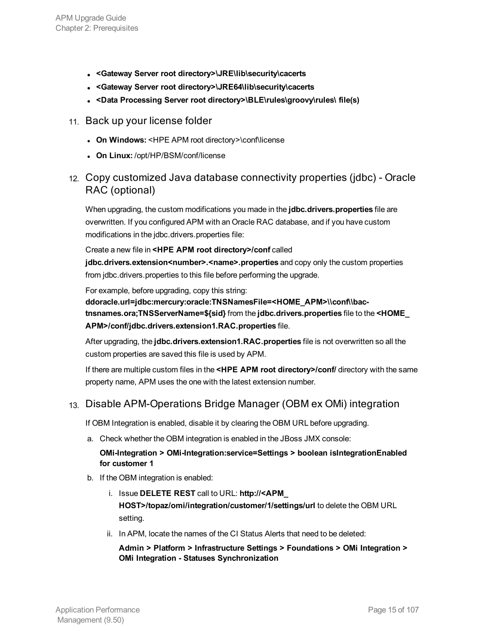- <sup>l</sup> **<Gateway Server root directory>\JRE\lib\security\cacerts**
- <sup>l</sup> **<Gateway Server root directory>\JRE64\lib\security\cacerts**
- <sup>l</sup> **<Data Processing Server root directory>\BLE\rules\groovy\rules\ file(s)**
- 11. Back up your license folder
	- <sup>l</sup> **On Windows:** <HPE APM root directory>\conf\license
	- <sup>l</sup> **On Linux:** /opt/HP/BSM/conf/license
- 12. Copy customized Java database connectivity properties (jdbc) Oracle RAC (optional)

When upgrading, the custom modifications you made in the **jdbc.drivers.properties** file are overwritten. If you configured APM with an Oracle RAC database, and if you have custom modifications in the jdbc.drivers.properties file:

Create a new file in **<HPE APM root directory>/conf** called jdbc.drivers.extension<number>.<name>.properties and copy only the custom properties from jdbc.drivers.properties to this file before performing the upgrade.

For example, before upgrading, copy this string:

ddoracle.url=jdbc:mercury:oracle:TNSNamesFile=<HOME\_APM>\\conf\\bac**tnsnames.ora;TNSServerName=\${sid}** from the **jdbc.drivers.properties** file to the **<HOME\_ APM>/conf/jdbc.drivers.extension1.RAC.properties** file.

After upgrading, the **jdbc.drivers.extension1.RAC.properties** file is not overwritten so all the custom properties are saved this file is used by APM.

If there are multiple custom files in the **<HPE APM root directory>/conf/** directory with the same property name, APM uses the one with the latest extension number.

### 13. Disable APM-Operations Bridge Manager (OBM ex OMi) integration

If OBM Integration is enabled, disable it by clearing the OBM URL before upgrading.

a. Check whether the OBM integration is enabled in the JBoss JMX console:

### **OMi-Integration > OMi-Integration:service=Settings > boolean isIntegrationEnabled for customer 1**

- b. If the OBM integration is enabled:
	- i. Issue **DELETE REST** call to URL: **http://<APM\_ HOST>/topaz/omi/integration/customer/1/settings/url** to delete the OBM URL setting.
	- ii. In APM, locate the names of the CI Status Alerts that need to be deleted:

**Admin > Platform > Infrastructure Settings > Foundations > OMi Integration > OMi Integration - Statuses Synchronization**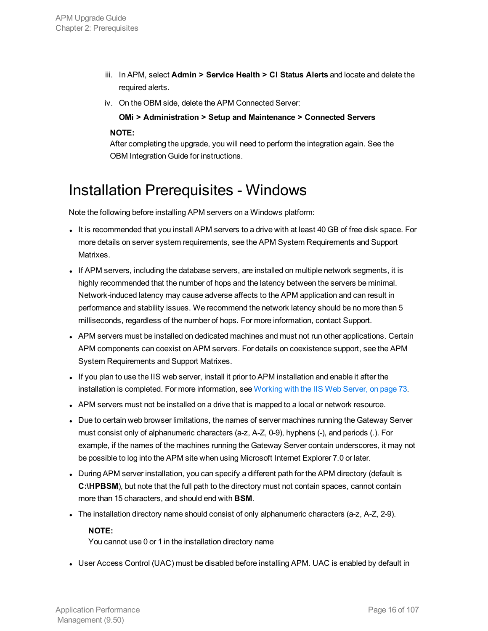- iii. In APM, select **Admin > Service Health > CI Status Alerts** and locate and delete the required alerts.
- iv. On the OBM side, delete the APM Connected Server:

**OMi > Administration > Setup and Maintenance > Connected Servers**

### **NOTE:**

After completing the upgrade, you will need to perform the integration again. See the OBM Integration Guide for instructions.

### <span id="page-15-0"></span>Installation Prerequisites - Windows

Note the following before installing APM servers on a Windows platform:

- It is recommended that you install APM servers to a drive with at least 40 GB of free disk space. For more details on server system requirements, see the APM System Requirements and Support Matrixes.
- If APM servers, including the database servers, are installed on multiple network segments, it is highly recommended that the number of hops and the latency between the servers be minimal. Network-induced latency may cause adverse affects to the APM application and can result in performance and stability issues. We recommend the network latency should be no more than 5 milliseconds, regardless of the number of hops. For more information, contact Support.
- APM servers must be installed on dedicated machines and must not run other applications. Certain APM components can coexist on APM servers. For details on coexistence support, see the APM System Requirements and Support Matrixes.
- If you plan to use the IIS web server, install it prior to APM installation and enable it after the installation is completed. For more information, see [Working](#page-72-0) with the IIS Web Server, on page 73.
- APM servers must not be installed on a drive that is mapped to a local or network resource.
- Due to certain web browser limitations, the names of server machines running the Gateway Server must consist only of alphanumeric characters (a-z, A-Z, 0-9), hyphens (-), and periods (.). For example, if the names of the machines running the Gateway Server contain underscores, it may not be possible to log into the APM site when using Microsoft Internet Explorer 7.0 or later.
- During APM server installation, you can specify a different path for the APM directory (default is **C:\HPBSM**), but note that the full path to the directory must not contain spaces, cannot contain more than 15 characters, and should end with **BSM**.
- The installation directory name should consist of only alphanumeric characters (a-z, A-Z, 2-9).

### **NOTE:**

You cannot use 0 or 1 in the installation directory name

• User Access Control (UAC) must be disabled before installing APM. UAC is enabled by default in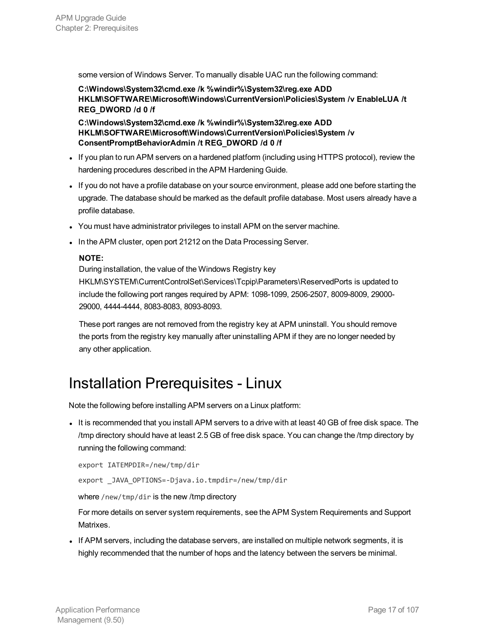some version of Windows Server. To manually disable UAC run the following command:

**C:\Windows\System32\cmd.exe /k %windir%\System32\reg.exe ADD HKLM\SOFTWARE\Microsoft\Windows\CurrentVersion\Policies\System /v EnableLUA /t REG\_DWORD /d 0 /f**

**C:\Windows\System32\cmd.exe /k %windir%\System32\reg.exe ADD HKLM\SOFTWARE\Microsoft\Windows\CurrentVersion\Policies\System /v ConsentPromptBehaviorAdmin /t REG\_DWORD /d 0 /f**

- If you plan to run APM servers on a hardened platform (including using HTTPS protocol), review the hardening procedures described in the APM Hardening Guide.
- If you do not have a profile database on your source environment, please add one before starting the upgrade. The database should be marked as the default profile database. Most users already have a profile database.
- You must have administrator privileges to install APM on the server machine.
- In the APM cluster, open port 21212 on the Data Processing Server.

### **NOTE:**

During installation, the value of the Windows Registry key

HKLM\SYSTEM\CurrentControlSet\Services\Tcpip\Parameters\ReservedPorts is updated to include the following port ranges required by APM: 1098-1099, 2506-2507, 8009-8009, 29000- 29000, 4444-4444, 8083-8083, 8093-8093.

These port ranges are not removed from the registry key at APM uninstall. You should remove the ports from the registry key manually after uninstalling APM if they are no longer needed by any other application.

### <span id="page-16-0"></span>Installation Prerequisites - Linux

Note the following before installing APM servers on a Linux platform:

It is recommended that you install APM servers to a drive with at least 40 GB of free disk space. The /tmp directory should have at least 2.5 GB of free disk space. You can change the /tmp directory by running the following command:

```
export IATEMPDIR=/new/tmp/dir
export _JAVA_OPTIONS=-Djava.io.tmpdir=/new/tmp/dir
```
where /new/tmp/dir is the new /tmp directory

For more details on server system requirements, see the APM System Requirements and Support Matrixes.

If APM servers, including the database servers, are installed on multiple network segments, it is highly recommended that the number of hops and the latency between the servers be minimal.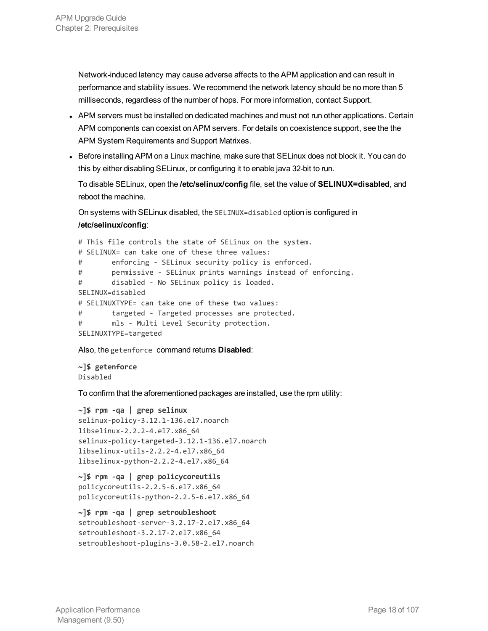Network-induced latency may cause adverse affects to the APM application and can result in performance and stability issues. We recommend the network latency should be no more than 5 milliseconds, regardless of the number of hops. For more information, contact Support.

- APM servers must be installed on dedicated machines and must not run other applications. Certain APM components can coexist on APM servers. For details on coexistence support, see the the APM System Requirements and Support Matrixes.
- Before installing APM on a Linux machine, make sure that SELinux does not block it. You can do this by either disabling SELinux, or configuring it to enable java 32-bit to run.

To disable SELinux, open the **/etc/selinux/config** file, set the value of **SELINUX=disabled**, and reboot the machine.

On systems with SELinux disabled, the SELINUX=disabled option is configured in **/etc/selinux/config**:

# This file controls the state of SELinux on the system. # SELINUX= can take one of these three values: # enforcing - SELinux security policy is enforced. # permissive - SELinux prints warnings instead of enforcing. # disabled - No SELinux policy is loaded. SELINUX=disabled # SELINUXTYPE= can take one of these two values: # targeted - Targeted processes are protected. # mls - Multi Level Security protection. SELINUXTYPE=targeted

Also, the getenforce command returns **Disabled**:

**~]\$ getenforce** Disabled

To confirm that the aforementioned packages are installed, use the rpm utility:

```
~]$ rpm -qa | grep selinux
selinux-policy-3.12.1-136.el7.noarch
libselinux-2.2.2-4.el7.x86_64
selinux-policy-targeted-3.12.1-136.el7.noarch
libselinux-utils-2.2.2-4.el7.x86_64
libselinux-python-2.2.2-4.el7.x86_64
```

```
~]$ rpm -qa | grep policycoreutils
policycoreutils-2.2.5-6.el7.x86_64
policycoreutils-python-2.2.5-6.el7.x86_64
```

```
~]$ rpm -qa | grep setroubleshoot
setroubleshoot-server-3.2.17-2.el7.x86_64
setroubleshoot-3.2.17-2.el7.x86_64
setroubleshoot-plugins-3.0.58-2.el7.noarch
```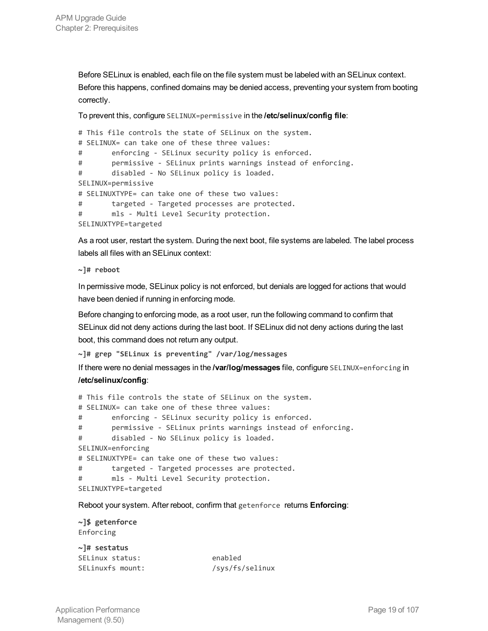Before SELinux is enabled, each file on the file system must be labeled with an SELinux context. Before this happens, confined domains may be denied access, preventing your system from booting correctly.

To prevent this, configure SELINUX=permissive in the **/etc/selinux/config file**:

```
# This file controls the state of SELinux on the system.
# SELINUX= can take one of these three values:
# enforcing - SELinux security policy is enforced.
# permissive - SELinux prints warnings instead of enforcing.
# disabled - No SELinux policy is loaded.
SELINUX=permissive
# SELINUXTYPE= can take one of these two values:
# targeted - Targeted processes are protected.
# mls - Multi Level Security protection.
SELINUXTYPE=targeted
```
As a root user, restart the system. During the next boot, file systems are labeled. The label process labels all files with an SELinux context:

**~]# reboot**

In permissive mode, SELinux policy is not enforced, but denials are logged for actions that would have been denied if running in enforcing mode.

Before changing to enforcing mode, as a root user, run the following command to confirm that SELinux did not deny actions during the last boot. If SELinux did not deny actions during the last boot, this command does not return any output.

**~]# grep "SELinux is preventing" /var/log/messages**

If there were no denial messages in the **/var/log/messages** file, configure SELINUX=enforcing in **/etc/selinux/config**:

```
# This file controls the state of SELinux on the system.
# SELINUX= can take one of these three values:
# enforcing - SELinux security policy is enforced.
# permissive - SELinux prints warnings instead of enforcing.
# disabled - No SELinux policy is loaded.
SELINUX=enforcing
# SELINUXTYPE= can take one of these two values:
# targeted - Targeted processes are protected.
# mls - Multi Level Security protection.
SELINUXTYPE=targeted
```
Reboot your system. After reboot, confirm that getenforce returns **Enforcing**:

```
~]$ getenforce
Enforcing
```

| $\sim$ ]# sestatus |                 |
|--------------------|-----------------|
| SELinux status:    | enabled         |
| SELinuxfs mount:   | /sys/fs/selinux |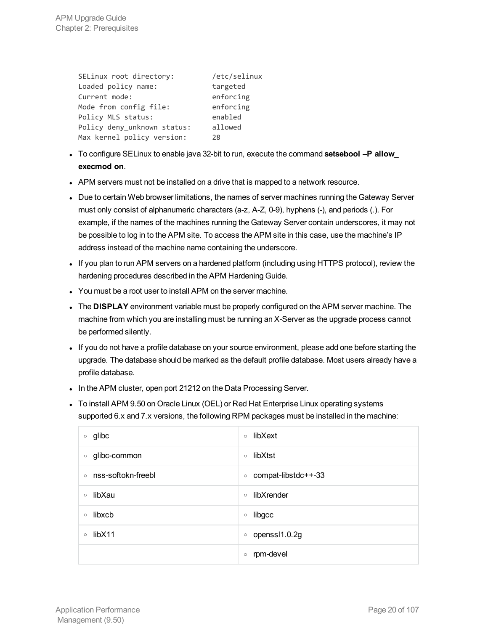| SELinux root directory:     | /etc/selinux |
|-----------------------------|--------------|
| Loaded policy name:         | targeted     |
| Current mode:               | enforcing    |
| Mode from config file:      | enforcing    |
| Policy MLS status:          | enabled      |
| Policy deny unknown status: | allowed      |
| Max kernel policy version:  | 28           |

- <sup>l</sup> To configure SELinux to enable java 32-bit to run, execute the command **setsebool –P allow\_ execmod on**.
- APM servers must not be installed on a drive that is mapped to a network resource.
- Due to certain Web browser limitations, the names of server machines running the Gateway Server must only consist of alphanumeric characters (a-z, A-Z, 0-9), hyphens (-), and periods (.). For example, if the names of the machines running the Gateway Server contain underscores, it may not be possible to log in to the APM site. To access the APM site in this case, use the machine's IP address instead of the machine name containing the underscore.
- If you plan to run APM servers on a hardened platform (including using HTTPS protocol), review the hardening procedures described in the APM Hardening Guide.
- You must be a root user to install APM on the server machine.
- <sup>l</sup> The **DISPLAY** environment variable must be properly configured on the APM server machine. The machine from which you are installing must be running an X-Server as the upgrade process cannot be performed silently.
- If you do not have a profile database on your source environment, please add one before starting the upgrade. The database should be marked as the default profile database. Most users already have a profile database.
- In the APM cluster, open port 21212 on the Data Processing Server.
- To install APM 9.50 on Oracle Linux (OEL) or Red Hat Enterprise Linux operating systems supported 6.x and 7.x versions, the following RPM packages must be installed in the machine:

| glibc              | libXext              |
|--------------------|----------------------|
| $\circ$            | $\circ$              |
| glibc-common       | libXtst              |
| $\circ$            | $\circ$              |
| nss-softokn-freebl | compat-libstdc++-33  |
| $\circ$            | $\circ$              |
| libXau             | libXrender           |
| $\circ$            | $\circ$              |
| libxcb             | libgcc               |
| $\circ$            | $\circ$              |
| libX11             | openssl1.0.2g        |
| $\circ$            | $\circ$              |
|                    | rpm-devel<br>$\circ$ |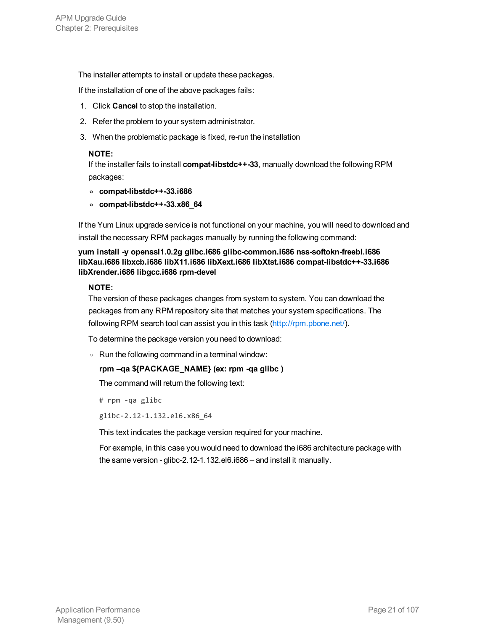The installer attempts to install or update these packages.

If the installation of one of the above packages fails:

- 1. Click **Cancel** to stop the installation.
- 2. Refer the problem to your system administrator.
- 3. When the problematic package is fixed, re-run the installation

### **NOTE:**

If the installer fails to install **compat-libstdc++-33**, manually download the following RPM packages:

- **<sup>o</sup> compat-libstdc++-33.i686**
- **<sup>o</sup> compat-libstdc++-33.x86\_64**

If the Yum Linux upgrade service is not functional on your machine, you will need to download and install the necessary RPM packages manually by running the following command:

### **yum install -y openssl1.0.2g glibc.i686 glibc-common.i686 nss-softokn-freebl.i686 libXau.i686 libxcb.i686 libX11.i686 libXext.i686 libXtst.i686 compat-libstdc++-33.i686 libXrender.i686 libgcc.i686 rpm-devel**

#### **NOTE:**

The version of these packages changes from system to system. You can download the packages from any RPM repository site that matches your system specifications. The following RPM search tool can assist you in this task [\(http://rpm.pbone.net/\)](http://rpm.pbone.net/).

To determine the package version you need to download:

<sup>o</sup> Run the following command in a terminal window:

### **rpm –qa \${PACKAGE\_NAME} (ex: rpm -qa glibc )**

The command will return the following text:

# rpm -qa glibc

glibc-2.12-1.132.el6.x86\_64

This text indicates the package version required for your machine.

For example, in this case you would need to download the i686 architecture package with the same version - glibc-2.12-1.132.el6.i686 – and install it manually.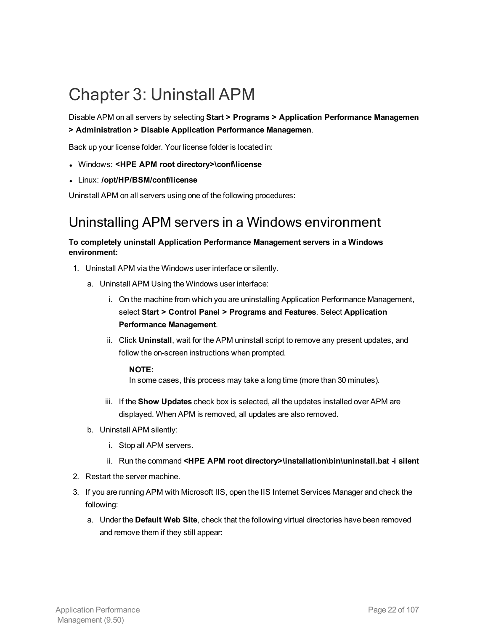## <span id="page-21-0"></span>Chapter 3: Uninstall APM

Disable APM on all servers by selecting **Start > Programs > Application Performance Managemen > Administration > Disable Application Performance Managemen**.

Back up your license folder. Your license folder is located in:

- <sup>l</sup> Windows: **<HPE APM root directory>\conf\license**
- <sup>l</sup> Linux: **/opt/HP/BSM/conf/license**

Uninstall APM on all servers using one of the following procedures:

### Uninstalling APM servers in a Windows environment

### **To completely uninstall Application Performance Management servers in a Windows environment:**

- 1. Uninstall APM via the Windows user interface or silently.
	- a. Uninstall APM Using the Windows user interface:
		- i. On the machine from which you are uninstalling Application Performance Management, select **Start > Control Panel > Programs and Features**. Select **Application Performance Management**.
		- ii. Click **Uninstall**, wait for the APM uninstall script to remove any present updates, and follow the on-screen instructions when prompted.

#### **NOTE:**

In some cases, this process may take a long time (more than 30 minutes).

- iii. If the **Show Updates** check box is selected, all the updates installed over APM are displayed. When APM is removed, all updates are also removed.
- b. Uninstall APM silently:
	- i. Stop all APM servers.
	- ii. Run the command **<HPE APM root directory>\installation\bin\uninstall.bat -i silent**
- 2. Restart the server machine.
- 3. If you are running APM with Microsoft IIS, open the IIS Internet Services Manager and check the following:
	- a. Under the **Default Web Site**, check that the following virtual directories have been removed and remove them if they still appear: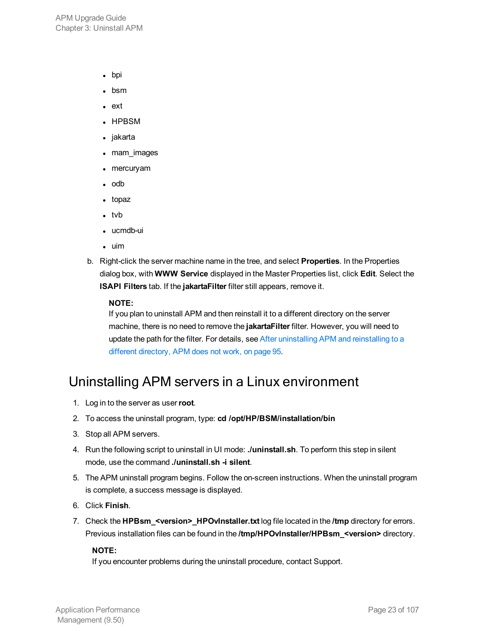APM Upgrade Guide Chapter 3: Uninstall APM

- bpi
- $\bullet$  bsm
- $ext{ }$
- $\cdot$  HPBSM
- $\bullet$  jakarta
- mam\_images
- $\bullet$  mercuryam
- $\bullet$  odb
- $\bullet$  topaz
- $\cdot$  tvb
- ucmdb-ui
- $\cdot$  uim
- b. Right-click the server machine name in the tree, and select **Properties**. In the Properties dialog box, with **WWW Service** displayed in the Master Properties list, click **Edit**. Select the **ISAPI Filters** tab. If the **jakartaFilter** filter still appears, remove it.

#### **NOTE:**

If you plan to uninstall APM and then reinstall it to a different directory on the server machine, there is no need to remove the **jakartaFilter** filter. However, you will need to update the path for the filter. For details, see After [uninstalling](#page-94-0) APM and reinstalling to a different [directory,](#page-94-0) APM does not work, on page 95.

### Uninstalling APM servers in a Linux environment

- 1. Log in to the server as user**root**.
- 2. To access the uninstall program, type: **cd /opt/HP/BSM/installation/bin**
- 3. Stop all APM servers.
- 4. Run the following script to uninstall in UI mode: **./uninstall.sh**. To perform this step in silent mode, use the command **./uninstall.sh -i silent**.
- 5. The APM uninstall program begins. Follow the on-screen instructions. When the uninstall program is complete, a success message is displayed.
- 6. Click **Finish**.
- 7. Check the **HPBsm\_<version>\_HPOvInstaller.txt** log file located in the **/tmp** directory for errors. Previous installation files can be found in the **/tmp/HPOvInstaller/HPBsm\_<version>** directory.

### **NOTE:**

If you encounter problems during the uninstall procedure, contact Support.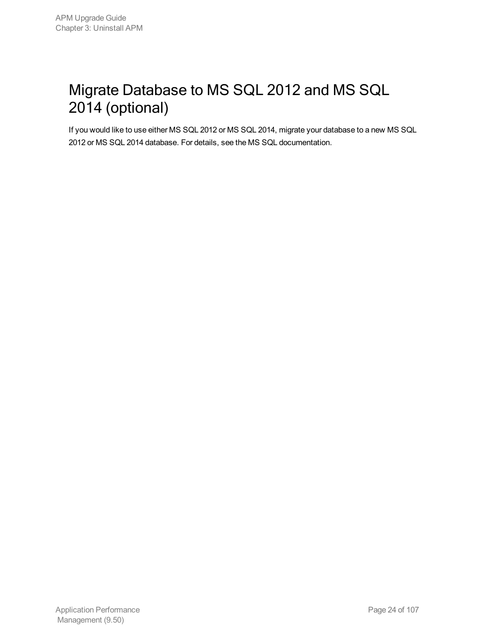## <span id="page-23-0"></span>Migrate Database to MS SQL 2012 and MS SQL 2014 (optional)

If you would like to use either MS SQL 2012 or MS SQL 2014, migrate your database to a new MS SQL 2012 or MS SQL 2014 database. For details, see the MS SQL documentation.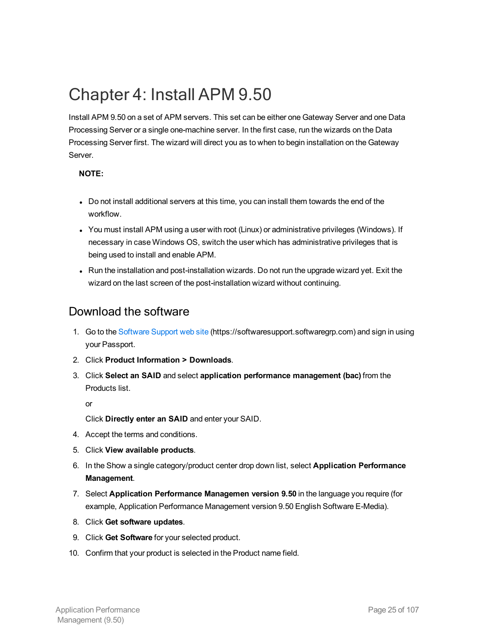## <span id="page-24-0"></span>Chapter 4: Install APM 9.50

Install APM 9.50 on a set of APM servers. This set can be either one Gateway Server and one Data Processing Server or a single one-machine server. In the first case, run the wizards on the Data Processing Server first. The wizard will direct you as to when to begin installation on the Gateway Server.

### **NOTE:**

- Do not install additional servers at this time, you can install them towards the end of the workflow.
- You must install APM using a user with root (Linux) or administrative privileges (Windows). If necessary in case Windows OS, switch the user which has administrative privileges that is being used to install and enable APM.
- Run the installation and post-installation wizards. Do not run the upgrade wizard yet. Exit the wizard on the last screen of the post-installation wizard without continuing.

### Download the software

- 1. Go to the [Software](https://softwaresupport.softwaregrp.com/) Support web site (https://softwaresupport.softwaregrp.com) and sign in using your Passport.
- 2. Click **Product Information > Downloads**.
- 3. Click **Select an SAID** and select **application performance management (bac)** from the Products list.

or

Click **Directly enter an SAID** and enter your SAID.

- 4. Accept the terms and conditions.
- 5. Click **View available products**.
- 6. In the Show a single category/product center drop down list, select **Application Performance Management**.
- 7. Select **Application Performance Managemen version 9.50** in the language you require (for example, Application Performance Management version 9.50 English Software E-Media).
- 8. Click **Get software updates**.
- 9. Click **Get Software** for your selected product.
- 10. Confirm that your product is selected in the Product name field.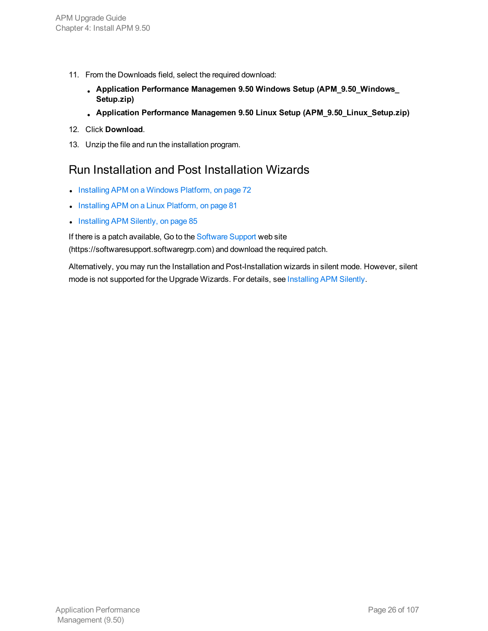- 11. From the Downloads field, select the required download:
	- <sup>l</sup> **Application Performance Managemen 9.50 Windows Setup (APM\_9.50\_Windows\_ Setup.zip)**
	- <sup>l</sup> **Application Performance Managemen 9.50 Linux Setup (APM\_9.50\_Linux\_Setup.zip)**
- 12. Click **Download**.
- 13. Unzip the file and run the installation program.

### Run Installation and Post Installation Wizards

- Installing APM on a [Windows](#page-71-0) Platform, on page 72
- Installing APM on a Linux [Platform,](#page-80-0) on page 81
- Installing [APM Silently,](#page-84-0) on page 85

If there is a patch available, Go to the [Software](https://softwaresupport.softwaregrp.com/) Support web site

(https://softwaresupport.softwaregrp.com) and download the required patch.

Alternatively, you may run the Installation and Post-Installation wizards in silent mode. However, silent mode is not supported for the Upgrade Wizards. For details, see Installing APM Silently.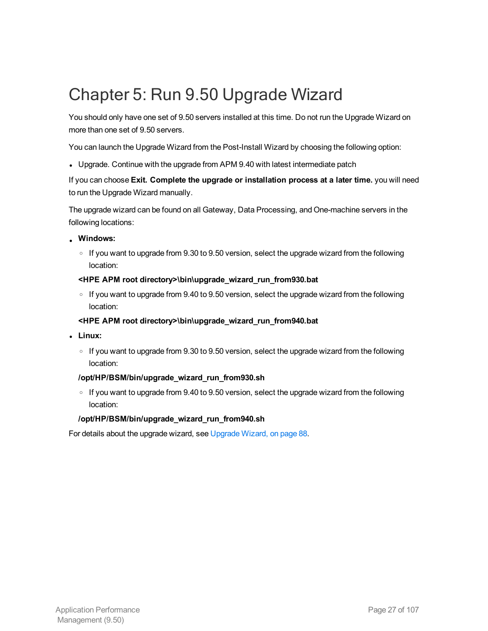## <span id="page-26-0"></span>Chapter 5: Run 9.50 Upgrade Wizard

You should only have one set of 9.50 servers installed at this time. Do not run the Upgrade Wizard on more than one set of 9.50 servers.

You can launch the Upgrade Wizard from the Post-Install Wizard by choosing the following option:

• Upgrade. Continue with the upgrade from APM 9.40 with latest intermediate patch

If you can choose **Exit. Complete the upgrade or installation process at a later time.** you will need to run the Upgrade Wizard manually.

The upgrade wizard can be found on all Gateway, Data Processing, and One-machine servers in the following locations:

- **. Windows:** 
	- $\circ$  If you want to upgrade from 9.30 to 9.50 version, select the upgrade wizard from the following location:
	- **<HPE APM root directory>\bin\upgrade\_wizard\_run\_from930.bat**
	- $\circ$  If you want to upgrade from 9.40 to 9.50 version, select the upgrade wizard from the following location:

### **<HPE APM root directory>\bin\upgrade\_wizard\_run\_from940.bat**

- <sup>l</sup> **Linux:**
	- $\circ$  If you want to upgrade from 9.30 to 9.50 version, select the upgrade wizard from the following location:

### **/opt/HP/BSM/bin/upgrade\_wizard\_run\_from930.sh**

 $\circ$  If you want to upgrade from 9.40 to 9.50 version, select the upgrade wizard from the following location:

### **/opt/HP/BSM/bin/upgrade\_wizard\_run\_from940.sh**

For details about the upgrade wizard, see [Upgrade](#page-87-0) Wizard, on page 88.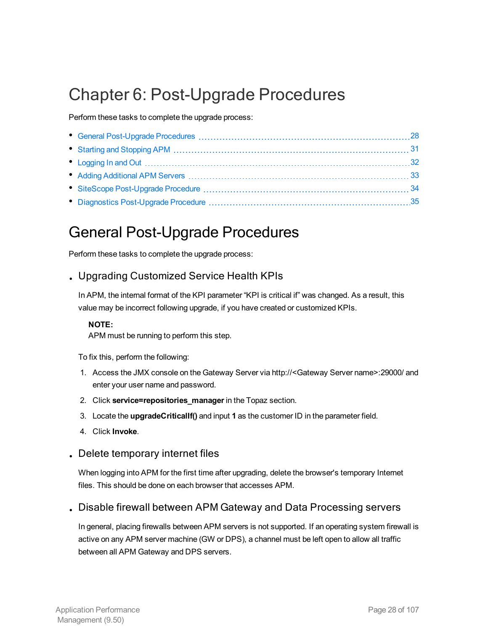## <span id="page-27-0"></span>Chapter 6: Post-Upgrade Procedures

Perform these tasks to complete the upgrade process:

## <span id="page-27-1"></span>General Post-Upgrade Procedures

Perform these tasks to complete the upgrade process:

### . Upgrading Customized Service Health KPIs

In APM, the internal format of the KPI parameter "KPI is critical if" was changed. As a result, this value may be incorrect following upgrade, if you have created or customized KPIs.

### **NOTE:**

APM must be running to perform this step.

To fix this, perform the following:

- 1. Access the JMX console on the Gateway Server via http://<Gateway Server name>:29000/ and enter your user name and password.
- 2. Click **service=repositories\_manager** in the Topaz section.
- 3. Locate the **upgradeCriticalIf()** and input **1** as the customer ID in the parameter field.
- 4. Click **Invoke**.
- . Delete temporary internet files

When logging into APM for the first time after upgrading, delete the browser's temporary Internet files. This should be done on each browser that accesses APM.

. Disable firewall between APM Gateway and Data Processing servers

In general, placing firewalls between APM servers is not supported. If an operating system firewall is active on any APM server machine (GW or DPS), a channel must be left open to allow all traffic between all APM Gateway and DPS servers.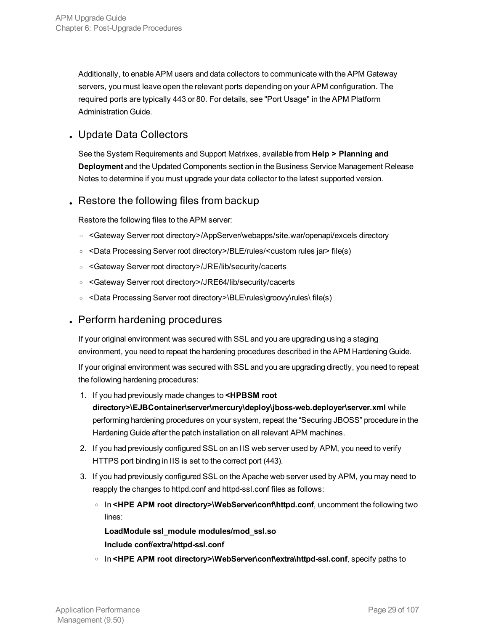Additionally, to enable APM users and data collectors to communicate with the APM Gateway servers, you must leave open the relevant ports depending on your APM configuration. The required ports are typically 443 or 80. For details, see "Port Usage" in the APM Platform Administration Guide.

### . Update Data Collectors

See the System Requirements and Support Matrixes, available from **Help > Planning and Deployment** and the Updated Components section in the Business Service Management Release Notes to determine if you must upgrade your data collector to the latest supported version.

### . Restore the following files from backup

Restore the following files to the APM server:

- <sup>o</sup> <Gateway Server root directory>/AppServer/webapps/site.war/openapi/excels directory
- <sup>o</sup> <Data Processing Server root directory>/BLE/rules/<custom rules jar> file(s)
- <sup>o</sup> <Gateway Server root directory>/JRE/lib/security/cacerts
- <sup>o</sup> <Gateway Server root directory>/JRE64/lib/security/cacerts
- <sup>o</sup> <Data Processing Server root directory>\BLE\rules\groovy\rules\ file(s)

### . Perform hardening procedures

If your original environment was secured with SSL and you are upgrading using a staging environment, you need to repeat the hardening procedures described in the APM Hardening Guide.

If your original environment was secured with SSL and you are upgrading directly, you need to repeat the following hardening procedures:

1. If you had previously made changes to **<HPBSM root**

**directory>\EJBContainer\server\mercury\deploy\jboss-web.deployer\server.xml** while performing hardening procedures on your system, repeat the "Securing JBOSS" procedure in the Hardening Guide after the patch installation on all relevant APM machines.

- 2. If you had previously configured SSL on an IIS web server used by APM, you need to verify HTTPS port binding in IIS is set to the correct port (443).
- 3. If you had previously configured SSL on the Apache web server used by APM, you may need to reapply the changes to httpd.conf and httpd-ssl.conf files as follows:
	- <sup>o</sup> In **<HPE APM root directory>\WebServer\conf\httpd.conf**, uncomment the following two lines:

**LoadModule ssl\_module modules/mod\_ssl.so Include conf/extra/httpd-ssl.conf**

o In <HPE APM root directory>\WebServer\conf\extra\httpd-ssl.conf, specify paths to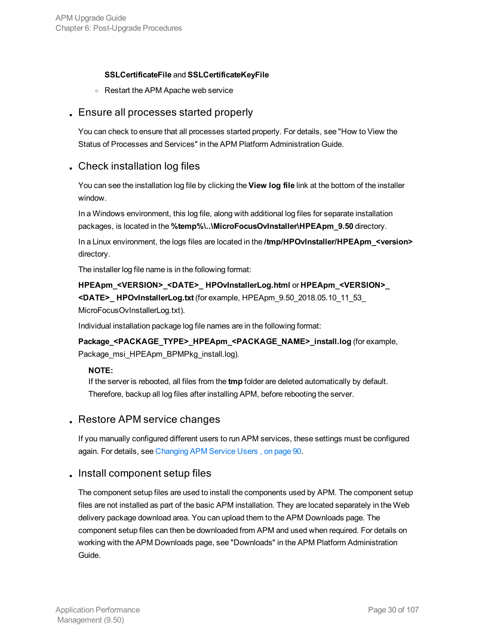### **SSLCertificateFile** and **SSLCertificateKeyFile**

<sup>o</sup> Restart the APM Apache web service

### . Ensure all processes started properly

You can check to ensure that all processes started properly. For details, see "How to View the Status of Processes and Services" in the APM Platform Administration Guide.

### . Check installation log files

You can see the installation log file by clicking the **View log file** link at the bottom of the installer window.

In a Windows environment, this log file, along with additional log files for separate installation packages, is located in the **%temp%\..\MicroFocusOvInstaller\HPEApm\_9.50** directory.

In a Linux environment, the logs files are located in the **/tmp/HPOvInstaller/HPEApm\_<version>** directory.

The installer log file name is in the following format:

**HPEApm\_<VERSION>\_<DATE>\_ HPOvInstallerLog.html** or **HPEApm\_<VERSION>\_ <DATE>\_ HPOvInstallerLog.txt** (for example, HPEApm\_9.50\_2018.05.10\_11\_53\_ MicroFocusOvInstallerLog.txt).

Individual installation package log file names are in the following format:

**Package\_<PACKAGE\_TYPE>\_HPEApm\_<PACKAGE\_NAME>\_install.log** (for example, Package\_msi\_HPEApm\_BPMPkg\_install.log).

### **NOTE:**

If the server is rebooted, all files from the **tmp** folder are deleted automatically by default. Therefore, backup all log files after installing APM, before rebooting the server.

### . Restore APM service changes

If you manually configured different users to run APM services, these settings must be configured again. For details, see [Changing](#page-89-0) APM Service Users , on page 90.

### . Install component setup files

The component setup files are used to install the components used by APM. The component setup files are not installed as part of the basic APM installation. They are located separately in the Web delivery package download area. You can upload them to the APM Downloads page. The component setup files can then be downloaded from APM and used when required. For details on working with the APM Downloads page, see "Downloads" in the APM Platform Administration Guide.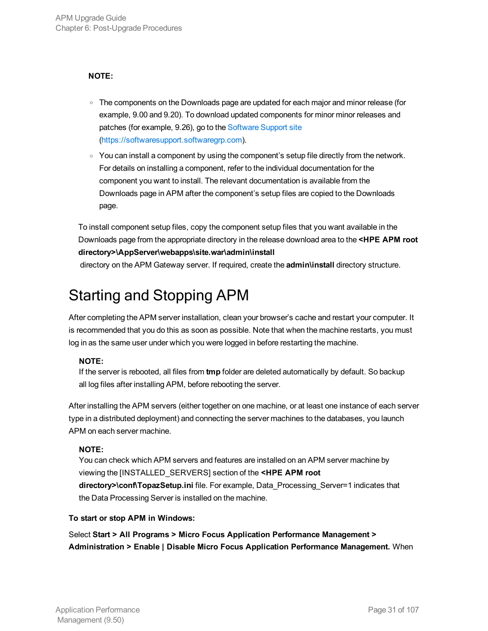### **NOTE:**

- The components on the Downloads page are updated for each major and minor release (for example, 9.00 and 9.20). To download updated components for minor minor releases and patches (for example, 9.26), go to the [Software](https://softwaresupport.hpe.com/) Support site ([https://softwaresupport.softwaregrp.com\)](https://softwaresupport.softwaregrp.com/).
- $\circ$  You can install a component by using the component's setup file directly from the network. For details on installing a component, refer to the individual documentation for the component you want to install. The relevant documentation is available from the Downloads page in APM after the component's setup files are copied to the Downloads page.

To install component setup files, copy the component setup files that you want available in the Downloads page from the appropriate directory in the release download area to the **<HPE APM root directory>\AppServer\webapps\site.war\admin\install**

<span id="page-30-0"></span>directory on the APM Gateway server. If required, create the **admin\install** directory structure.

## Starting and Stopping APM

After completing the APM server installation, clean your browser's cache and restart your computer. It is recommended that you do this as soon as possible. Note that when the machine restarts, you must log in as the same user under which you were logged in before restarting the machine.

### **NOTE:**

If the server is rebooted, all files from **tmp** folder are deleted automatically by default. So backup all log files after installing APM, before rebooting the server.

After installing the APM servers (either together on one machine, or at least one instance of each server type in a distributed deployment) and connecting the server machines to the databases, you launch APM on each server machine.

### **NOTE:**

You can check which APM servers and features are installed on an APM server machine by viewing the [INSTALLED\_SERVERS] section of the **<HPE APM root directory>\conf\TopazSetup.ini** file. For example, Data\_Processing\_Server=1 indicates that the Data Processing Server is installed on the machine.

### **To start or stop APM in Windows:**

Select **Start > All Programs > Micro Focus Application Performance Management > Administration > Enable | Disable Micro Focus Application Performance Management.** When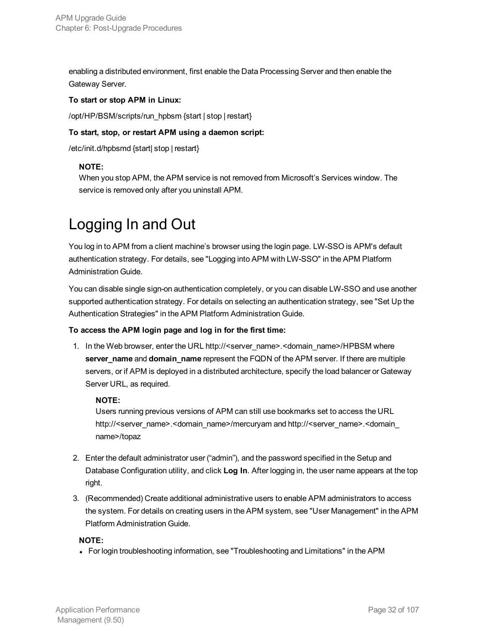enabling a distributed environment, first enable the Data Processing Server and then enable the Gateway Server.

### **To start or stop APM in Linux:**

/opt/HP/BSM/scripts/run\_hpbsm {start | stop | restart}

### **To start, stop, or restart APM using a daemon script:**

/etc/init.d/hpbsmd {start| stop | restart}

### **NOTE:**

When you stop APM, the APM service is not removed from Microsoft's Services window. The service is removed only after you uninstall APM.

## <span id="page-31-0"></span>Logging In and Out

You log in to APM from a client machine's browser using the login page. LW-SSO is APM's default authentication strategy. For details, see "Logging into APM with LW-SSO" in the APM Platform Administration Guide.

You can disable single sign-on authentication completely, or you can disable LW-SSO and use another supported authentication strategy. For details on selecting an authentication strategy, see "Set Up the Authentication Strategies" in the APM Platform Administration Guide.

### **To access the APM login page and log in for the first time:**

1. In the Web browser, enter the URL http://<server\_name>.<domain\_name>/HPBSM where **server\_name** and **domain\_name** represent the FQDN of the APM server. If there are multiple servers, or if APM is deployed in a distributed architecture, specify the load balancer or Gateway Server URL, as required.

### **NOTE:**

Users running previous versions of APM can still use bookmarks set to access the URL http://<server\_name>.<domain\_name>/mercuryam and http://<server\_name>.<domain\_ name>/topaz

- 2. Enter the default administrator user ("admin"), and the password specified in the Setup and Database Configuration utility, and click **Log In**. After logging in, the user name appears at the top right.
- 3. (Recommended) Create additional administrative users to enable APM administrators to access the system. For details on creating users in the APM system, see "User Management" in the APM Platform Administration Guide.

### **NOTE:**

• For login troubleshooting information, see "Troubleshooting and Limitations" in the APM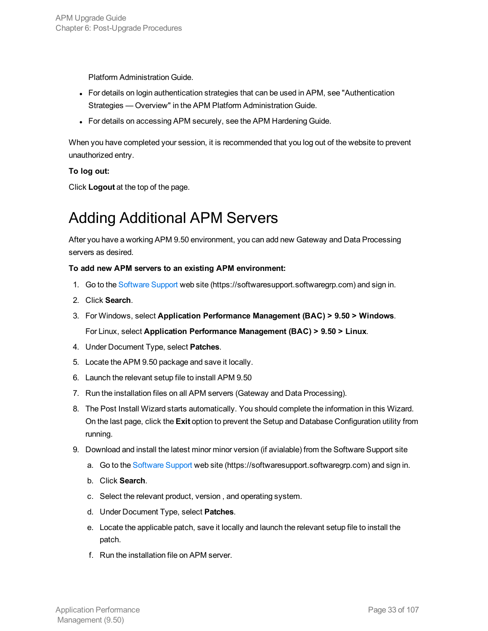Platform Administration Guide.

- For details on login authentication strategies that can be used in APM, see "Authentication" Strategies — Overview" in the APM Platform Administration Guide.
- For details on accessing APM securely, see the APM Hardening Guide.

When you have completed your session, it is recommended that you log out of the website to prevent unauthorized entry.

### **To log out:**

<span id="page-32-0"></span>Click **Logout** at the top of the page.

## Adding Additional APM Servers

After you have a working APM 9.50 environment, you can add new Gateway and Data Processing servers as desired.

### **To add new APM servers to an existing APM environment:**

- 1. Go to the [Software](https://softwaresupport.softwaregrp.com/) Support web site (https://softwaresupport.softwaregrp.com) and sign in.
- 2. Click **Search**.
- 3. For Windows, select **Application Performance Management (BAC) > 9.50 > Windows**. For Linux, select **Application Performance Management (BAC) > 9.50 > Linux**.
- 4. Under Document Type, select **Patches**.
- 5. Locate the APM 9.50 package and save it locally.
- 6. Launch the relevant setup file to install APM 9.50
- 7. Run the installation files on all APM servers (Gateway and Data Processing).
- 8. The Post Install Wizard starts automatically. You should complete the information in this Wizard. On the last page, click the **Exit** option to prevent the Setup and Database Configuration utility from running.
- 9. Download and install the latest minor minor version (if avialable) from the Software Support site
	- a. Go to the [Software](https://softwaresupport.softwaregrp.com/) Support web site (https://softwaresupport.softwaregrp.com) and sign in.
	- b. Click **Search**.
	- c. Select the relevant product, version , and operating system.
	- d. Under Document Type, select **Patches**.
	- e. Locate the applicable patch, save it locally and launch the relevant setup file to install the patch.
	- f. Run the installation file on APM server.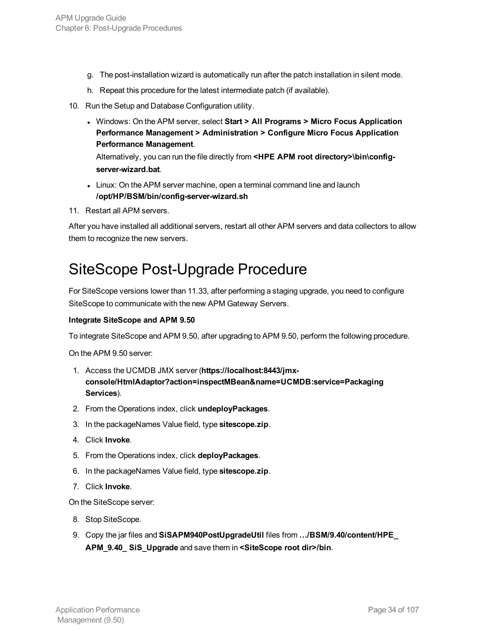- g. The post-installation wizard is automatically run after the patch installation in silent mode.
- h. Repeat this procedure for the latest intermediate patch (if available).
- 10. Run the Setup and Database Configuration utility.
	- <sup>l</sup> Windows: On the APM server, select **Start > All Programs > Micro Focus Application Performance Management > Administration > Configure Micro Focus Application Performance Management**.

Alternatively, you can run the file directly from **<HPE APM root directory>\bin\configserver-wizard.bat**.

- Linux: On the APM server machine, open a terminal command line and launch **/opt/HP/BSM/bin/config-server-wizard.sh**
- 11. Restart all APM servers.

After you have installed all additional servers, restart all other APM servers and data collectors to allow them to recognize the new servers.

### <span id="page-33-0"></span>SiteScope Post-Upgrade Procedure

For SiteScope versions lower than 11.33, after performing a staging upgrade, you need to configure SiteScope to communicate with the new APM Gateway Servers.

#### **Integrate SiteScope and APM 9.50**

To integrate SiteScope and APM 9.50, after upgrading to APM 9.50, perform the following procedure.

On the APM 9.50 server:

- 1. Access the UCMDB JMX server (**https://localhost:8443/jmxconsole/HtmlAdaptor?action=inspectMBean&name=UCMDB:service=Packaging Services**).
- 2. From the Operations index, click **undeployPackages**.
- 3. In the packageNames Value field, type **sitescope.zip**.
- 4. Click **Invoke**.
- 5. From the Operations index, click **deployPackages**.
- 6. In the packageNames Value field, type **sitescope.zip**.
- 7. Click **Invoke**.

On the SiteScope server:

- 8. Stop SiteScope.
- 9. Copy the jar files and **SiSAPM940PostUpgradeUtil** files from **…/BSM/9.40/content/HPE\_ APM\_9.40\_ SiS\_Upgrade** and save them in **<SiteScope root dir>/bin**.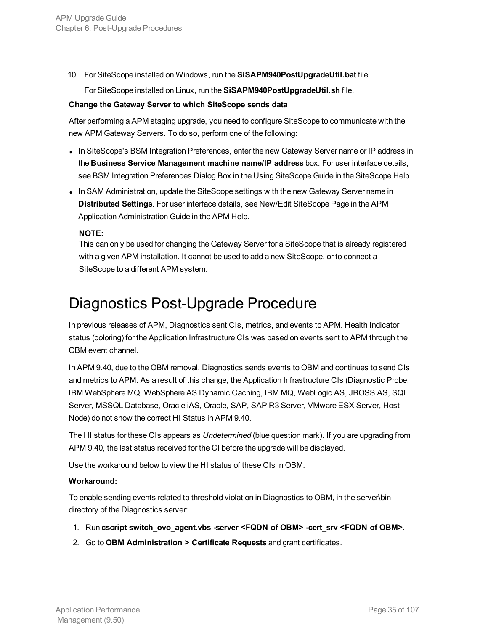10. For SiteScope installed on Windows, run the **SiSAPM940PostUpgradeUtil.bat** file.

For SiteScope installed on Linux, run the **SiSAPM940PostUpgradeUtil.sh** file.

#### **Change the Gateway Server to which SiteScope sends data**

After performing a APM staging upgrade, you need to configure SiteScope to communicate with the new APM Gateway Servers. To do so, perform one of the following:

- In SiteScope's BSM Integration Preferences, enter the new Gateway Server name or IP address in the **Business Service Management machine name/IP address** box. For user interface details, see BSM Integration Preferences Dialog Box in the Using SiteScope Guide in the SiteScope Help.
- In SAM Administration, update the SiteScope settings with the new Gateway Server name in **Distributed Settings**. For user interface details, see New/Edit SiteScope Page in the APM Application Administration Guide in the APM Help.

### **NOTE:**

This can only be used for changing the Gateway Server for a SiteScope that is already registered with a given APM installation. It cannot be used to add a new SiteScope, or to connect a SiteScope to a different APM system.

### <span id="page-34-0"></span>Diagnostics Post-Upgrade Procedure

In previous releases of APM, Diagnostics sent CIs, metrics, and events to APM. Health Indicator status (coloring) for the Application Infrastructure CIs was based on events sent to APM through the OBM event channel.

In APM 9.40, due to the OBM removal, Diagnostics sends events to OBM and continues to send CIs and metrics to APM. As a result of this change, the Application Infrastructure CIs (Diagnostic Probe, IBM WebSphere MQ, WebSphere AS Dynamic Caching, IBM MQ, WebLogic AS, JBOSS AS, SQL Server, MSSQL Database, Oracle iAS, Oracle, SAP, SAP R3 Server, VMware ESX Server, Host Node) do not show the correct HI Status in APM 9.40.

The HI status for these CIs appears as *Undetermined* (blue question mark). If you are upgrading from APM 9.40, the last status received for the CI before the upgrade will be displayed.

Use the workaround below to view the HI status of these CIs in OBM.

### **Workaround:**

To enable sending events related to threshold violation in Diagnostics to OBM, in the server\bin directory of the Diagnostics server:

- 1. Run **cscript switch\_ovo\_agent.vbs -server <FQDN of OBM> -cert\_srv <FQDN of OBM>**.
- 2. Go to **OBM Administration > Certificate Requests** and grant certificates.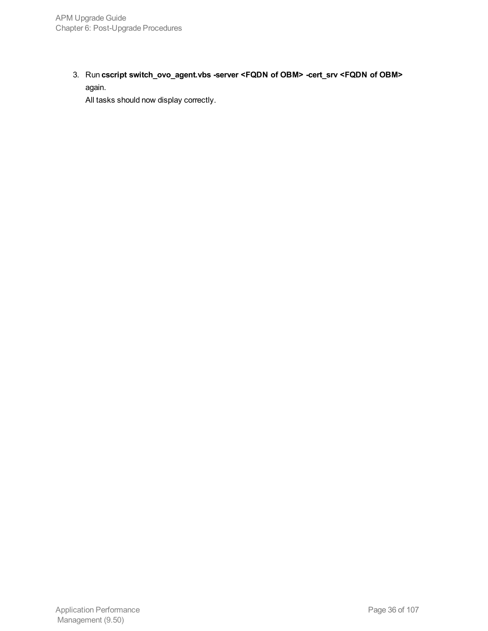3. Run **cscript switch\_ovo\_agent.vbs -server <FQDN of OBM> -cert\_srv <FQDN of OBM>** again.

All tasks should now display correctly.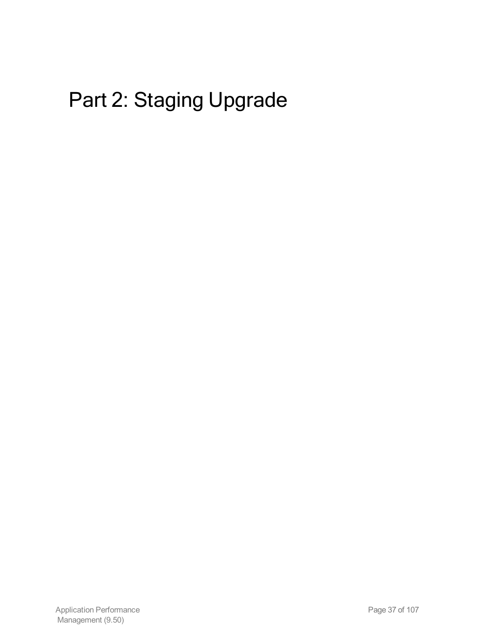# Part 2: Staging Upgrade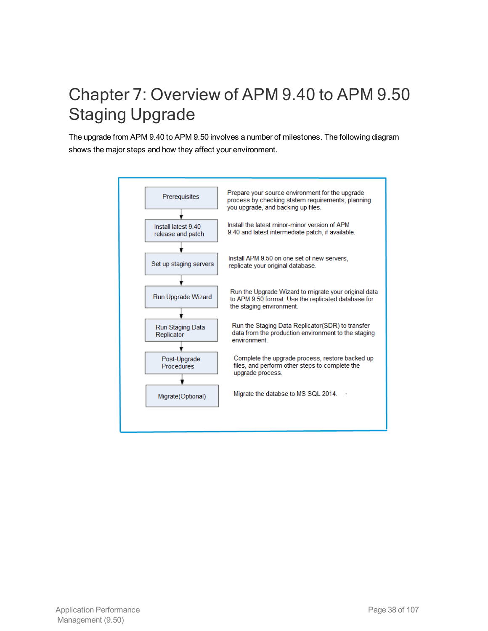## Chapter 7: Overview of APM 9.40 to APM 9.50 Staging Upgrade

The upgrade from APM 9.40 to APM 9.50 involves a number of milestones. The following diagram shows the major steps and how they affect your environment.

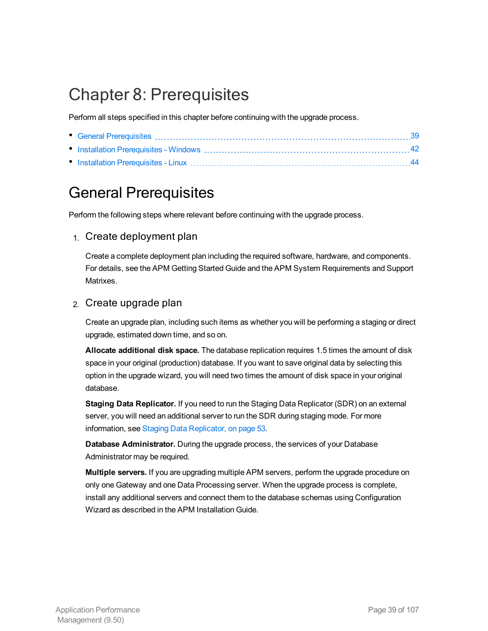## Chapter 8: Prerequisites

Perform all steps specified in this chapter before continuing with the upgrade process.

## <span id="page-38-0"></span>General Prerequisites

Perform the following steps where relevant before continuing with the upgrade process.

### 1. Create deployment plan

Create a complete deployment plan including the required software, hardware, and components. For details, see the APM Getting Started Guide and the APM System Requirements and Support Matrixes.

### 2. Create upgrade plan

Create an upgrade plan, including such items as whether you will be performing a staging or direct upgrade, estimated down time, and so on.

**Allocate additional disk space.** The database replication requires 1.5 times the amount of disk space in your original (production) database. If you want to save original data by selecting this option in the upgrade wizard, you will need two times the amount of disk space in your original database.

**Staging Data Replicator.** If you need to run the Staging Data Replicator (SDR) on an external server, you will need an additional server to run the SDR during staging mode. For more information, see Staging Data [Replicator,](#page-52-0) on page 53.

**Database Administrator.** During the upgrade process, the services of your Database Administrator may be required.

**Multiple servers.** If you are upgrading multiple APM servers, perform the upgrade procedure on only one Gateway and one Data Processing server. When the upgrade process is complete, install any additional servers and connect them to the database schemas using Configuration Wizard as described in the APM Installation Guide.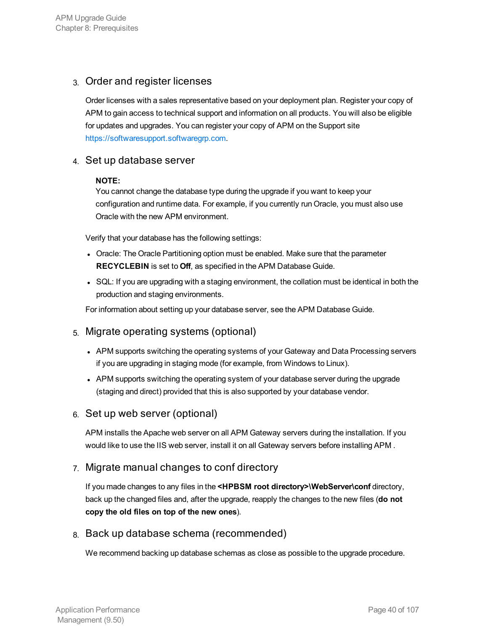## 3. Order and register licenses

Order licenses with a sales representative based on your deployment plan. Register your copy of APM to gain access to technical support and information on all products. You will also be eligible for updates and upgrades. You can register your copy of APM on the Support site [https://softwaresupport.softwaregrp.com.](https://softwaresupport.softwaregrp.com/)

### 4. Set up database server

#### **NOTE:**

You cannot change the database type during the upgrade if you want to keep your configuration and runtime data. For example, if you currently run Oracle, you must also use Oracle with the new APM environment.

Verify that your database has the following settings:

- Oracle: The Oracle Partitioning option must be enabled. Make sure that the parameter **RECYCLEBIN** is set to **Off**, as specified in the APM Database Guide.
- SQL: If you are upgrading with a staging environment, the collation must be identical in both the production and staging environments.

For information about setting up your database server, see the APM Database Guide.

## 5. Migrate operating systems (optional)

- APM supports switching the operating systems of your Gateway and Data Processing servers if you are upgrading in staging mode (for example, from Windows to Linux).
- APM supports switching the operating system of your database server during the upgrade (staging and direct) provided that this is also supported by your database vendor.

### 6. Set up web server (optional)

APM installs the Apache web server on all APM Gateway servers during the installation. If you would like to use the IIS web server, install it on all Gateway servers before installing APM .

### 7. Migrate manual changes to conf directory

If you made changes to any files in the **<HPBSM root directory>\WebServer\conf** directory, back up the changed files and, after the upgrade, reapply the changes to the new files (**do not copy the old files on top of the new ones**).

### 8. Back up database schema (recommended)

We recommend backing up database schemas as close as possible to the upgrade procedure.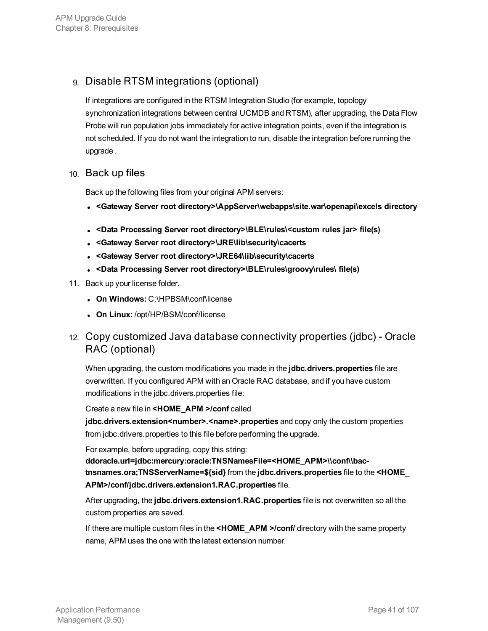## 9. Disable RTSM integrations (optional)

If integrations are configured in the RTSM Integration Studio (for example, topology synchronization integrations between central UCMDB and RTSM), after upgrading, the Data Flow Probe will run population jobs immediately for active integration points, even if the integration is not scheduled. If you do not want the integration to run, disable the integration before running the upgrade .

### 10. Back up files

Back up the following files from your original APM servers:

- <sup>l</sup> **<Gateway Server root directory>\AppServer\webapps\site.war\openapi\excels directory**
- <sup>l</sup> **<Data Processing Server root directory>\BLE\rules\<custom rules jar> file(s)**
- <sup>l</sup> **<Gateway Server root directory>\JRE\lib\security\cacerts**
- <sup>l</sup> **<Gateway Server root directory>\JRE64\lib\security\cacerts**
- <sup>l</sup> **<Data Processing Server root directory>\BLE\rules\groovy\rules\ file(s)**
- 11. Back up your license folder.
	- <sup>l</sup> **On Windows:** C:\HPBSM\conf\license
	- <sup>l</sup> **On Linux:** /opt/HP/BSM/conf/license

## 12. Copy customized Java database connectivity properties (jdbc) - Oracle RAC (optional)

When upgrading, the custom modifications you made in the **jdbc.drivers.properties** file are overwritten. If you configured APM with an Oracle RAC database, and if you have custom modifications in the jdbc.drivers.properties file:

Create a new file in **<HOME\_APM >/conf** called

**jdbc.drivers.extension<number>.<name>.properties** and copy only the custom properties from jdbc.drivers.properties to this file before performing the upgrade.

For example, before upgrading, copy this string:

**ddoracle.url=jdbc:mercury:oracle:TNSNamesFile=<HOME\_APM>\\conf\\bactnsnames.ora;TNSServerName=\${sid}** from the **jdbc.drivers.properties** file to the **<HOME\_ APM>/conf/jdbc.drivers.extension1.RAC.properties** file.

After upgrading, the **jdbc.drivers.extension1.RAC.properties** file is not overwritten so all the custom properties are saved.

If there are multiple custom files in the **<HOME\_APM >/conf/** directory with the same property name, APM uses the one with the latest extension number.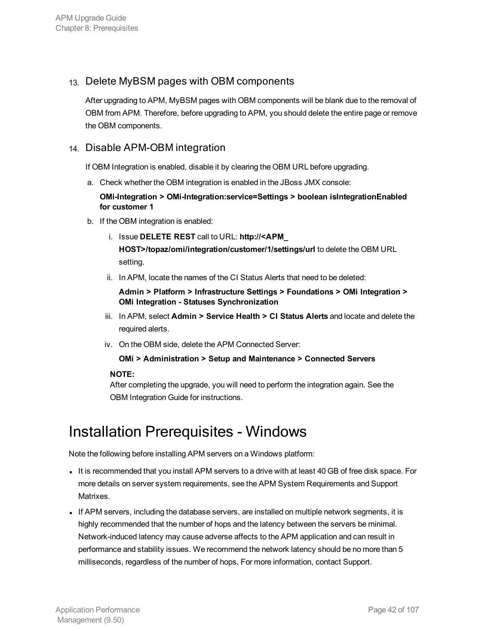## 13. Delete MyBSM pages with OBM components

After upgrading to APM, MyBSM pages with OBM components will be blank due to the removal of OBM from APM. Therefore, before upgrading to APM, you should delete the entire page or remove the OBM components.

### 14. Disable APM-OBM integration

If OBM Integration is enabled, disable it by clearing the OBM URL before upgrading.

a. Check whether the OBM integration is enabled in the JBoss JMX console:

**OMi-Integration > OMi-Integration:service=Settings > boolean isIntegrationEnabled for customer 1**

- b. If the OBM integration is enabled:
	- i. Issue **DELETE REST** call to URL: **http://<APM\_**

**HOST>/topaz/omi/integration/customer/1/settings/url** to delete the OBM URL setting.

ii. In APM, locate the names of the CI Status Alerts that need to be deleted:

**Admin > Platform > Infrastructure Settings > Foundations > OMi Integration > OMi Integration - Statuses Synchronization**

- iii. In APM, select **Admin > Service Health > CI Status Alerts** and locate and delete the required alerts.
- iv. On the OBM side, delete the APM Connected Server:

#### **OMi > Administration > Setup and Maintenance > Connected Servers**

#### **NOTE:**

After completing the upgrade, you will need to perform the integration again. See the OBM Integration Guide for instructions.

## <span id="page-41-0"></span>Installation Prerequisites - Windows

Note the following before installing APM servers on a Windows platform:

- It is recommended that you install APM servers to a drive with at least 40 GB of free disk space. For more details on server system requirements, see the APM System Requirements and Support Matrixes.
- If APM servers, including the database servers, are installed on multiple network segments, it is highly recommended that the number of hops and the latency between the servers be minimal. Network-induced latency may cause adverse affects to the APM application and can result in performance and stability issues. We recommend the network latency should be no more than 5 milliseconds, regardless of the number of hops. For more information, contact Support.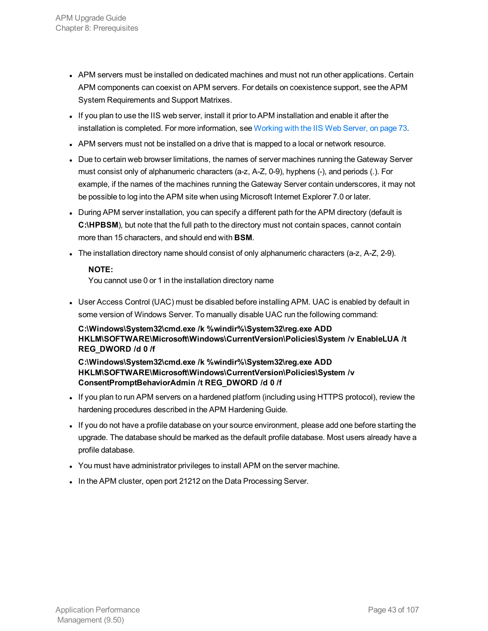- APM servers must be installed on dedicated machines and must not run other applications. Certain APM components can coexist on APM servers. For details on coexistence support, see the APM System Requirements and Support Matrixes.
- If you plan to use the IIS web server, install it prior to APM installation and enable it after the installation is completed. For more information, see [Working](#page-72-0) with the IIS Web Server, on page 73.
- APM servers must not be installed on a drive that is mapped to a local or network resource.
- Due to certain web browser limitations, the names of server machines running the Gateway Server must consist only of alphanumeric characters (a-z, A-Z, 0-9), hyphens (-), and periods (.). For example, if the names of the machines running the Gateway Server contain underscores, it may not be possible to log into the APM site when using Microsoft Internet Explorer 7.0 or later.
- During APM server installation, you can specify a different path for the APM directory (default is **C:\HPBSM**), but note that the full path to the directory must not contain spaces, cannot contain more than 15 characters, and should end with **BSM**.
- The installation directory name should consist of only alphanumeric characters (a-z, A-Z, 2-9).

#### **NOTE:**

You cannot use 0 or 1 in the installation directory name

• User Access Control (UAC) must be disabled before installing APM. UAC is enabled by default in some version of Windows Server. To manually disable UAC run the following command:

**C:\Windows\System32\cmd.exe /k %windir%\System32\reg.exe ADD HKLM\SOFTWARE\Microsoft\Windows\CurrentVersion\Policies\System /v EnableLUA /t REG\_DWORD /d 0 /f**

**C:\Windows\System32\cmd.exe /k %windir%\System32\reg.exe ADD HKLM\SOFTWARE\Microsoft\Windows\CurrentVersion\Policies\System /v ConsentPromptBehaviorAdmin /t REG\_DWORD /d 0 /f**

- If you plan to run APM servers on a hardened platform (including using HTTPS protocol), review the hardening procedures described in the APM Hardening Guide.
- If you do not have a profile database on your source environment, please add one before starting the upgrade. The database should be marked as the default profile database. Most users already have a profile database.
- You must have administrator privileges to install APM on the server machine.
- In the APM cluster, open port 21212 on the Data Processing Server.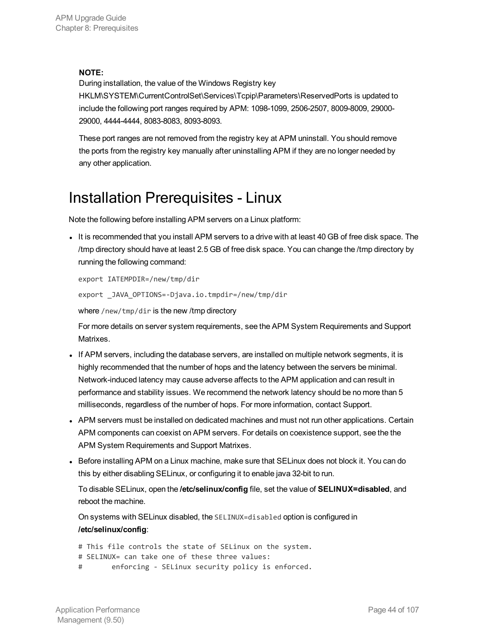#### **NOTE:**

During installation, the value of the Windows Registry key

HKLM\SYSTEM\CurrentControlSet\Services\Tcpip\Parameters\ReservedPorts is updated to include the following port ranges required by APM: 1098-1099, 2506-2507, 8009-8009, 29000- 29000, 4444-4444, 8083-8083, 8093-8093.

These port ranges are not removed from the registry key at APM uninstall. You should remove the ports from the registry key manually after uninstalling APM if they are no longer needed by any other application.

## <span id="page-43-0"></span>Installation Prerequisites - Linux

Note the following before installing APM servers on a Linux platform:

It is recommended that you install APM servers to a drive with at least 40 GB of free disk space. The /tmp directory should have at least 2.5 GB of free disk space. You can change the /tmp directory by running the following command:

```
export IATEMPDIR=/new/tmp/dir
```
export \_JAVA\_OPTIONS=-Djava.io.tmpdir=/new/tmp/dir

where /new/tmp/dir is the new /tmp directory

For more details on server system requirements, see the APM System Requirements and Support Matrixes.

- If APM servers, including the database servers, are installed on multiple network segments, it is highly recommended that the number of hops and the latency between the servers be minimal. Network-induced latency may cause adverse affects to the APM application and can result in performance and stability issues. We recommend the network latency should be no more than 5 milliseconds, regardless of the number of hops. For more information, contact Support.
- APM servers must be installed on dedicated machines and must not run other applications. Certain APM components can coexist on APM servers. For details on coexistence support, see the the APM System Requirements and Support Matrixes.
- Before installing APM on a Linux machine, make sure that SELinux does not block it. You can do this by either disabling SELinux, or configuring it to enable java 32-bit to run.

To disable SELinux, open the **/etc/selinux/config** file, set the value of **SELINUX=disabled**, and reboot the machine.

On systems with SELinux disabled, the SELINUX=disabled option is configured in **/etc/selinux/config**:

```
# This file controls the state of SELinux on the system.
# SELINUX= can take one of these three values:
# enforcing - SELinux security policy is enforced.
```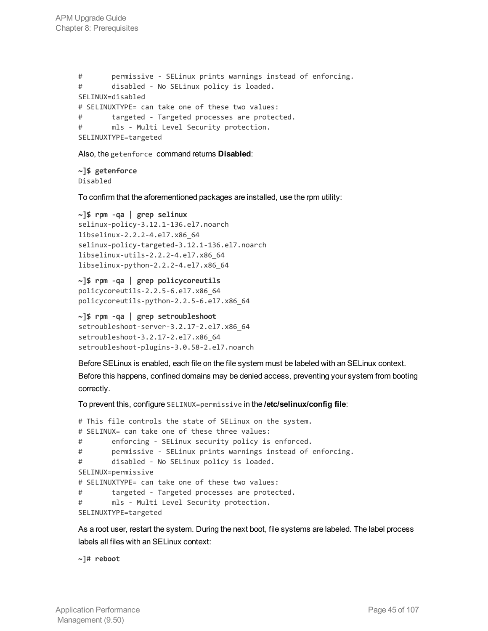```
# permissive - SELinux prints warnings instead of enforcing.
# disabled - No SELinux policy is loaded.
SELINUX=disabled
# SELINUXTYPE= can take one of these two values:
# targeted - Targeted processes are protected.
# mls - Multi Level Security protection.
SELINUXTYPE=targeted
```
Also, the getenforce command returns **Disabled**:

```
~]$ getenforce
Disabled
```
To confirm that the aforementioned packages are installed, use the rpm utility:

```
~]$ rpm -qa | grep selinux
selinux-policy-3.12.1-136.el7.noarch
libselinux-2.2.2-4.el7.x86_64
selinux-policy-targeted-3.12.1-136.el7.noarch
libselinux-utils-2.2.2-4.el7.x86_64
libselinux-python-2.2.2-4.el7.x86_64
```

```
~]$ rpm -qa | grep policycoreutils
policycoreutils-2.2.5-6.el7.x86_64
policycoreutils-python-2.2.5-6.el7.x86_64
```

```
~]$ rpm -qa | grep setroubleshoot
setroubleshoot-server-3.2.17-2.el7.x86_64
setroubleshoot-3.2.17-2.el7.x86_64
setroubleshoot-plugins-3.0.58-2.el7.noarch
```
Before SELinux is enabled, each file on the file system must be labeled with an SELinux context. Before this happens, confined domains may be denied access, preventing your system from booting correctly.

To prevent this, configure SELINUX=permissive in the **/etc/selinux/config file**:

```
# This file controls the state of SELinux on the system.
# SELINUX= can take one of these three values:
# enforcing - SELinux security policy is enforced.
# permissive - SELinux prints warnings instead of enforcing.
# disabled - No SELinux policy is loaded.
SELINUX=permissive
# SELINUXTYPE= can take one of these two values:
# targeted - Targeted processes are protected.
# mls - Multi Level Security protection.
SELINUXTYPE=targeted
```
As a root user, restart the system. During the next boot, file systems are labeled. The label process labels all files with an SELinux context:

**~]# reboot**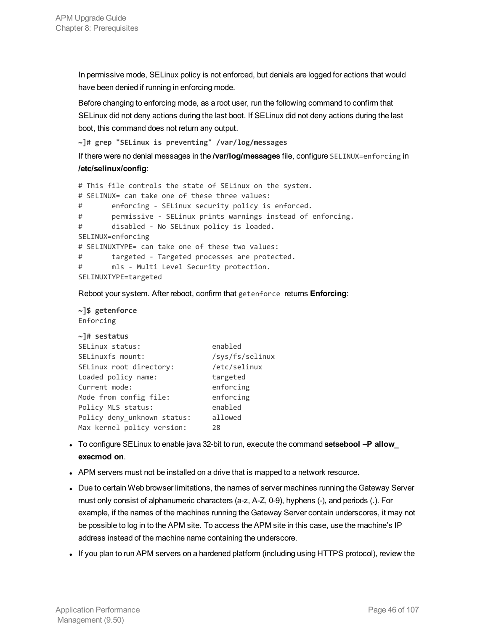In permissive mode, SELinux policy is not enforced, but denials are logged for actions that would have been denied if running in enforcing mode.

Before changing to enforcing mode, as a root user, run the following command to confirm that SELinux did not deny actions during the last boot. If SELinux did not deny actions during the last boot, this command does not return any output.

**~]# grep "SELinux is preventing" /var/log/messages**

If there were no denial messages in the **/var/log/messages** file, configure SELINUX=enforcing in **/etc/selinux/config**:

```
# This file controls the state of SELinux on the system.
# SELINUX= can take one of these three values:
# enforcing - SELinux security policy is enforced.
# permissive - SELinux prints warnings instead of enforcing.
# disabled - No SELinux policy is loaded.
SELINUX=enforcing
# SELINUXTYPE= can take one of these two values:
# targeted - Targeted processes are protected.
# mls - Multi Level Security protection.
SELINUXTYPE=targeted
```
Reboot your system. After reboot, confirm that getenforce returns **Enforcing**:

```
~]$ getenforce
Enforcing
```

```
~]# sestatus
SELinux status: enabled
SELinuxfs mount: /sys/fs/selinux
SELinux root directory: /etc/selinux
Loaded policy name: targeted
Current mode: enforcing
Mode from config file: enforcing
Policy MLS status: enabled
Policy deny_unknown status: allowed
Max kernel policy version: 28
```
- <sup>l</sup> To configure SELinux to enable java 32-bit to run, execute the command **setsebool –P allow\_ execmod on**.
- APM servers must not be installed on a drive that is mapped to a network resource.
- Due to certain Web browser limitations, the names of server machines running the Gateway Server must only consist of alphanumeric characters (a-z, A-Z, 0-9), hyphens (-), and periods (.). For example, if the names of the machines running the Gateway Server contain underscores, it may not be possible to log in to the APM site. To access the APM site in this case, use the machine's IP address instead of the machine name containing the underscore.
- If you plan to run APM servers on a hardened platform (including using HTTPS protocol), review the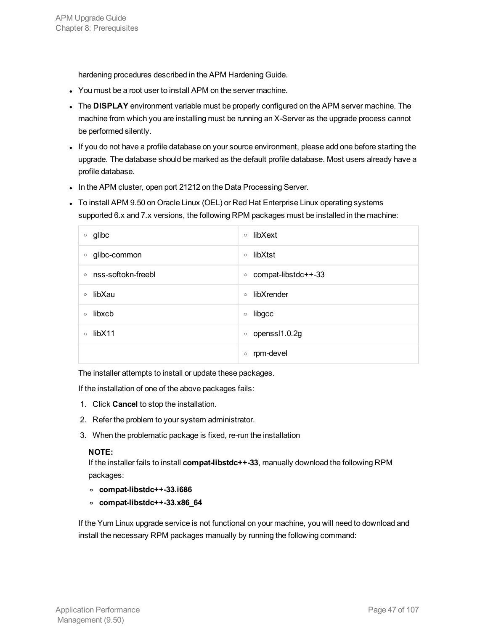hardening procedures described in the APM Hardening Guide.

- You must be a root user to install APM on the server machine.
- **.** The DISPLAY environment variable must be properly configured on the APM server machine. The machine from which you are installing must be running an X-Server as the upgrade process cannot be performed silently.
- If you do not have a profile database on your source environment, please add one before starting the upgrade. The database should be marked as the default profile database. Most users already have a profile database.
- In the APM cluster, open port 21212 on the Data Processing Server.
- To install APM 9.50 on Oracle Linux (OEL) or Red Hat Enterprise Linux operating systems supported 6.x and 7.x versions, the following RPM packages must be installed in the machine:

| glibc              | libXext              |
|--------------------|----------------------|
| $\circ$            | $\circ$              |
| glibc-common       | libXtst              |
| $\circ$            | $\circ$              |
| nss-softokn-freebl | compat-libstdc++-33  |
| $\circ$            | $\circ$              |
| libXau             | libXrender           |
| $\circ$            | $\circ$              |
| libxcb             | libgcc               |
| $\circ$            | $\circ$              |
| libX11             | openssl1.0.2g        |
| $\circ$            | $\circ$              |
|                    | rpm-devel<br>$\circ$ |

The installer attempts to install or update these packages.

If the installation of one of the above packages fails:

- 1. Click **Cancel** to stop the installation.
- 2. Refer the problem to your system administrator.
- 3. When the problematic package is fixed, re-run the installation

#### **NOTE:**

If the installer fails to install **compat-libstdc++-33**, manually download the following RPM packages:

- **<sup>o</sup> compat-libstdc++-33.i686**
- **<sup>o</sup> compat-libstdc++-33.x86\_64**

If the Yum Linux upgrade service is not functional on your machine, you will need to download and install the necessary RPM packages manually by running the following command: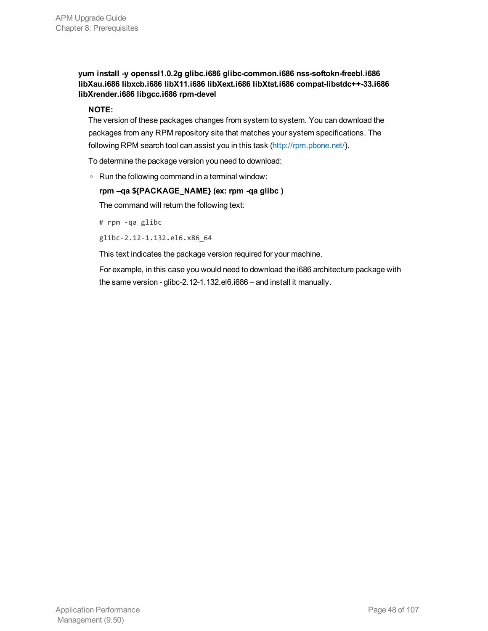**yum install -y openssl1.0.2g glibc.i686 glibc-common.i686 nss-softokn-freebl.i686 libXau.i686 libxcb.i686 libX11.i686 libXext.i686 libXtst.i686 compat-libstdc++-33.i686 libXrender.i686 libgcc.i686 rpm-devel**

#### **NOTE:**

The version of these packages changes from system to system. You can download the packages from any RPM repository site that matches your system specifications. The following RPM search tool can assist you in this task [\(http://rpm.pbone.net/\)](http://rpm.pbone.net/).

To determine the package version you need to download:

<sup>o</sup> Run the following command in a terminal window:

#### **rpm –qa \${PACKAGE\_NAME} (ex: rpm -qa glibc )**

The command will return the following text:

# rpm -qa glibc

glibc-2.12-1.132.el6.x86\_64

This text indicates the package version required for your machine.

For example, in this case you would need to download the i686 architecture package with the same version - glibc-2.12-1.132.el6.i686 – and install it manually.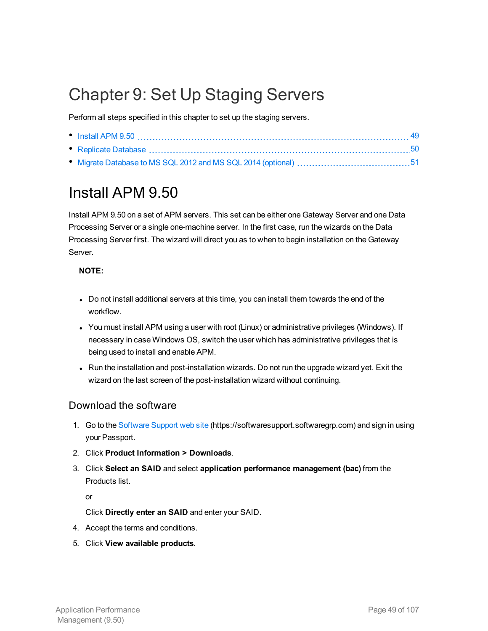## Chapter 9: Set Up Staging Servers

Perform all steps specified in this chapter to set up the staging servers.

| • Replicate Database ………………………………………………………………………………………50 |  |
|----------------------------------------------------------|--|
|                                                          |  |

## <span id="page-48-0"></span>Install APM 9.50

Install APM 9.50 on a set of APM servers. This set can be either one Gateway Server and one Data Processing Server or a single one-machine server. In the first case, run the wizards on the Data Processing Server first. The wizard will direct you as to when to begin installation on the Gateway Server.

### **NOTE:**

- Do not install additional servers at this time, you can install them towards the end of the workflow.
- You must install APM using a user with root (Linux) or administrative privileges (Windows). If necessary in case Windows OS, switch the user which has administrative privileges that is being used to install and enable APM.
- Run the installation and post-installation wizards. Do not run the upgrade wizard yet. Exit the wizard on the last screen of the post-installation wizard without continuing.

## Download the software

- 1. Go to the [Software](https://softwaresupport.softwaregrp.com/) Support web site (https://softwaresupport.softwaregrp.com) and sign in using your Passport.
- 2. Click **Product Information > Downloads**.
- 3. Click **Select an SAID** and select **application performance management (bac)** from the Products list.

or

Click **Directly enter an SAID** and enter your SAID.

- 4. Accept the terms and conditions.
- 5. Click **View available products**.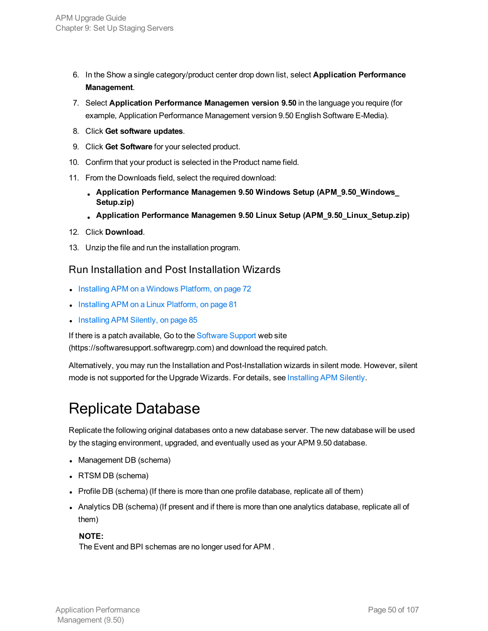- 6. In the Show a single category/product center drop down list, select **Application Performance Management**.
- 7. Select **Application Performance Managemen version 9.50** in the language you require (for example, Application Performance Management version 9.50 English Software E-Media).
- 8. Click **Get software updates**.
- 9. Click **Get Software** for your selected product.
- 10. Confirm that your product is selected in the Product name field.
- 11. From the Downloads field, select the required download:
	- <sup>l</sup> **Application Performance Managemen 9.50 Windows Setup (APM\_9.50\_Windows\_ Setup.zip)**
	- <sup>l</sup> **Application Performance Managemen 9.50 Linux Setup (APM\_9.50\_Linux\_Setup.zip)**
- 12. Click **Download**.
- 13. Unzip the file and run the installation program.

### Run Installation and Post Installation Wizards

- Installing APM on a [Windows](#page-71-0) Platform, on page 72
- Installing APM on a Linux [Platform,](#page-80-0) on page 81
- Installing [APM Silently,](#page-84-0) on page 85

If there is a patch available, Go to the [Software](https://softwaresupport.softwaregrp.com/) Support web site

(https://softwaresupport.softwaregrp.com) and download the required patch.

Alternatively, you may run the Installation and Post-Installation wizards in silent mode. However, silent mode is not supported for the Upgrade Wizards. For details, see Installing APM Silently.

## <span id="page-49-0"></span>Replicate Database

Replicate the following original databases onto a new database server. The new database will be used by the staging environment, upgraded, and eventually used as your APM 9.50 database.

- Management DB (schema)
- RTSM DB (schema)
- Profile DB (schema) (If there is more than one profile database, replicate all of them)
- Analytics DB (schema) (If present and if there is more than one analytics database, replicate all of them)

### **NOTE:**

The Event and BPI schemas are no longer used for APM .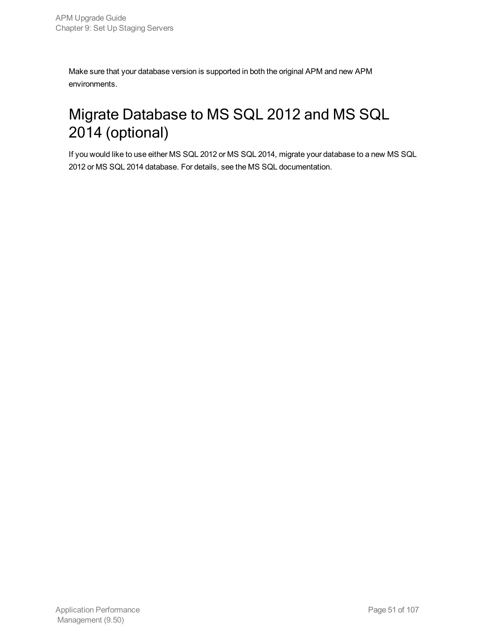Make sure that your database version is supported in both the original APM and new APM environments.

## <span id="page-50-0"></span>Migrate Database to MS SQL 2012 and MS SQL 2014 (optional)

If you would like to use either MS SQL 2012 or MS SQL 2014, migrate your database to a new MS SQL 2012 or MS SQL 2014 database. For details, see the MS SQL documentation.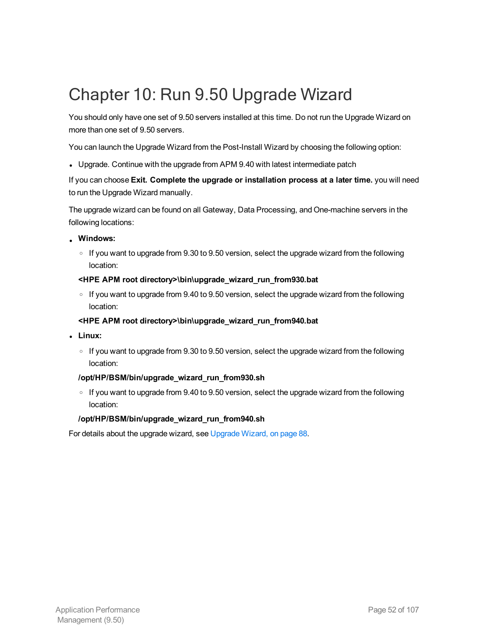## Chapter 10: Run 9.50 Upgrade Wizard

You should only have one set of 9.50 servers installed at this time. Do not run the Upgrade Wizard on more than one set of 9.50 servers.

You can launch the Upgrade Wizard from the Post-Install Wizard by choosing the following option:

• Upgrade. Continue with the upgrade from APM 9.40 with latest intermediate patch

If you can choose **Exit. Complete the upgrade or installation process at a later time.** you will need to run the Upgrade Wizard manually.

The upgrade wizard can be found on all Gateway, Data Processing, and One-machine servers in the following locations:

- **. Windows:** 
	- $\circ$  If you want to upgrade from 9.30 to 9.50 version, select the upgrade wizard from the following location:
	- **<HPE APM root directory>\bin\upgrade\_wizard\_run\_from930.bat**
	- $\circ$  If you want to upgrade from 9.40 to 9.50 version, select the upgrade wizard from the following location:

### **<HPE APM root directory>\bin\upgrade\_wizard\_run\_from940.bat**

- <sup>l</sup> **Linux:**
	- $\circ$  If you want to upgrade from 9.30 to 9.50 version, select the upgrade wizard from the following location:

### **/opt/HP/BSM/bin/upgrade\_wizard\_run\_from930.sh**

 $\circ$  If you want to upgrade from 9.40 to 9.50 version, select the upgrade wizard from the following location:

#### **/opt/HP/BSM/bin/upgrade\_wizard\_run\_from940.sh**

For details about the upgrade wizard, see [Upgrade](#page-87-0) Wizard, on page 88.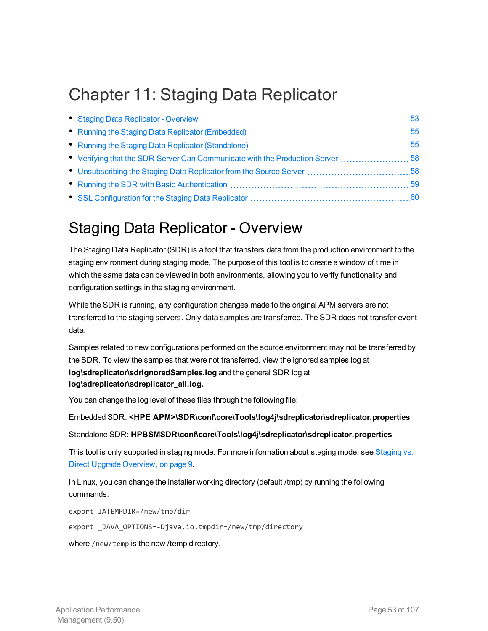## <span id="page-52-0"></span>Chapter 11: Staging Data Replicator

| • Verifying that the SDR Server Can Communicate with the Production Server  58 |  |
|--------------------------------------------------------------------------------|--|
|                                                                                |  |
|                                                                                |  |
|                                                                                |  |

## <span id="page-52-1"></span>Staging Data Replicator - Overview

The Staging Data Replicator (SDR) is a tool that transfers data from the production environment to the staging environment during staging mode. The purpose of this tool is to create a window of time in which the same data can be viewed in both environments, allowing you to verify functionality and configuration settings in the staging environment.

While the SDR is running, any configuration changes made to the original APM servers are not transferred to the staging servers. Only data samples are transferred. The SDR does not transfer event data.

Samples related to new configurations performed on the source environment may not be transferred by the SDR. To view the samples that were not transferred, view the ignored samples log at **log\sdreplicator\sdrIgnoredSamples.log** and the general SDR log at **log\sdreplicator\sdreplicator\_all.log.**

You can change the log level of these files through the following file:

Embedded SDR: **<HPE APM>\SDR\conf\core\Tools\log4j\sdreplicator\sdreplicator.properties**

#### Standalone SDR: **HPBSMSDR\conf\core\Tools\log4j\sdreplicator\sdreplicator.properties**

This tool is only supported in staging mode. For more information about staging mode, see [Staging](#page-8-0) vs. Direct Upgrade [Overview,](#page-8-0) on page 9.

In Linux, you can change the installer working directory (default /tmp) by running the following commands:

export IATEMPDIR=/new/tmp/dir

export \_JAVA\_OPTIONS=-Djava.io.tmpdir=/new/tmp/directory

where /new/temp is the new /temp directory.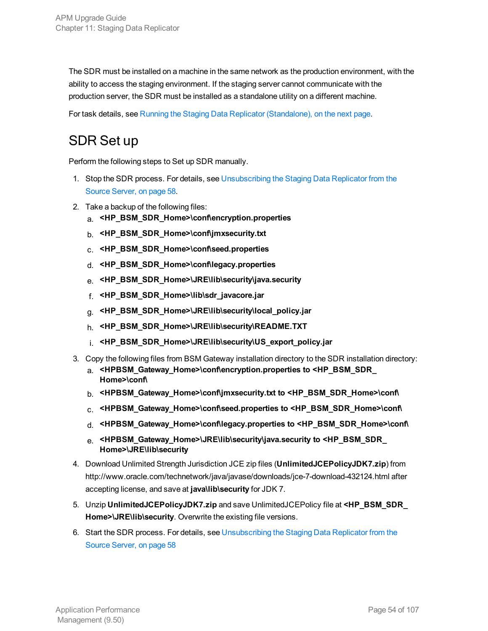The SDR must be installed on a machine in the same network as the production environment, with the ability to access the staging environment. If the staging server cannot communicate with the production server, the SDR must be installed as a standalone utility on a different machine.

For task details, see Running the Staging Data Replicator [\(Standalone\),](#page-54-1) on the next page.

## SDR Set up

Perform the following steps to Set up SDR manually.

- 1. Stop the SDR process. For details, see [Unsubscribing](#page-57-1) the Staging Data Replicator from the Source [Server,](#page-57-1) on page 58.
- 2. Take a backup of the following files:
	- a. **<HP\_BSM\_SDR\_Home>\conf\encryption.properties**
	- b. **<HP\_BSM\_SDR\_Home>\conf\jmxsecurity.txt**
	- c. **<HP\_BSM\_SDR\_Home>\conf\seed.properties**
	- d. **<HP\_BSM\_SDR\_Home>\conf\legacy.properties**
	- e. **<HP\_BSM\_SDR\_Home>\JRE\lib\security\java.security**
	- f. **<HP\_BSM\_SDR\_Home>\lib\sdr\_javacore.jar**
	- g. **<HP\_BSM\_SDR\_Home>\JRE\lib\security\local\_policy.jar**
	- h. **<HP\_BSM\_SDR\_Home>\JRE\lib\security\README.TXT**
	- i. **<HP\_BSM\_SDR\_Home>\JRE\lib\security\US\_export\_policy.jar**
- 3. Copy the following files from BSM Gateway installation directory to the SDR installation directory:
	- a. **<HPBSM\_Gateway\_Home>\conf\encryption.properties to <HP\_BSM\_SDR\_ Home>\conf\**
	- b. **<HPBSM\_Gateway\_Home>\conf\jmxsecurity.txt to <HP\_BSM\_SDR\_Home>\conf\**
	- c. **<HPBSM\_Gateway\_Home>\conf\seed.properties to <HP\_BSM\_SDR\_Home>\conf\**
	- d. **<HPBSM\_Gateway\_Home>\conf\legacy.properties to <HP\_BSM\_SDR\_Home>\conf\**
	- e. **<HPBSM\_Gateway\_Home>\JRE\lib\security\java.security to <HP\_BSM\_SDR\_ Home>\JRE\lib\security**
- 4. Download Unlimited Strength Jurisdiction JCE zip files (**UnlimitedJCEPolicyJDK7.zip**) from http://www.oracle.com/technetwork/java/javase/downloads/jce-7-download-432124.html after accepting license, and save at **java\lib\security** for JDK 7.
- 5. Unzip **UnlimitedJCEPolicyJDK7.zip** and save UnlimitedJCEPolicy file at **<HP\_BSM\_SDR\_ Home>\JRE\lib\security**. Overwrite the existing file versions.
- 6. Start the SDR process. For details, see [Unsubscribing](#page-57-1) the Staging Data Replicator from the Source [Server,](#page-57-1) on page 58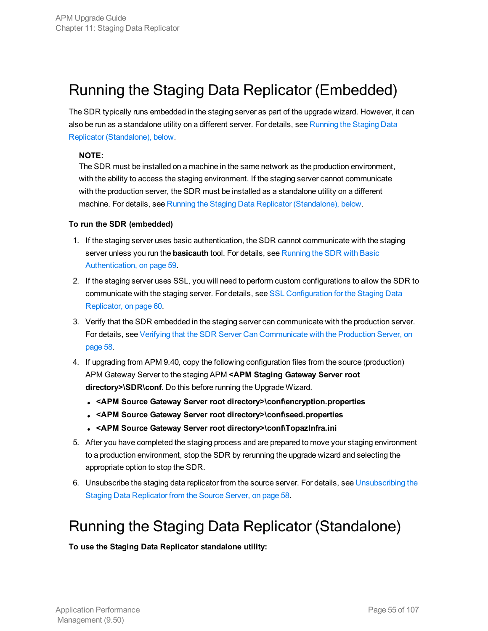## <span id="page-54-0"></span>Running the Staging Data Replicator (Embedded)

The SDR typically runs embedded in the staging server as part of the upgrade wizard. However, it can also be run as a standalone utility on a different server. For details, see [Running](#page-54-1) the Staging Data Replicator [\(Standalone\),](#page-54-1) below.

#### **NOTE:**

The SDR must be installed on a machine in the same network as the production environment, with the ability to access the staging environment. If the staging server cannot communicate with the production server, the SDR must be installed as a standalone utility on a different machine. For details, see Running the Staging Data Replicator [\(Standalone\),](#page-54-1) below.

#### **To run the SDR (embedded)**

- 1. If the staging server uses basic authentication, the SDR cannot communicate with the staging server unless you run the **basicauth** tool. For details, see [Running](#page-58-0) the SDR with Basic [Authentication,](#page-58-0) on page 59.
- 2. If the staging server uses SSL, you will need to perform custom configurations to allow the SDR to communicate with the staging server. For details, see SSL [Configuration](#page-59-0) for the Staging Data [Replicator,](#page-59-0) on page 60.
- 3. Verify that the SDR embedded in the staging server can communicate with the production server. For details, see Verifying that the SDR Server Can [Communicate](#page-57-0) with the Production Server, on [page](#page-57-0) 58.
- 4. If upgrading from APM 9.40, copy the following configuration files from the source (production) APM Gateway Server to the staging APM **<APM Staging Gateway Server root directory>\SDR\conf**. Do this before running the Upgrade Wizard.
	- <sup>l</sup> **<APM Source Gateway Server root directory>\conf\encryption.properties**
	- <sup>l</sup> **<APM Source Gateway Server root directory>\conf\seed.properties**
	- <sup>l</sup> **<APM Source Gateway Server root directory>\conf\TopazInfra.ini**
- 5. After you have completed the staging process and are prepared to move your staging environment to a production environment, stop the SDR by rerunning the upgrade wizard and selecting the appropriate option to stop the SDR.
- 6. Unsubscribe the staging data replicator from the source server. For details, see [Unsubscribing](#page-57-1) the Staging Data [Replicator](#page-57-1) from the Source Server, on page 58.

## <span id="page-54-1"></span>Running the Staging Data Replicator (Standalone)

**To use the Staging Data Replicator standalone utility:**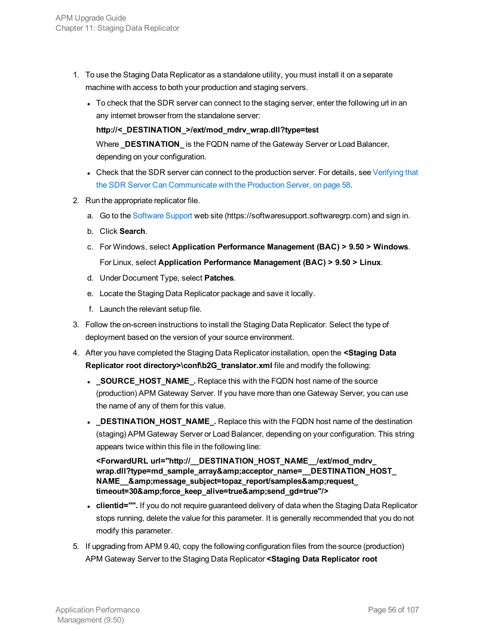- 1. To use the Staging Data Replicator as a standalone utility, you must install it on a separate machine with access to both your production and staging servers.
	- To check that the SDR server can connect to the staging server, enter the following url in an any internet browser from the standalone server:

**http://<\_DESTINATION\_>/ext/mod\_mdrv\_wrap.dll?type=test**

Where **\_DESTINATION\_** is the FQDN name of the Gateway Server or Load Balancer, depending on your configuration.

- Check that the SDR server can connect to the production server. For details, see [Verifying](#page-57-0) that the SDR Server Can [Communicate](#page-57-0) with the Production Server, on page 58.
- 2. Run the appropriate replicator file.
	- a. Go to the [Software](https://softwaresupport.softwaregrp.com/) Support web site (https://softwaresupport.softwaregrp.com) and sign in.
	- b. Click **Search**.
	- c. For Windows, select **Application Performance Management (BAC) > 9.50 > Windows**. For Linux, select **Application Performance Management (BAC) > 9.50 > Linux**.
	- d. Under Document Type, select **Patches**.
	- e. Locate the Staging Data Replicator package and save it locally.
	- f. Launch the relevant setup file.
- 3. Follow the on-screen instructions to install the Staging Data Replicator. Select the type of deployment based on the version of your source environment.
- 4. After you have completed the Staging Data Replicator installation, open the **<Staging Data Replicator root directory>\conf\b2G\_translator.xml** file and modify the following:
	- **.** SOURCE\_HOST\_NAME\_. Replace this with the FQDN host name of the source (production) APM Gateway Server. If you have more than one Gateway Server, you can use the name of any of them for this value.
	- **DESTINATION HOST NAME**. Replace this with the FQDN host name of the destination (staging) APM Gateway Server or Load Balancer, depending on your configuration. This string appears twice within this file in the following line:

**<ForwardURL url="http://\_\_DESTINATION\_HOST\_NAME\_\_/ext/mod\_mdrv\_ wrap.dll?type=md\_sample\_array&acceptor\_name=\_\_DESTINATION\_HOST\_** NAME\_\_&message\_subject=topaz\_report/samples&request\_ timeout=30&force\_keep\_alive=true&send\_gd=true"/>

- clientid="". If you do not require guaranteed delivery of data when the Staging Data Replicator stops running, delete the value for this parameter. It is generally recommended that you do not modify this parameter.
- 5. If upgrading from APM 9.40, copy the following configuration files from the source (production) APM Gateway Server to the Staging Data Replicator **<Staging Data Replicator root**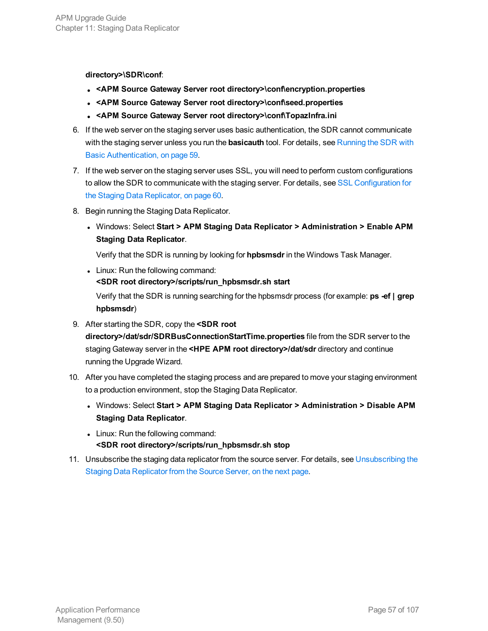#### **directory>\SDR\conf**:

- <sup>l</sup> **<APM Source Gateway Server root directory>\conf\encryption.properties**
- <sup>l</sup> **<APM Source Gateway Server root directory>\conf\seed.properties**
- <sup>l</sup> **<APM Source Gateway Server root directory>\conf\TopazInfra.ini**
- 6. If the web server on the staging server uses basic authentication, the SDR cannot communicate with the staging server unless you run the **basicauth** tool. For details, see [Running](#page-58-0) the SDR with Basic [Authentication,](#page-58-0) on page 59.
- 7. If the web server on the staging server uses SSL, you will need to perform custom configurations to allow the SDR to communicate with the staging server. For details, see SSL [Configuration](#page-59-0) for the Staging Data [Replicator,](#page-59-0) on page 60.
- 8. Begin running the Staging Data Replicator.
	- <sup>l</sup> Windows: Select **Start > APM Staging Data Replicator > Administration > Enable APM Staging Data Replicator**.

Verify that the SDR is running by looking for **hpbsmsdr** in the Windows Task Manager.

- Linux: Run the following command: **<SDR root directory>/scripts/run\_hpbsmsdr.sh start** Verify that the SDR is running searching for the hpbsmsdr process (for example: **ps -ef | grep**
- **hpbsmsdr**) 9. After starting the SDR, copy the **<SDR root**

**directory>/dat/sdr/SDRBusConnectionStartTime.properties** file from the SDR server to the staging Gateway server in the **<HPE APM root directory>/dat/sdr** directory and continue running the Upgrade Wizard.

- 10. After you have completed the staging process and are prepared to move your staging environment to a production environment, stop the Staging Data Replicator.
	- <sup>l</sup> Windows: Select **Start > APM Staging Data Replicator > Administration > Disable APM Staging Data Replicator**.
	- Linux: Run the following command: **<SDR root directory>/scripts/run\_hpbsmsdr.sh stop**
- 11. Unsubscribe the staging data replicator from the source server. For details, see [Unsubscribing](#page-57-1) the Staging Data [Replicator](#page-57-1) from the Source Server, on the next page.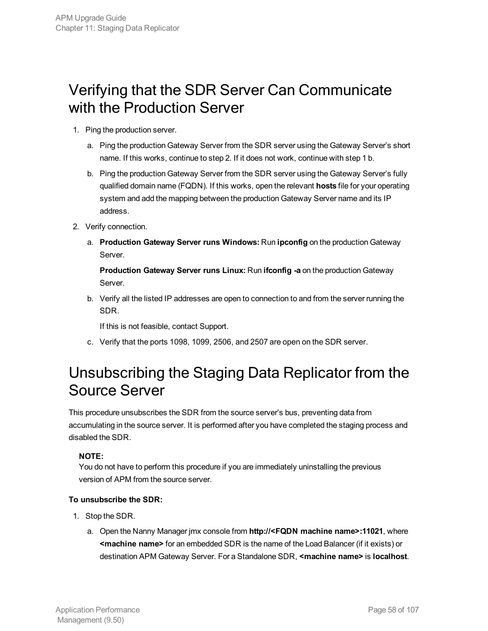## <span id="page-57-0"></span>Verifying that the SDR Server Can Communicate with the Production Server

- 1. Ping the production server.
	- a. Ping the production Gateway Server from the SDR server using the Gateway Server's short name. If this works, continue to step 2. If it does not work, continue with step 1 b.
	- b. Ping the production Gateway Server from the SDR server using the Gateway Server's fully qualified domain name (FQDN). If this works, open the relevant **hosts** file for your operating system and add the mapping between the production Gateway Server name and its IP address.
- 2. Verify connection.
	- a. **Production Gateway Server runs Windows:** Run **ipconfig** on the production Gateway Server.

**Production Gateway Server runs Linux:** Run **ifconfig -a** on the production Gateway Server.

b. Verify all the listed IP addresses are open to connection to and from the server running the SDR.

If this is not feasible, contact Support.

c. Verify that the ports 1098, 1099, 2506, and 2507 are open on the SDR server.

## <span id="page-57-1"></span>Unsubscribing the Staging Data Replicator from the Source Server

This procedure unsubscribes the SDR from the source server's bus, preventing data from accumulating in the source server. It is performed after you have completed the staging process and disabled the SDR.

### **NOTE:**

You do not have to perform this procedure if you are immediately uninstalling the previous version of APM from the source server.

### **To unsubscribe the SDR:**

- 1. Stop the SDR.
	- a. Open the Nanny Manager jmx console from **http://<FQDN machine name>:11021**, where **<machine name>** for an embedded SDR is the name of the Load Balancer (if it exists) or destination APM Gateway Server. For a Standalone SDR, **<machine name>** is **localhost**.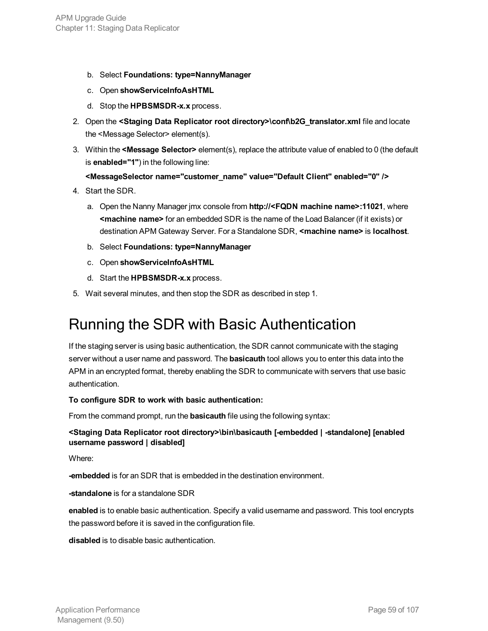- b. Select **Foundations: type=NannyManager**
- c. Open **showServiceInfoAsHTML**
- d. Stop the **HPBSMSDR-x.x** process.
- 2. Open the **<Staging Data Replicator root directory>\conf\b2G\_translator.xml** file and locate the <Message Selector> element(s).
- 3. Within the **<Message Selector>** element(s), replace the attribute value of enabled to 0 (the default is **enabled="1"**) in the following line:

#### **<MessageSelector name="customer\_name" value="Default Client" enabled="0" />**

- 4. Start the SDR.
	- a. Open the Nanny Manager jmx console from **http://<FQDN machine name>:11021**, where **<machine name>** for an embedded SDR is the name of the Load Balancer (if it exists) or destination APM Gateway Server. For a Standalone SDR, **<machine name>** is **localhost**.
	- b. Select **Foundations: type=NannyManager**
	- c. Open **showServiceInfoAsHTML**
	- d. Start the **HPBSMSDR-x.x** process.
- <span id="page-58-0"></span>5. Wait several minutes, and then stop the SDR as described in step 1.

## Running the SDR with Basic Authentication

If the staging server is using basic authentication, the SDR cannot communicate with the staging server without a user name and password. The **basicauth** tool allows you to enter this data into the APM in an encrypted format, thereby enabling the SDR to communicate with servers that use basic authentication.

#### **To configure SDR to work with basic authentication:**

From the command prompt, run the **basicauth** file using the following syntax:

#### **<Staging Data Replicator root directory>\bin\basicauth [-embedded | -standalone] [enabled username password | disabled]**

Where:

**-embedded** is for an SDR that is embedded in the destination environment.

**-standalone** is for a standalone SDR

**enabled** is to enable basic authentication. Specify a valid username and password. This tool encrypts the password before it is saved in the configuration file.

**disabled** is to disable basic authentication.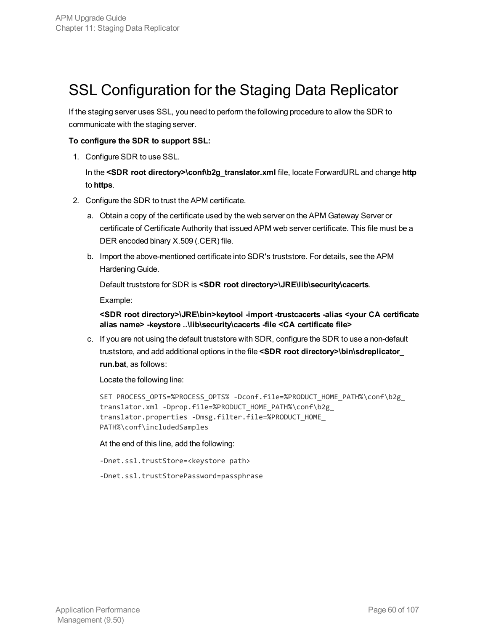## <span id="page-59-0"></span>SSL Configuration for the Staging Data Replicator

If the staging server uses SSL, you need to perform the following procedure to allow the SDR to communicate with the staging server.

#### **To configure the SDR to support SSL:**

1. Configure SDR to use SSL.

In the **<SDR root directory>\conf\b2g\_translator.xml** file, locate ForwardURL and change **http** to **https**.

- 2. Configure the SDR to trust the APM certificate.
	- a. Obtain a copy of the certificate used by the web server on the APM Gateway Server or certificate of Certificate Authority that issued APM web server certificate. This file must be a DER encoded binary X.509 (.CER) file.
	- b. Import the above-mentioned certificate into SDR's truststore. For details, see the APM Hardening Guide.

Default truststore for SDR is **<SDR root directory>\JRE\lib\security\cacerts**.

Example:

**<SDR root directory>\JRE\bin>keytool -import -trustcacerts -alias <your CA certificate alias name> -keystore ..\lib\security\cacerts -file <CA certificate file>**

c. If you are not using the default truststore with SDR, configure the SDR to use a non-default truststore, and add additional options in the file **<SDR root directory>\bin\sdreplicator\_ run.bat**, as follows:

Locate the following line:

```
SET PROCESS_OPTS=%PROCESS_OPTS% -Dconf.file=%PRODUCT_HOME_PATH%\conf\b2g_
translator.xml -Dprop.file=%PRODUCT_HOME_PATH%\conf\b2g_
translator.properties -Dmsg.filter.file=%PRODUCT_HOME_
PATH%\conf\includedSamples
```
#### At the end of this line, add the following:

-Dnet.ssl.trustStore=<keystore path>

-Dnet.ssl.trustStorePassword=passphrase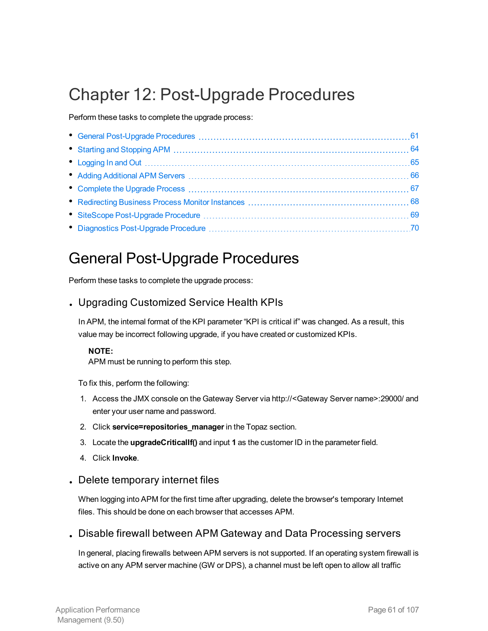## Chapter 12: Post-Upgrade Procedures

Perform these tasks to complete the upgrade process:

## <span id="page-60-0"></span>General Post-Upgrade Procedures

Perform these tasks to complete the upgrade process:

## . Upgrading Customized Service Health KPIs

In APM, the internal format of the KPI parameter "KPI is critical if" was changed. As a result, this value may be incorrect following upgrade, if you have created or customized KPIs.

#### **NOTE:**

APM must be running to perform this step.

To fix this, perform the following:

- 1. Access the JMX console on the Gateway Server via http://<Gateway Server name>:29000/ and enter your user name and password.
- 2. Click **service=repositories\_manager** in the Topaz section.
- 3. Locate the **upgradeCriticalIf()** and input **1** as the customer ID in the parameter field.
- 4. Click **Invoke**.

### . Delete temporary internet files

When logging into APM for the first time after upgrading, delete the browser's temporary Internet files. This should be done on each browser that accesses APM.

### . Disable firewall between APM Gateway and Data Processing servers

In general, placing firewalls between APM servers is not supported. If an operating system firewall is active on any APM server machine (GW or DPS), a channel must be left open to allow all traffic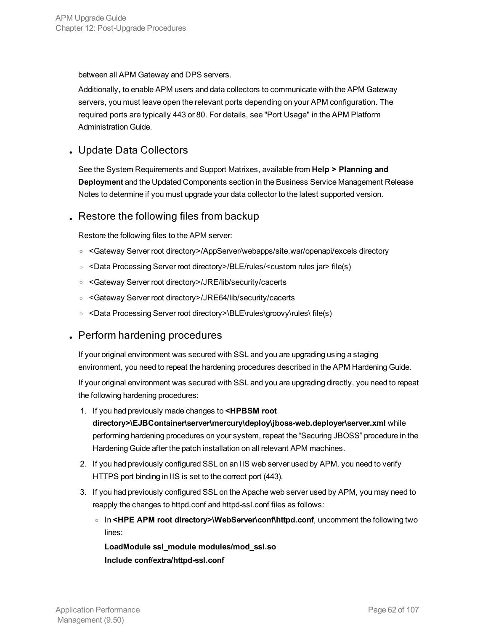between all APM Gateway and DPS servers.

Additionally, to enable APM users and data collectors to communicate with the APM Gateway servers, you must leave open the relevant ports depending on your APM configuration. The required ports are typically 443 or 80. For details, see "Port Usage" in the APM Platform Administration Guide.

## . Update Data Collectors

See the System Requirements and Support Matrixes, available from **Help > Planning and Deployment** and the Updated Components section in the Business Service Management Release Notes to determine if you must upgrade your data collector to the latest supported version.

## . Restore the following files from backup

Restore the following files to the APM server:

- <sup>o</sup> <Gateway Server root directory>/AppServer/webapps/site.war/openapi/excels directory
- <sup>o</sup> <Data Processing Server root directory>/BLE/rules/<custom rules jar> file(s)
- <sup>o</sup> <Gateway Server root directory>/JRE/lib/security/cacerts
- <sup>o</sup> <Gateway Server root directory>/JRE64/lib/security/cacerts
- <sup>o</sup> <Data Processing Server root directory>\BLE\rules\groovy\rules\ file(s)

### . Perform hardening procedures

If your original environment was secured with SSL and you are upgrading using a staging environment, you need to repeat the hardening procedures described in the APM Hardening Guide.

If your original environment was secured with SSL and you are upgrading directly, you need to repeat the following hardening procedures:

- 1. If you had previously made changes to **<HPBSM root directory>\EJBContainer\server\mercury\deploy\jboss-web.deployer\server.xml** while performing hardening procedures on your system, repeat the "Securing JBOSS" procedure in the Hardening Guide after the patch installation on all relevant APM machines.
- 2. If you had previously configured SSL on an IIS web server used by APM, you need to verify HTTPS port binding in IIS is set to the correct port (443).
- 3. If you had previously configured SSL on the Apache web server used by APM, you may need to reapply the changes to httpd.conf and httpd-ssl.conf files as follows:
	- <sup>o</sup> In **<HPE APM root directory>\WebServer\conf\httpd.conf**, uncomment the following two lines:

**LoadModule ssl\_module modules/mod\_ssl.so Include conf/extra/httpd-ssl.conf**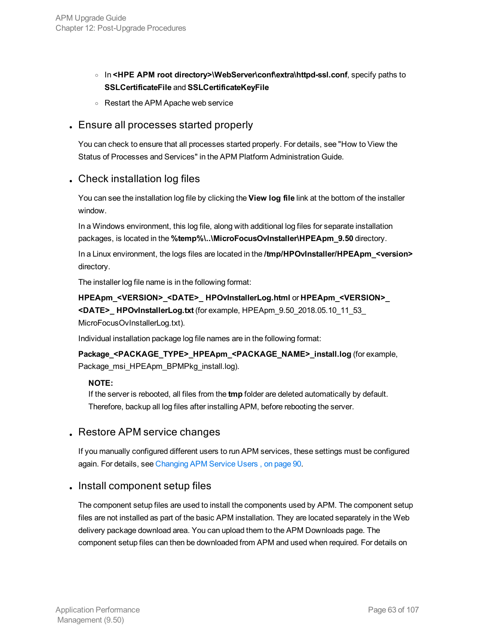- <sup>o</sup> In **<HPE APM root directory>\WebServer\conf\extra\httpd-ssl.conf**, specify paths to **SSLCertificateFile** and **SSLCertificateKeyFile**
- <sup>o</sup> Restart the APM Apache web service

### . Ensure all processes started properly

You can check to ensure that all processes started properly. For details, see "How to View the Status of Processes and Services" in the APM Platform Administration Guide.

### . Check installation log files

You can see the installation log file by clicking the **View log file** link at the bottom of the installer window.

In a Windows environment, this log file, along with additional log files for separate installation packages, is located in the **%temp%\..\MicroFocusOvInstaller\HPEApm\_9.50** directory.

In a Linux environment, the logs files are located in the **/tmp/HPOvInstaller/HPEApm\_<version>** directory.

The installer log file name is in the following format:

**HPEApm\_<VERSION>\_<DATE>\_ HPOvInstallerLog.html** or **HPEApm\_<VERSION>\_ <DATE>\_ HPOvInstallerLog.txt** (for example, HPEApm\_9.50\_2018.05.10\_11\_53\_ MicroFocusOvInstallerLog.txt).

Individual installation package log file names are in the following format:

**Package\_<PACKAGE\_TYPE>\_HPEApm\_<PACKAGE\_NAME>\_install.log** (for example, Package\_msi\_HPEApm\_BPMPkg\_install.log).

#### **NOTE:**

If the server is rebooted, all files from the **tmp** folder are deleted automatically by default. Therefore, backup all log files after installing APM, before rebooting the server.

### . Restore APM service changes

If you manually configured different users to run APM services, these settings must be configured again. For details, see [Changing](#page-89-0) APM Service Users , on page 90.

### . Install component setup files

The component setup files are used to install the components used by APM. The component setup files are not installed as part of the basic APM installation. They are located separately in the Web delivery package download area. You can upload them to the APM Downloads page. The component setup files can then be downloaded from APM and used when required. For details on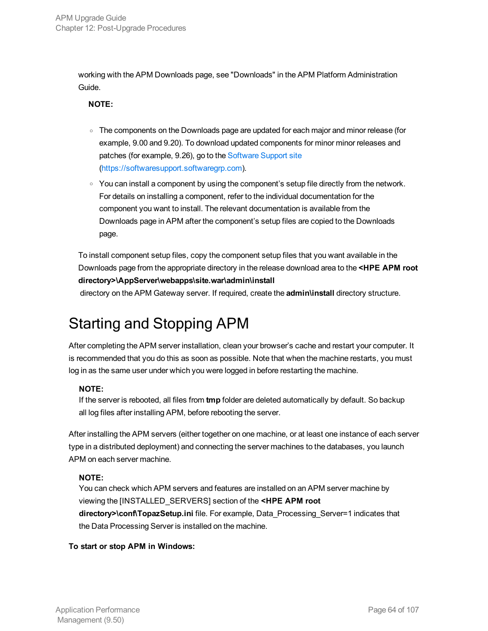working with the APM Downloads page, see "Downloads" in the APM Platform Administration Guide.

#### **NOTE:**

- The components on the Downloads page are updated for each major and minor release (for example, 9.00 and 9.20). To download updated components for minor minor releases and patches (for example, 9.26), go to the [Software](https://softwaresupport.hpe.com/) Support site ([https://softwaresupport.softwaregrp.com\)](https://softwaresupport.softwaregrp.com/).
- $\circ$  You can install a component by using the component's setup file directly from the network. For details on installing a component, refer to the individual documentation for the component you want to install. The relevant documentation is available from the Downloads page in APM after the component's setup files are copied to the Downloads page.

To install component setup files, copy the component setup files that you want available in the Downloads page from the appropriate directory in the release download area to the **<HPE APM root directory>\AppServer\webapps\site.war\admin\install**

<span id="page-63-0"></span>directory on the APM Gateway server. If required, create the **admin\install** directory structure.

## Starting and Stopping APM

After completing the APM server installation, clean your browser's cache and restart your computer. It is recommended that you do this as soon as possible. Note that when the machine restarts, you must log in as the same user under which you were logged in before restarting the machine.

### **NOTE:**

If the server is rebooted, all files from **tmp** folder are deleted automatically by default. So backup all log files after installing APM, before rebooting the server.

After installing the APM servers (either together on one machine, or at least one instance of each server type in a distributed deployment) and connecting the server machines to the databases, you launch APM on each server machine.

### **NOTE:**

You can check which APM servers and features are installed on an APM server machine by viewing the [INSTALLED\_SERVERS] section of the **<HPE APM root directory>\conf\TopazSetup.ini** file. For example, Data\_Processing\_Server=1 indicates that the Data Processing Server is installed on the machine.

### **To start or stop APM in Windows:**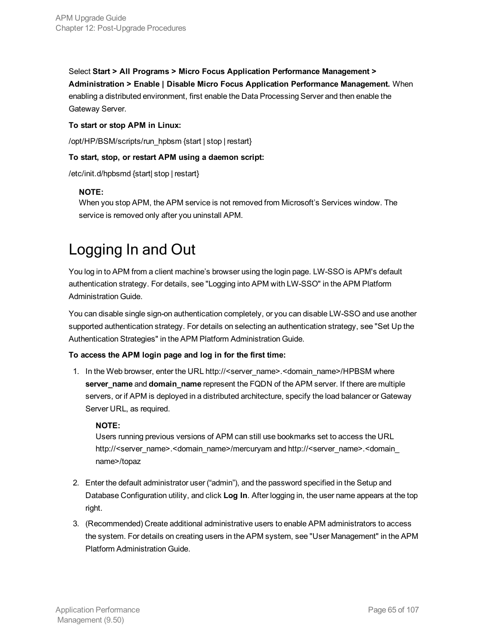Select **Start > All Programs > Micro Focus Application Performance Management > Administration > Enable | Disable Micro Focus Application Performance Management.** When enabling a distributed environment, first enable the Data Processing Server and then enable the Gateway Server.

#### **To start or stop APM in Linux:**

/opt/HP/BSM/scripts/run\_hpbsm {start | stop | restart}

#### **To start, stop, or restart APM using a daemon script:**

/etc/init.d/hpbsmd {start| stop | restart}

#### **NOTE:**

When you stop APM, the APM service is not removed from Microsoft's Services window. The service is removed only after you uninstall APM.

## <span id="page-64-0"></span>Logging In and Out

You log in to APM from a client machine's browser using the login page. LW-SSO is APM's default authentication strategy. For details, see "Logging into APM with LW-SSO" in the APM Platform Administration Guide.

You can disable single sign-on authentication completely, or you can disable LW-SSO and use another supported authentication strategy. For details on selecting an authentication strategy, see "Set Up the Authentication Strategies" in the APM Platform Administration Guide.

### **To access the APM login page and log in for the first time:**

1. In the Web browser, enter the URL http://<server\_name>.<domain\_name>/HPBSM where **server\_name** and **domain\_name** represent the FQDN of the APM server. If there are multiple servers, or if APM is deployed in a distributed architecture, specify the load balancer or Gateway Server URL, as required.

### **NOTE:**

Users running previous versions of APM can still use bookmarks set to access the URL http://<server\_name>.<domain\_name>/mercuryam and http://<server\_name>.<domain\_ name>/topaz

- 2. Enter the default administrator user ("admin"), and the password specified in the Setup and Database Configuration utility, and click **Log In**. After logging in, the user name appears at the top right.
- 3. (Recommended) Create additional administrative users to enable APM administrators to access the system. For details on creating users in the APM system, see "User Management" in the APM Platform Administration Guide.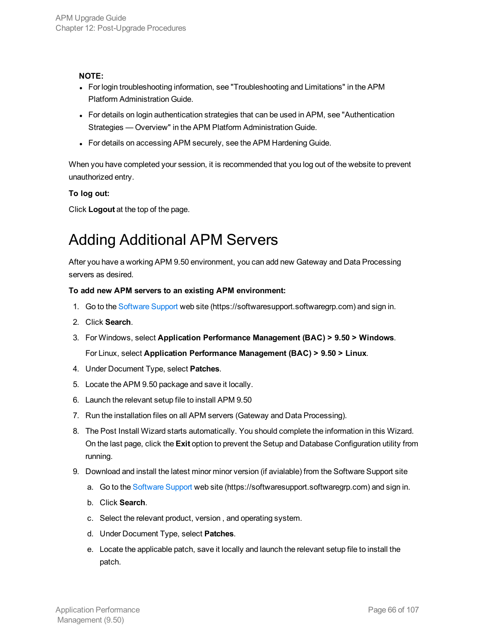#### **NOTE:**

- For login troubleshooting information, see "Troubleshooting and Limitations" in the APM Platform Administration Guide.
- For details on login authentication strategies that can be used in APM, see "Authentication" Strategies — Overview" in the APM Platform Administration Guide.
- For details on accessing APM securely, see the APM Hardening Guide.

When you have completed your session, it is recommended that you log out of the website to prevent unauthorized entry.

### **To log out:**

<span id="page-65-0"></span>Click **Logout** at the top of the page.

## Adding Additional APM Servers

After you have a working APM 9.50 environment, you can add new Gateway and Data Processing servers as desired.

#### **To add new APM servers to an existing APM environment:**

- 1. Go to the [Software](https://softwaresupport.softwaregrp.com/) Support web site (https://softwaresupport.softwaregrp.com) and sign in.
- 2. Click **Search**.
- 3. For Windows, select **Application Performance Management (BAC) > 9.50 > Windows**.

For Linux, select **Application Performance Management (BAC) > 9.50 > Linux**.

- 4. Under Document Type, select **Patches**.
- 5. Locate the APM 9.50 package and save it locally.
- 6. Launch the relevant setup file to install APM 9.50
- 7. Run the installation files on all APM servers (Gateway and Data Processing).
- 8. The Post Install Wizard starts automatically. You should complete the information in this Wizard. On the last page, click the **Exit** option to prevent the Setup and Database Configuration utility from running.
- 9. Download and install the latest minor minor version (if avialable) from the Software Support site
	- a. Go to the [Software](https://softwaresupport.softwaregrp.com/) Support web site (https://softwaresupport.softwaregrp.com) and sign in.
	- b. Click **Search**.
	- c. Select the relevant product, version , and operating system.
	- d. Under Document Type, select **Patches**.
	- e. Locate the applicable patch, save it locally and launch the relevant setup file to install the patch.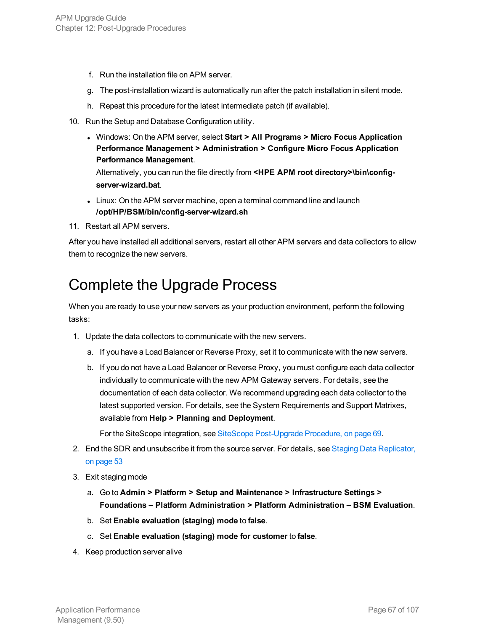- f. Run the installation file on APM server.
- g. The post-installation wizard is automatically run after the patch installation in silent mode.
- h. Repeat this procedure for the latest intermediate patch (if available).
- 10. Run the Setup and Database Configuration utility.
	- <sup>l</sup> Windows: On the APM server, select **Start > All Programs > Micro Focus Application Performance Management > Administration > Configure Micro Focus Application Performance Management**.

Alternatively, you can run the file directly from **<HPE APM root directory>\bin\configserver-wizard.bat**.

- Linux: On the APM server machine, open a terminal command line and launch **/opt/HP/BSM/bin/config-server-wizard.sh**
- 11. Restart all APM servers.

After you have installed all additional servers, restart all other APM servers and data collectors to allow them to recognize the new servers.

## <span id="page-66-0"></span>Complete the Upgrade Process

When you are ready to use your new servers as your production environment, perform the following tasks:

- 1. Update the data collectors to communicate with the new servers.
	- a. If you have a Load Balancer or Reverse Proxy, set it to communicate with the new servers.
	- b. If you do not have a Load Balancer or Reverse Proxy, you must configure each data collector individually to communicate with the new APM Gateway servers. For details, see the documentation of each data collector. We recommend upgrading each data collector to the latest supported version. For details, see the System Requirements and Support Matrixes, available from **Help > Planning and Deployment**.

For the SiteScope integration, see SiteScope [Post-Upgrade](#page-68-0) Procedure, on page 69.

- 2. End the SDR and unsubscribe it from the source server. For details, see Staging Data [Replicator,](#page-52-0) on [page](#page-52-0) 53
- 3. Exit staging mode
	- a. Go to **Admin > Platform > Setup and Maintenance > Infrastructure Settings > Foundations – Platform Administration > Platform Administration – BSM Evaluation**.
	- b. Set **Enable evaluation (staging) mode** to **false**.
	- c. Set **Enable evaluation (staging) mode for customer** to **false**.
- 4. Keep production server alive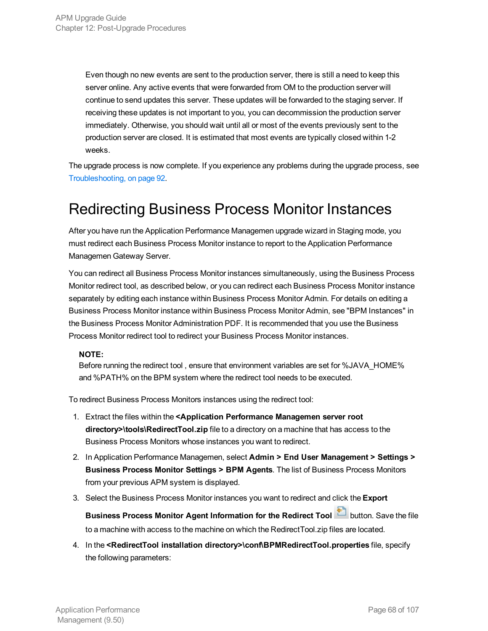Even though no new events are sent to the production server, there is still a need to keep this server online. Any active events that were forwarded from OM to the production server will continue to send updates this server. These updates will be forwarded to the staging server. If receiving these updates is not important to you, you can decommission the production server immediately. Otherwise, you should wait until all or most of the events previously sent to the production server are closed. It is estimated that most events are typically closed within 1-2 weeks.

The upgrade process is now complete. If you experience any problems during the upgrade process, see [Troubleshooting,](#page-91-0) on page 92.

## <span id="page-67-0"></span>Redirecting Business Process Monitor Instances

After you have run the Application Performance Managemen upgrade wizard in Staging mode, you must redirect each Business Process Monitor instance to report to the Application Performance Managemen Gateway Server.

You can redirect all Business Process Monitor instances simultaneously, using the Business Process Monitor redirect tool, as described below, or you can redirect each Business Process Monitor instance separately by editing each instance within Business Process Monitor Admin. For details on editing a Business Process Monitor instance within Business Process Monitor Admin, see "BPM Instances" in the Business Process Monitor Administration PDF. It is recommended that you use the Business Process Monitor redirect tool to redirect your Business Process Monitor instances.

### **NOTE:**

Before running the redirect tool , ensure that environment variables are set for %JAVA\_HOME% and %PATH% on the BPM system where the redirect tool needs to be executed.

To redirect Business Process Monitors instances using the redirect tool:

- 1. Extract the files within the **<Application Performance Managemen server root directory>\tools\RedirectTool.zip** file to a directory on a machine that has access to the Business Process Monitors whose instances you want to redirect.
- 2. In Application Performance Managemen, select **Admin > End User Management > Settings > Business Process Monitor Settings > BPM Agents**. The list of Business Process Monitors from your previous APM system is displayed.
- 3. Select the Business Process Monitor instances you want to redirect and click the **Export**

**Business Process Monitor Agent Information for the Redirect Tool** button. Save the file to a machine with access to the machine on which the RedirectTool.zip files are located.

4. In the **<RedirectTool installation directory>\conf\BPMRedirectTool.properties** file, specify the following parameters: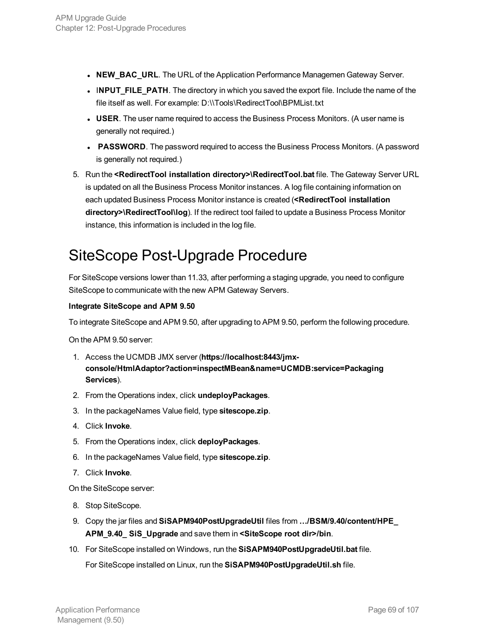- **NEW\_BAC\_URL**. The URL of the Application Performance Managemen Gateway Server.
- **INPUT FILE PATH**. The directory in which you saved the export file. Include the name of the file itself as well. For example: D:\\Tools\RedirectTool\BPMList.txt
- **USER**. The user name required to access the Business Process Monitors. (A user name is generally not required.)
- **PASSWORD**. The password required to access the Business Process Monitors. (A password is generally not required.)
- 5. Run the **<RedirectTool installation directory>\RedirectTool.bat** file. The Gateway Server URL is updated on all the Business Process Monitor instances. A log file containing information on each updated Business Process Monitor instance is created (**<RedirectTool installation directory>\RedirectTool\log**). If the redirect tool failed to update a Business Process Monitor instance, this information is included in the log file.

## <span id="page-68-0"></span>SiteScope Post-Upgrade Procedure

For SiteScope versions lower than 11.33, after performing a staging upgrade, you need to configure SiteScope to communicate with the new APM Gateway Servers.

#### **Integrate SiteScope and APM 9.50**

To integrate SiteScope and APM 9.50, after upgrading to APM 9.50, perform the following procedure.

On the APM 9.50 server:

- 1. Access the UCMDB JMX server (**https://localhost:8443/jmxconsole/HtmlAdaptor?action=inspectMBean&name=UCMDB:service=Packaging Services**).
- 2. From the Operations index, click **undeployPackages**.
- 3. In the packageNames Value field, type **sitescope.zip**.
- 4. Click **Invoke**.
- 5. From the Operations index, click **deployPackages**.
- 6. In the packageNames Value field, type **sitescope.zip**.
- 7. Click **Invoke**.

On the SiteScope server:

- 8. Stop SiteScope.
- 9. Copy the jar files and **SiSAPM940PostUpgradeUtil** files from **…/BSM/9.40/content/HPE\_ APM\_9.40\_ SiS\_Upgrade** and save them in **<SiteScope root dir>/bin**.
- 10. For SiteScope installed on Windows, run the **SiSAPM940PostUpgradeUtil.bat** file.

For SiteScope installed on Linux, run the **SiSAPM940PostUpgradeUtil.sh** file.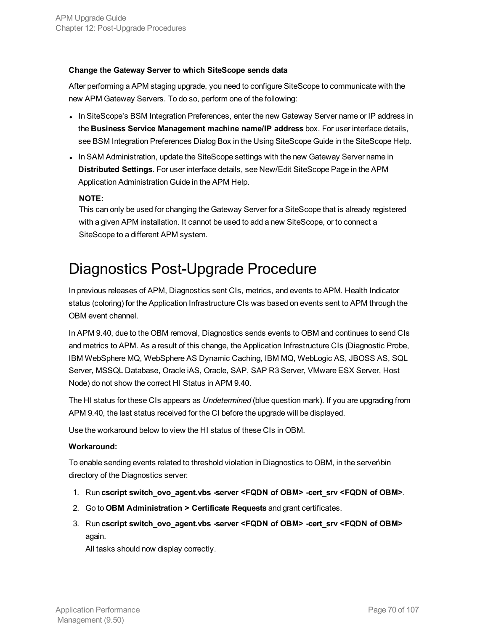#### **Change the Gateway Server to which SiteScope sends data**

After performing a APM staging upgrade, you need to configure SiteScope to communicate with the new APM Gateway Servers. To do so, perform one of the following:

- In SiteScope's BSM Integration Preferences, enter the new Gateway Server name or IP address in the **Business Service Management machine name/IP address** box. For user interface details, see BSM Integration Preferences Dialog Box in the Using SiteScope Guide in the SiteScope Help.
- In SAM Administration, update the SiteScope settings with the new Gateway Server name in **Distributed Settings**. For user interface details, see New/Edit SiteScope Page in the APM Application Administration Guide in the APM Help.

#### **NOTE:**

This can only be used for changing the Gateway Server for a SiteScope that is already registered with a given APM installation. It cannot be used to add a new SiteScope, or to connect a SiteScope to a different APM system.

## <span id="page-69-0"></span>Diagnostics Post-Upgrade Procedure

In previous releases of APM, Diagnostics sent CIs, metrics, and events to APM. Health Indicator status (coloring) for the Application Infrastructure CIs was based on events sent to APM through the OBM event channel.

In APM 9.40, due to the OBM removal, Diagnostics sends events to OBM and continues to send CIs and metrics to APM. As a result of this change, the Application Infrastructure CIs (Diagnostic Probe, IBM WebSphere MQ, WebSphere AS Dynamic Caching, IBM MQ, WebLogic AS, JBOSS AS, SQL Server, MSSQL Database, Oracle iAS, Oracle, SAP, SAP R3 Server, VMware ESX Server, Host Node) do not show the correct HI Status in APM 9.40.

The HI status for these CIs appears as *Undetermined* (blue question mark). If you are upgrading from APM 9.40, the last status received for the CI before the upgrade will be displayed.

Use the workaround below to view the HI status of these CIs in OBM.

#### **Workaround:**

To enable sending events related to threshold violation in Diagnostics to OBM, in the server\bin directory of the Diagnostics server:

- 1. Run **cscript switch\_ovo\_agent.vbs -server <FQDN of OBM> -cert\_srv <FQDN of OBM>**.
- 2. Go to **OBM Administration > Certificate Requests** and grant certificates.
- 3. Run **cscript switch\_ovo\_agent.vbs -server <FQDN of OBM> -cert\_srv <FQDN of OBM>** again.

All tasks should now display correctly.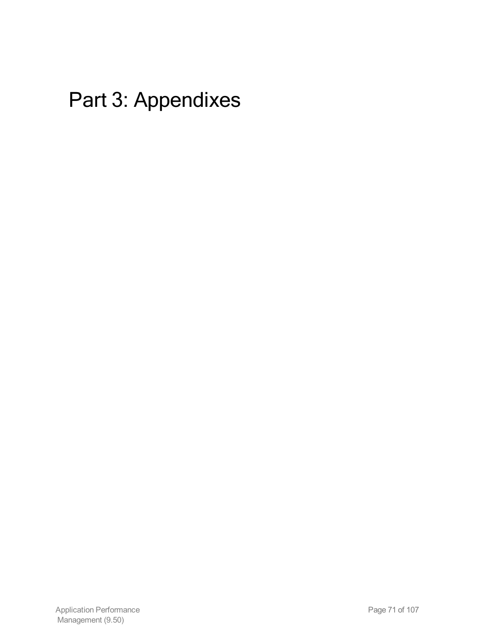# Part 3: Appendixes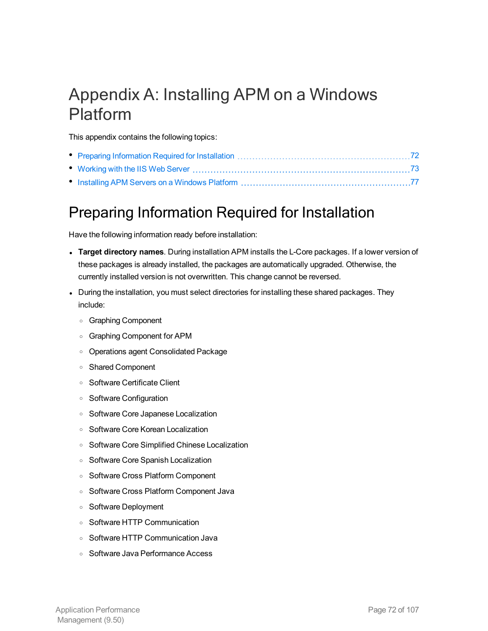## <span id="page-71-0"></span>Appendix A: Installing APM on a Windows Platform

This appendix contains the following topics:

## <span id="page-71-1"></span>Preparing Information Required for Installation

Have the following information ready before installation:

- <sup>l</sup> **Target directory names**. During installation APM installs the L-Core packages. If a lower version of these packages is already installed, the packages are automatically upgraded. Otherwise, the currently installed version is not overwritten. This change cannot be reversed.
- During the installation, you must select directories for installing these shared packages. They include:
	- <sup>o</sup> Graphing Component
	- <sup>o</sup> Graphing Component for APM
	- <sup>o</sup> Operations agent Consolidated Package
	- <sup>o</sup> Shared Component
	- <sup>o</sup> Software Certificate Client
	- <sup>o</sup> Software Configuration
	- <sup>o</sup> Software Core Japanese Localization
	- <sup>o</sup> Software Core Korean Localization
	- <sup>o</sup> Software Core Simplified Chinese Localization
	- <sup>o</sup> Software Core Spanish Localization
	- <sup>o</sup> Software Cross Platform Component
	- <sup>o</sup> Software Cross Platform Component Java
	- <sup>o</sup> Software Deployment
	- <sup>o</sup> Software HTTP Communication
	- <sup>o</sup> Software HTTP Communication Java
	- <sup>o</sup> Software Java Performance Access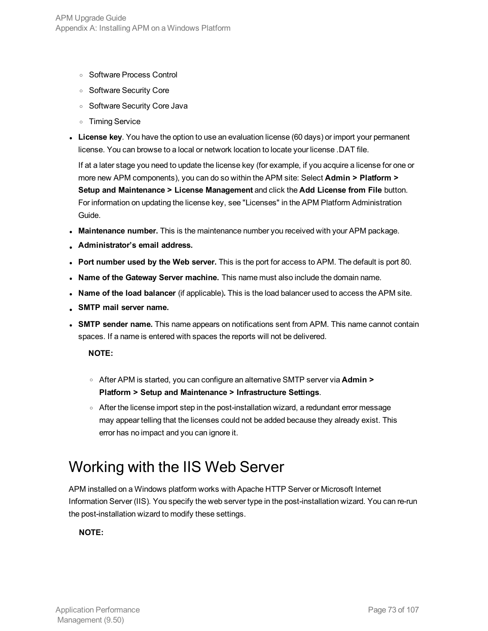- <sup>o</sup> Software Process Control
- <sup>o</sup> Software Security Core
- <sup>o</sup> Software Security Core Java
- <sup>o</sup> Timing Service
- **License key**. You have the option to use an evaluation license (60 days) or import your permanent license. You can browse to a local or network location to locate your license .DAT file.

If at a later stage you need to update the license key (for example, if you acquire a license for one or more new APM components), you can do so within the APM site: Select **Admin > Platform > Setup and Maintenance > License Management** and click the **Add License from File** button. For information on updating the license key, see "Licenses" in the APM Platform Administration Guide.

- <sup>l</sup> **Maintenance number.** This is the maintenance number you received with your APM package.
- <sup>l</sup> **Administrator's email address.**
- <sup>l</sup> **Port number used by the Web server.** This is the port for access to APM. The default is port 80.
- <sup>l</sup> **Name of the Gateway Server machine.** This name must also include the domain name.
- <sup>l</sup> **Name of the load balancer** (if applicable)**.** This is the load balancer used to access the APM site.
- <sup>l</sup> **SMTP mail server name.**
- <sup>l</sup> **SMTP sender name.** This name appears on notifications sent from APM. This name cannot contain spaces. If a name is entered with spaces the reports will not be delivered.

**NOTE:**

- <sup>o</sup> After APM is started, you can configure an alternative SMTP server via **Admin > Platform > Setup and Maintenance > Infrastructure Settings**.
- After the license import step in the post-installation wizard, a redundant error message may appear telling that the licenses could not be added because they already exist. This error has no impact and you can ignore it.

## <span id="page-72-0"></span>Working with the IIS Web Server

APM installed on a Windows platform works with Apache HTTP Server or Microsoft Internet Information Server (IIS). You specify the web server type in the post-installation wizard. You can re-run the post-installation wizard to modify these settings.

#### **NOTE:**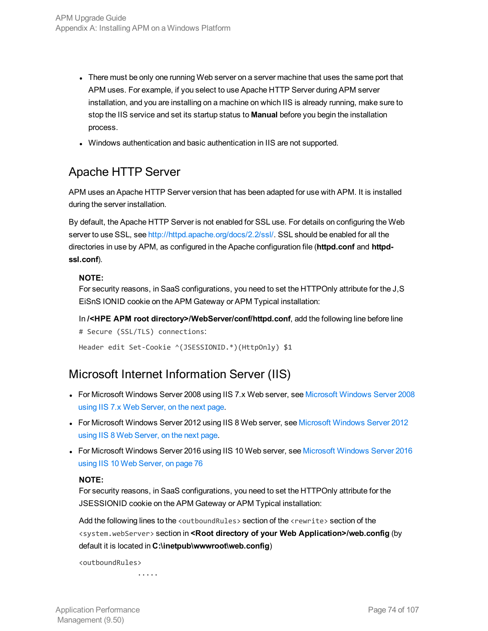- There must be only one running Web server on a server machine that uses the same port that APM uses. For example, if you select to use Apache HTTP Server during APM server installation, and you are installing on a machine on which IIS is already running, make sure to stop the IIS service and set its startup status to **Manual** before you begin the installation process.
- Windows authentication and basic authentication in IIS are not supported.

### Apache HTTP Server

APM uses an Apache HTTP Server version that has been adapted for use with APM. It is installed during the server installation.

By default, the Apache HTTP Server is not enabled for SSL use. For details on configuring the Web server to use SSL, see [http://httpd.apache.org/docs/2.2/ssl/.](http://httpd.apache.org/docs/2.2/ssl/) SSL should be enabled for all the directories in use by APM, as configured in the Apache configuration file (**httpd.conf** and **httpdssl.conf**).

#### **NOTE:**

For security reasons, in SaaS configurations, you need to set the HTTPOnly attribute for the J,S EiSnS IONID cookie on the APM Gateway or APM Typical installation:

In **/<HPE APM root directory>/WebServer/conf/httpd.conf**, add the following line before line # Secure (SSL/TLS) connections:

Header edit Set-Cookie ^(JSESSIONID.\*)(HttpOnly) \$1

### Microsoft Internet Information Server (IIS)

- For [Microsoft](#page-74-0) Windows Server 2008 using IIS 7.x Web server, see Microsoft Windows Server 2008 using IIS 7.x Web [Server,](#page-74-0) on the next page.
- For [Microsoft](#page-74-1) Windows Server 2012 using IIS 8 Web server, see Microsoft Windows Server 2012 using IIS 8 Web [Server,](#page-74-1) on the next page.
- For [Microsoft](#page-75-0) Windows Server 2016 using IIS 10 Web server, see Microsoft Windows Server 2016 using IIS 10 Web [Server,](#page-75-0) on page 76

#### **NOTE:**

For security reasons, in SaaS configurations, you need to set the HTTPOnly attribute for the JSESSIONID cookie on the APM Gateway or APM Typical installation:

Add the following lines to the <outboundRules> section of the <rewrite> section of the <system.webServer> section in **<Root directory of your Web Application>/web.config** (by default it is located in **C:\inetpub\wwwroot\web.config**)

<outboundRules>

.....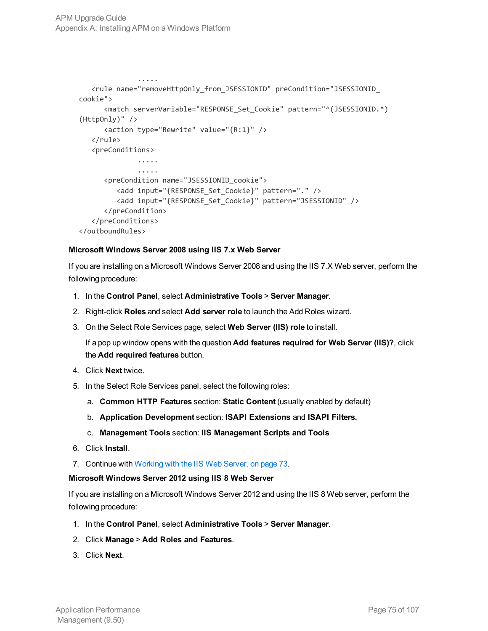```
.....
   <rule name="removeHttpOnly_from_JSESSIONID" preCondition="JSESSIONID_
cookie">
      <match serverVariable="RESPONSE_Set_Cookie" pattern="^(JSESSIONID.*)
(HttpOnly)" />
      <action type="Rewrite" value="{R:1}" />
   \langlerule\rangle<preConditions>
              .....
              .....
      <preCondition name="JSESSIONID_cookie">
         <add input="{RESPONSE_Set_Cookie}" pattern="." />
         <add input="{RESPONSE_Set_Cookie}" pattern="JSESSIONID" />
      </preCondition>
   </preConditions>
</outboundRules>
```
#### <span id="page-74-0"></span>**Microsoft Windows Server 2008 using IIS 7.x Web Server**

If you are installing on a Microsoft Windows Server 2008 and using the IIS 7.X Web server, perform the following procedure:

- 1. In the **Control Panel**, select **Administrative Tools** > **Server Manager**.
- 2. Right-click **Roles** and select **Add server role** to launch the Add Roles wizard.
- 3. On the Select Role Services page, select **Web Server (IIS) role** to install.

If a pop up window opens with the question **Add features required for Web Server (IIS)?**, click the **Add required features** button.

- 4. Click **Next** twice.
- 5. In the Select Role Services panel, select the following roles:
	- a. **Common HTTP Features** section: **Static Content** (usually enabled by default)
	- b. **Application Development** section: **ISAPI Extensions** and **ISAPI Filters.**
	- c. **Management Tools** section: **IIS Management Scripts and Tools**
- 6. Click **Install**.
- <span id="page-74-1"></span>7. Continue with [Working](#page-72-0) with the IIS Web Server, on page 73.

#### **Microsoft Windows Server 2012 using IIS 8 Web Server**

If you are installing on a Microsoft Windows Server 2012 and using the IIS 8 Web server, perform the following procedure:

- 1. In the **Control Panel**, select **Administrative Tools** > **Server Manager**.
- 2. Click **Manage** > **Add Roles and Features**.
- 3. Click **Next**.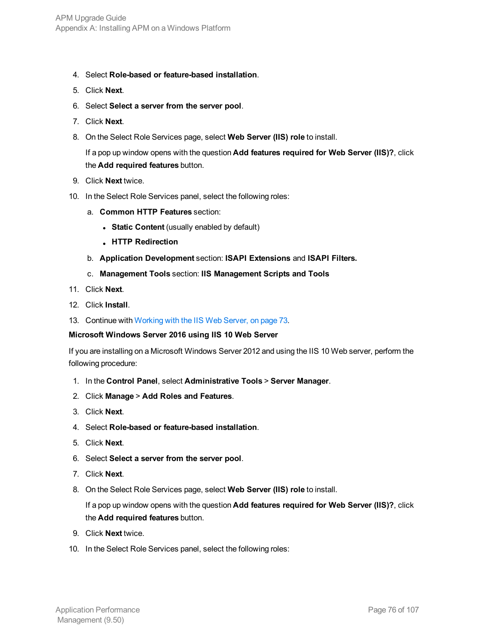- 4. Select **Role-based or feature-based installation**.
- 5. Click **Next**.
- 6. Select **Select a server from the server pool**.
- 7. Click **Next**.
- 8. On the Select Role Services page, select **Web Server (IIS) role** to install.

If a pop up window opens with the question **Add features required for Web Server (IIS)?**, click the **Add required features** button.

- 9. Click **Next** twice.
- 10. In the Select Role Services panel, select the following roles:
	- a. **Common HTTP Features** section:
		- **.** Static Content (usually enabled by default)
		- <sup>l</sup> **HTTP Redirection**
	- b. **Application Development** section: **ISAPI Extensions** and **ISAPI Filters.**
	- c. **Management Tools** section: **IIS Management Scripts and Tools**
- 11. Click **Next**.
- 12. Click **Install**.
- <span id="page-75-0"></span>13. Continue with [Working](#page-72-0) with the IIS Web Server, on page 73.

#### **Microsoft Windows Server 2016 using IIS 10 Web Server**

If you are installing on a Microsoft Windows Server 2012 and using the IIS 10 Web server, perform the following procedure:

- 1. In the **Control Panel**, select **Administrative Tools** > **Server Manager**.
- 2. Click **Manage** > **Add Roles and Features**.
- 3. Click **Next**.
- 4. Select **Role-based or feature-based installation**.
- 5. Click **Next**.
- 6. Select **Select a server from the server pool**.
- 7. Click **Next**.
- 8. On the Select Role Services page, select **Web Server (IIS) role** to install.

If a pop up window opens with the question **Add features required for Web Server (IIS)?**, click the **Add required features** button.

- 9. Click **Next** twice.
- 10. In the Select Role Services panel, select the following roles: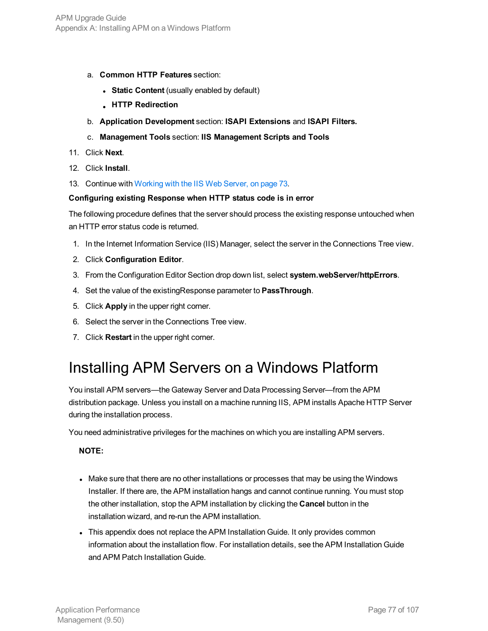- a. **Common HTTP Features** section:
	- **.** Static Content (usually enabled by default)
	- <sup>l</sup> **HTTP Redirection**
- b. **Application Development** section: **ISAPI Extensions** and **ISAPI Filters.**
- c. **Management Tools** section: **IIS Management Scripts and Tools**
- 11. Click **Next**.
- 12. Click **Install**.
- 13. Continue with [Working](#page-72-0) with the IIS Web Server, on page 73.

#### **Configuring existing Response when HTTP status code is in error**

The following procedure defines that the server should process the existing response untouched when an HTTP error status code is returned.

- 1. In the Internet Information Service (IIS) Manager, select the server in the Connections Tree view.
- 2. Click **Configuration Editor**.
- 3. From the Configuration Editor Section drop down list, select **system.webServer/httpErrors**.
- 4. Set the value of the existingResponse parameter to **PassThrough**.
- 5. Click **Apply** in the upper right corner.
- 6. Select the server in the Connections Tree view.
- 7. Click **Restart** in the upper right corner.

## Installing APM Servers on a Windows Platform

You install APM servers—the Gateway Server and Data Processing Server—from the APM distribution package. Unless you install on a machine running IIS, APM installs Apache HTTP Server during the installation process.

You need administrative privileges for the machines on which you are installing APM servers.

#### **NOTE:**

- Make sure that there are no other installations or processes that may be using the Windows Installer. If there are, the APM installation hangs and cannot continue running. You must stop the other installation, stop the APM installation by clicking the **Cancel** button in the installation wizard, and re-run the APM installation.
- This appendix does not replace the APM Installation Guide. It only provides common information about the installation flow. For installation details, see the APM Installation Guide and APM Patch Installation Guide.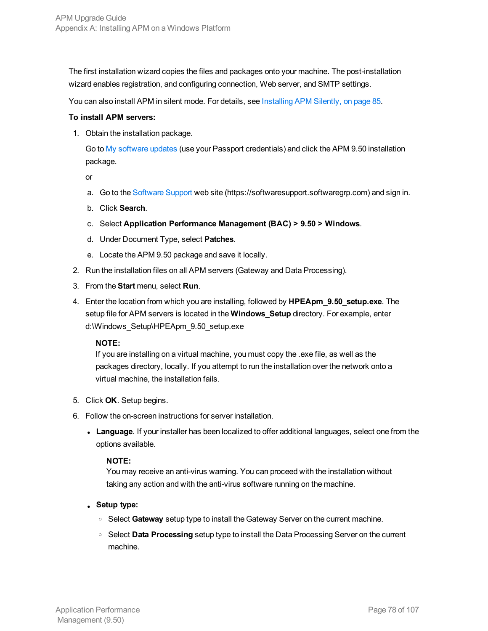The first installation wizard copies the files and packages onto your machine. The post-installation wizard enables registration, and configuring connection, Web server, and SMTP settings.

You can also install APM in silent mode. For details, see Installing [APM Silently,](#page-84-0) on page 85.

#### **To install APM servers:**

1. Obtain the installation package.

Go to My [software](https://h20575.www2.hpe.com/usbportal/softwareupdate.do) updates (use your Passport credentials) and click the APM 9.50 installation package.

or

- a. Go to the [Software](https://softwaresupport.softwaregrp.com/) Support web site (https://softwaresupport.softwaregrp.com) and sign in.
- b. Click **Search**.
- c. Select **Application Performance Management (BAC) > 9.50 > Windows**.
- d. Under Document Type, select **Patches**.
- e. Locate the APM 9.50 package and save it locally.
- 2. Run the installation files on all APM servers (Gateway and Data Processing).
- 3. From the **Start** menu, select **Run**.
- 4. Enter the location from which you are installing, followed by **HPEApm\_9.50\_setup.exe**. The setup file for APM servers is located in the **Windows\_Setup** directory. For example, enter d:\Windows\_Setup\HPEApm\_9.50\_setup.exe

#### **NOTE:**

If you are installing on a virtual machine, you must copy the .exe file, as well as the packages directory, locally. If you attempt to run the installation over the network onto a virtual machine, the installation fails.

- 5. Click **OK**. Setup begins.
- 6. Follow the on-screen instructions for server installation.
	- **Language**. If your installer has been localized to offer additional languages, select one from the options available.

#### **NOTE:**

You may receive an anti-virus warning. You can proceed with the installation without taking any action and with the anti-virus software running on the machine.

- <sup>l</sup> **Setup type:**
	- <sup>o</sup> Select **Gateway** setup type to install the Gateway Server on the current machine.
	- <sup>o</sup> Select **Data Processing** setup type to install the Data Processing Server on the current machine.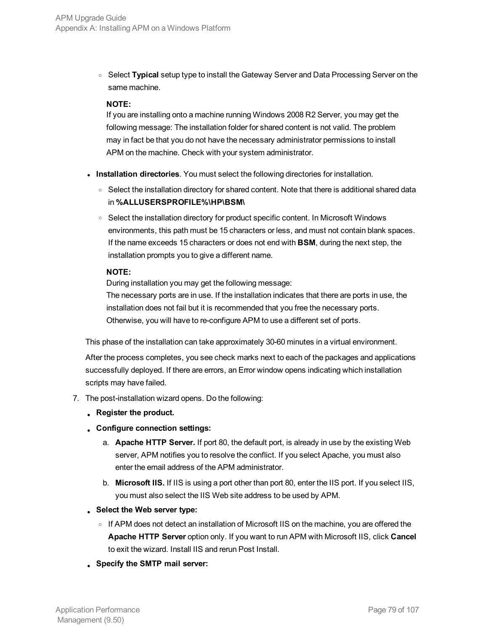<sup>o</sup> Select **Typical** setup type to install the Gateway Server and Data Processing Server on the same machine.

#### **NOTE:**

If you are installing onto a machine running Windows 2008 R2 Server, you may get the following message: The installation folder for shared content is not valid. The problem may in fact be that you do not have the necessary administrator permissions to install APM on the machine. Check with your system administrator.

- **Installation directories**. You must select the following directories for installation.
	- Select the installation directory for shared content. Note that there is additional shared data in **%ALLUSERSPROFILE%\HP\BSM\**
	- o Select the installation directory for product specific content. In Microsoft Windows environments, this path must be 15 characters or less, and must not contain blank spaces. If the name exceeds 15 characters or does not end with **BSM**, during the next step, the installation prompts you to give a different name.

#### **NOTE:**

During installation you may get the following message:

The necessary ports are in use. If the installation indicates that there are ports in use, the installation does not fail but it is recommended that you free the necessary ports. Otherwise, you will have to re-configure APM to use a different set of ports.

This phase of the installation can take approximately 30-60 minutes in a virtual environment.

After the process completes, you see check marks next to each of the packages and applications successfully deployed. If there are errors, an Error window opens indicating which installation scripts may have failed.

- 7. The post-installation wizard opens. Do the following:
	- <sup>l</sup> **Register the product.**
	- <sup>l</sup> **Configure connection settings:**
		- a. **Apache HTTP Server.** If port 80, the default port, is already in use by the existing Web server, APM notifies you to resolve the conflict. If you select Apache, you must also enter the email address of the APM administrator.
		- b. **Microsoft IIS.** If IIS is using a port other than port 80, enter the IIS port. If you select IIS, you must also select the IIS Web site address to be used by APM.
	- <sup>l</sup> **Select the Web server type:**
		- If APM does not detect an installation of Microsoft IIS on the machine, you are offered the **Apache HTTP Server** option only. If you want to run APM with Microsoft IIS, click **Cancel** to exit the wizard. Install IIS and rerun Post Install.
	- <sup>l</sup> **Specify the SMTP mail server:**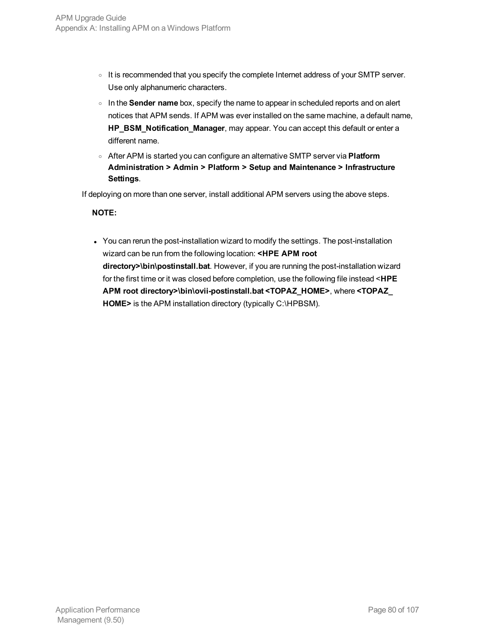- o It is recommended that you specify the complete Internet address of your SMTP server. Use only alphanumeric characters.
- <sup>o</sup> In the **Sender name** box, specify the name to appear in scheduled reports and on alert notices that APM sends. If APM was ever installed on the same machine, a default name, **HP\_BSM\_Notification\_Manager**, may appear. You can accept this default or enter a different name.
- <sup>o</sup> After APM is started you can configure an alternative SMTP server via **Platform Administration > Admin > Platform > Setup and Maintenance > Infrastructure Settings**.

If deploying on more than one server, install additional APM servers using the above steps.

#### **NOTE:**

• You can rerun the post-installation wizard to modify the settings. The post-installation wizard can be run from the following location: **<HPE APM root directory>\bin\postinstall.bat**. However, if you are running the post-installation wizard for the first time or it was closed before completion, use the following file instead <**HPE APM root directory>\bin\ovii-postinstall.bat <TOPAZ\_HOME>**, where **<TOPAZ\_ HOME>** is the APM installation directory (typically C:\HPBSM).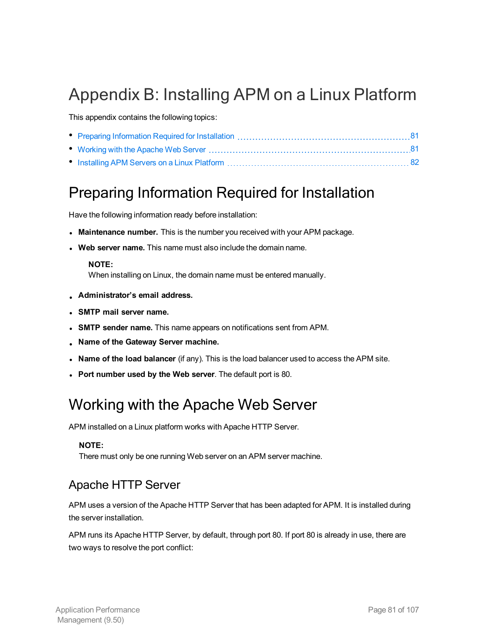## Appendix B: Installing APM on a Linux Platform

This appendix contains the following topics:

## <span id="page-80-0"></span>Preparing Information Required for Installation

Have the following information ready before installation:

- **Maintenance number.** This is the number you received with your APM package.
- <sup>l</sup> **Web server name.** This name must also include the domain name.

#### **NOTE:**

When installing on Linux, the domain name must be entered manually.

- <sup>l</sup> **Administrator's email address.**
- <sup>l</sup> **SMTP mail server name.**
- **SMTP sender name.** This name appears on notifications sent from APM.
- <sup>l</sup> **Name of the Gateway Server machine.**
- <sup>l</sup> **Name of the load balancer** (if any). This is the load balancer used to access the APM site.
- <span id="page-80-1"></span><sup>l</sup> **Port number used by the Web server**. The default port is 80.

## Working with the Apache Web Server

APM installed on a Linux platform works with Apache HTTP Server.

#### **NOTE:**

There must only be one running Web server on an APM server machine.

### Apache HTTP Server

APM uses a version of the Apache HTTP Server that has been adapted for APM. It is installed during the server installation.

APM runs its Apache HTTP Server, by default, through port 80. If port 80 is already in use, there are two ways to resolve the port conflict: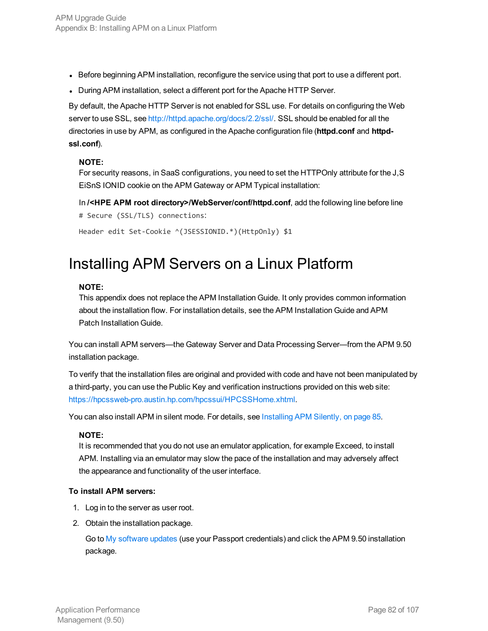- Before beginning APM installation, reconfigure the service using that port to use a different port.
- During APM installation, select a different port for the Apache HTTP Server.

By default, the Apache HTTP Server is not enabled for SSL use. For details on configuring the Web server to use SSL, see [http://httpd.apache.org/docs/2.2/ssl/.](http://httpd.apache.org/docs/2.2/ssl/) SSL should be enabled for all the directories in use by APM, as configured in the Apache configuration file (**httpd.conf** and **httpdssl.conf**).

#### **NOTE:**

For security reasons, in SaaS configurations, you need to set the HTTPOnly attribute for the J,S EiSnS IONID cookie on the APM Gateway or APM Typical installation:

In **/<HPE APM root directory>/WebServer/conf/httpd.conf**, add the following line before line # Secure (SSL/TLS) connections:

```
Header edit Set-Cookie ^(JSESSIONID.*)(HttpOnly) $1
```
## Installing APM Servers on a Linux Platform

#### **NOTE:**

This appendix does not replace the APM Installation Guide. It only provides common information about the installation flow. For installation details, see the APM Installation Guide and APM Patch Installation Guide.

You can install APM servers—the Gateway Server and Data Processing Server—from the APM 9.50 installation package.

To verify that the installation files are original and provided with code and have not been manipulated by a third-party, you can use the Public Key and verification instructions provided on this web site: <https://hpcssweb-pro.austin.hp.com/hpcssui/HPCSSHome.xhtml>.

You can also install APM in silent mode. For details, see Installing [APM Silently,](#page-84-0) on page 85.

#### **NOTE:**

It is recommended that you do not use an emulator application, for example Exceed, to install APM. Installing via an emulator may slow the pace of the installation and may adversely affect the appearance and functionality of the user interface.

#### **To install APM servers:**

- 1. Log in to the server as user root.
- 2. Obtain the installation package.

Go to My [software](https://h20575.www2.hpe.com/usbportal/softwareupdate.do) updates (use your Passport credentials) and click the APM 9.50 installation package.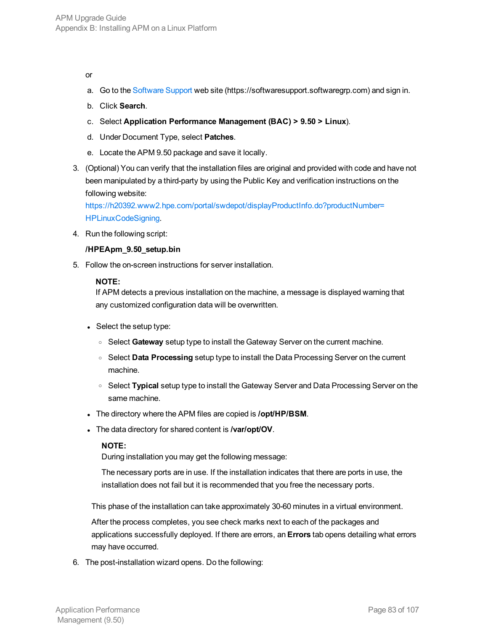#### or

- a. Go to the [Software](https://softwaresupport.softwaregrp.com/) Support web site (https://softwaresupport.softwaregrp.com) and sign in.
- b. Click **Search**.
- c. Select **Application Performance Management (BAC) > 9.50 > Linux**).
- d. Under Document Type, select **Patches**.
- e. Locate the APM 9.50 package and save it locally.
- 3. (Optional) You can verify that the installation files are original and provided with code and have not been manipulated by a third-party by using the Public Key and verification instructions on the following website:

[https://h20392.www2.hpe.com/portal/swdepot/displayProductInfo.do?productNumber=](https://h20392.www2.hp.com/portal/swdepot/displayProductInfo.do?productNumber=HPLinuxCodeSigning) HPLinuxCodeSigning.

4. Run the following script:

#### **/HPEApm\_9.50\_setup.bin**

5. Follow the on-screen instructions for server installation.

#### **NOTE:**

If APM detects a previous installation on the machine, a message is displayed warning that any customized configuration data will be overwritten.

- $\bullet$  Select the setup type:
	- <sup>o</sup> Select **Gateway** setup type to install the Gateway Server on the current machine.
	- <sup>o</sup> Select **Data Processing** setup type to install the Data Processing Server on the current machine.
	- <sup>o</sup> Select **Typical** setup type to install the Gateway Server and Data Processing Server on the same machine.
- . The directory where the APM files are copied is **/opt/HP/BSM**.
- . The data directory for shared content is **/var/opt/OV**.

#### **NOTE:**

During installation you may get the following message:

The necessary ports are in use. If the installation indicates that there are ports in use, the installation does not fail but it is recommended that you free the necessary ports.

This phase of the installation can take approximately 30-60 minutes in a virtual environment.

After the process completes, you see check marks next to each of the packages and applications successfully deployed. If there are errors, an **Errors** tab opens detailing what errors may have occurred.

6. The post-installation wizard opens. Do the following: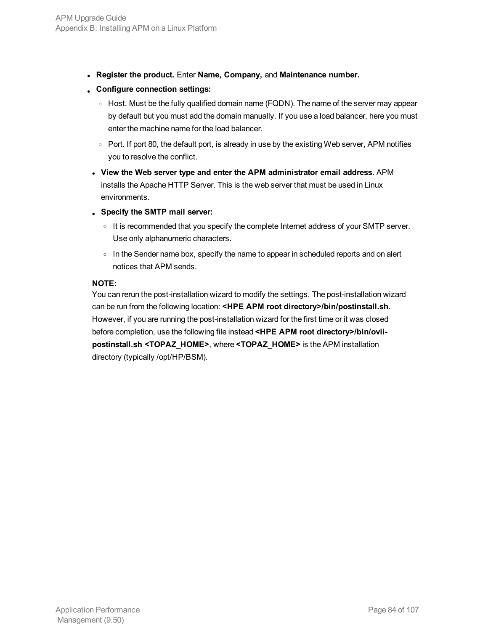- <sup>l</sup> **Register the product.** Enter **Name, Company,** and **Maintenance number.**
- <sup>l</sup> **Configure connection settings:**
	- $\circ$  Host. Must be the fully qualified domain name (FQDN). The name of the server may appear by default but you must add the domain manually. If you use a load balancer, here you must enter the machine name for the load balancer.
	- <sup>o</sup> Port. If port 80, the default port, is already in use by the existing Web server, APM notifies you to resolve the conflict.
- <sup>l</sup> **View the Web server type and enter the APM administrator email address.** APM installs the Apache HTTP Server. This is the web server that must be used in Linux environments.
- <sup>l</sup> **Specify the SMTP mail server:**
	- $\circ$  It is recommended that you specify the complete Internet address of your SMTP server. Use only alphanumeric characters.
	- $\circ$  In the Sender name box, specify the name to appear in scheduled reports and on alert notices that APM sends.

#### **NOTE:**

You can rerun the post-installation wizard to modify the settings. The post-installation wizard can be run from the following location: **<HPE APM root directory>/bin/postinstall.sh**. However, if you are running the post-installation wizard for the first time or it was closed before completion, use the following file instead **<HPE APM root directory>/bin/oviipostinstall.sh <TOPAZ\_HOME>**, where **<TOPAZ\_HOME>** is the APM installation directory (typically /opt/HP/BSM).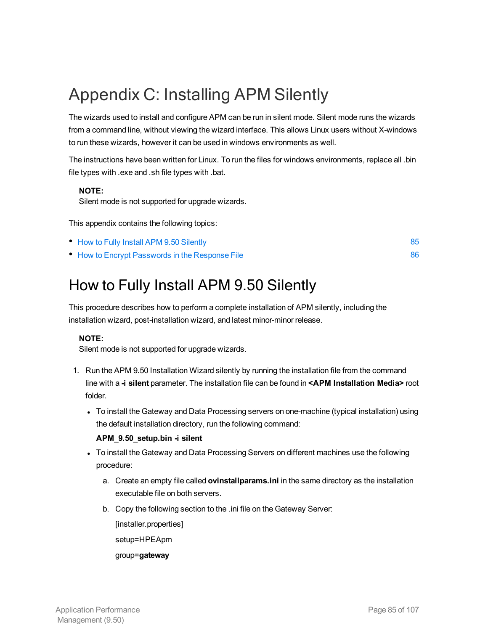## <span id="page-84-0"></span>Appendix C: Installing APM Silently

The wizards used to install and configure APM can be run in silent mode. Silent mode runs the wizards from a command line, without viewing the wizard interface. This allows Linux users without X-windows to run these wizards, however it can be used in windows environments as well.

The instructions have been written for Linux. To run the files for windows environments, replace all .bin file types with .exe and .sh file types with .bat.

#### **NOTE:**

Silent mode is not supported for upgrade wizards.

This appendix contains the following topics:

## <span id="page-84-1"></span>How to Fully Install APM 9.50 Silently

This procedure describes how to perform a complete installation of APM silently, including the installation wizard, post-installation wizard, and latest minor-minor release.

#### **NOTE:**

Silent mode is not supported for upgrade wizards.

- 1. Run the APM 9.50 Installation Wizard silently by running the installation file from the command line with a **-i silent** parameter. The installation file can be found in **<APM Installation Media>** root folder.
	- To install the Gateway and Data Processing servers on one-machine (typical installation) using the default installation directory, run the following command:

#### **APM\_9.50\_setup.bin -i silent**

- To install the Gateway and Data Processing Servers on different machines use the following procedure:
	- a. Create an empty file called **ovinstallparams.ini** in the same directory as the installation executable file on both servers.
	- b. Copy the following section to the .ini file on the Gateway Server:

[installer.properties]

setup=HPEApm

#### group=**gateway**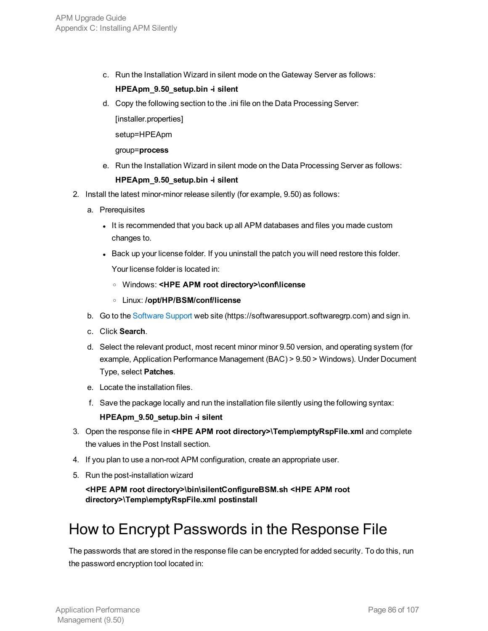c. Run the Installation Wizard in silent mode on the Gateway Server as follows:

#### **HPEApm\_9.50\_setup.bin -i silent**

d. Copy the following section to the .ini file on the Data Processing Server:

[installer.properties]

setup=HPEApm

group=**process**

e. Run the Installation Wizard in silent mode on the Data Processing Server as follows:

#### **HPEApm\_9.50\_setup.bin -i silent**

- 2. Install the latest minor-minor release silently (for example, 9.50) as follows:
	- a. Prerequisites
		- It is recommended that you back up all APM databases and files you made custom changes to.
		- Back up your license folder. If you uninstall the patch you will need restore this folder.

Your license folder is located in:

- <sup>o</sup> Windows: **<HPE APM root directory>\conf\license**
- <sup>o</sup> Linux: **/opt/HP/BSM/conf/license**
- b. Go to the [Software](https://softwaresupport.softwaregrp.com/) Support web site (https://softwaresupport.softwaregrp.com) and sign in.
- c. Click **Search**.
- d. Select the relevant product, most recent minor minor 9.50 version, and operating system (for example, Application Performance Management (BAC) > 9.50 > Windows). Under Document Type, select **Patches**.
- e. Locate the installation files.
- f. Save the package locally and run the installation file silently using the following syntax:

**HPEApm\_9.50\_setup.bin -i silent**

- 3. Open the response file in **<HPE APM root directory>\Temp\emptyRspFile.xml** and complete the values in the Post Install section.
- 4. If you plan to use a non-root APM configuration, create an appropriate user.
- 5. Run the post-installation wizard

**<HPE APM root directory>\bin\silentConfigureBSM.sh <HPE APM root directory>\Temp\emptyRspFile.xml postinstall**

## <span id="page-85-0"></span>How to Encrypt Passwords in the Response File

The passwords that are stored in the response file can be encrypted for added security. To do this, run the password encryption tool located in: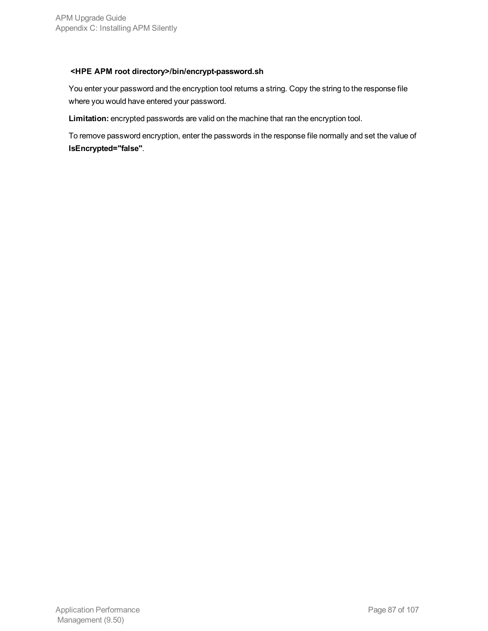#### **<HPE APM root directory>/bin/encrypt-password.sh**

You enter your password and the encryption tool returns a string. Copy the string to the response file where you would have entered your password.

**Limitation:** encrypted passwords are valid on the machine that ran the encryption tool.

To remove password encryption, enter the passwords in the response file normally and set the value of **IsEncrypted="false"**.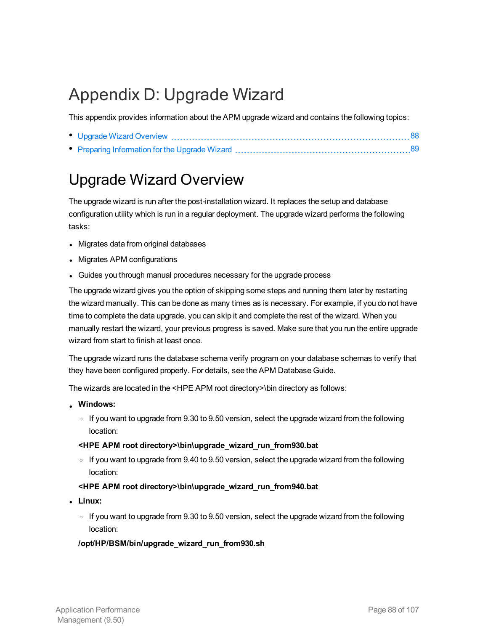## Appendix D: Upgrade Wizard

This appendix provides information about the APM upgrade wizard and contains the following topics:

## <span id="page-87-0"></span>Upgrade Wizard Overview

The upgrade wizard is run after the post-installation wizard. It replaces the setup and database configuration utility which is run in a regular deployment. The upgrade wizard performs the following tasks:

- Migrates data from original databases
- Migrates APM configurations
- Guides you through manual procedures necessary for the upgrade process

The upgrade wizard gives you the option of skipping some steps and running them later by restarting the wizard manually. This can be done as many times as is necessary. For example, if you do not have time to complete the data upgrade, you can skip it and complete the rest of the wizard. When you manually restart the wizard, your previous progress is saved. Make sure that you run the entire upgrade wizard from start to finish at least once.

The upgrade wizard runs the database schema verify program on your database schemas to verify that they have been configured properly. For details, see the APM Database Guide.

The wizards are located in the <HPE APM root directory>\bin directory as follows:

- **. Windows:** 
	- $\circ$  If you want to upgrade from 9.30 to 9.50 version, select the upgrade wizard from the following location:

#### **<HPE APM root directory>\bin\upgrade\_wizard\_run\_from930.bat**

o If you want to upgrade from 9.40 to 9.50 version, select the upgrade wizard from the following location:

#### **<HPE APM root directory>\bin\upgrade\_wizard\_run\_from940.bat**

- <sup>l</sup> **Linux:**
	- o If you want to upgrade from 9.30 to 9.50 version, select the upgrade wizard from the following location:

#### **/opt/HP/BSM/bin/upgrade\_wizard\_run\_from930.sh**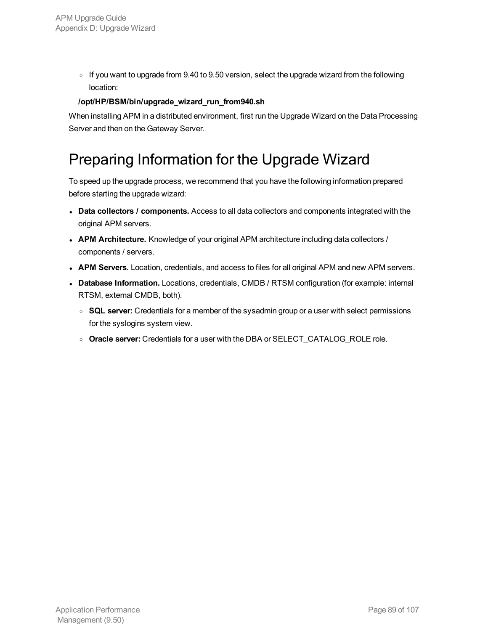$\circ$  If you want to upgrade from 9.40 to 9.50 version, select the upgrade wizard from the following location:

#### **/opt/HP/BSM/bin/upgrade\_wizard\_run\_from940.sh**

When installing APM in a distributed environment, first run the Upgrade Wizard on the Data Processing Server and then on the Gateway Server.

## <span id="page-88-0"></span>Preparing Information for the Upgrade Wizard

To speed up the upgrade process, we recommend that you have the following information prepared before starting the upgrade wizard:

- <sup>l</sup> **Data collectors / components.** Access to all data collectors and components integrated with the original APM servers.
- **APM Architecture.** Knowledge of your original APM architecture including data collectors / components / servers.
- **APM Servers.** Location, credentials, and access to files for all original APM and new APM servers.
- **· Database Information.** Locations, credentials, CMDB / RTSM configuration (for example: internal RTSM, external CMDB, both).
	- <sup>o</sup> **SQL server:** Credentials for a member of the sysadmin group or a user with select permissions for the syslogins system view.
	- <sup>o</sup> **Oracle server:** Credentials for a user with the DBA or SELECT\_CATALOG\_ROLE role.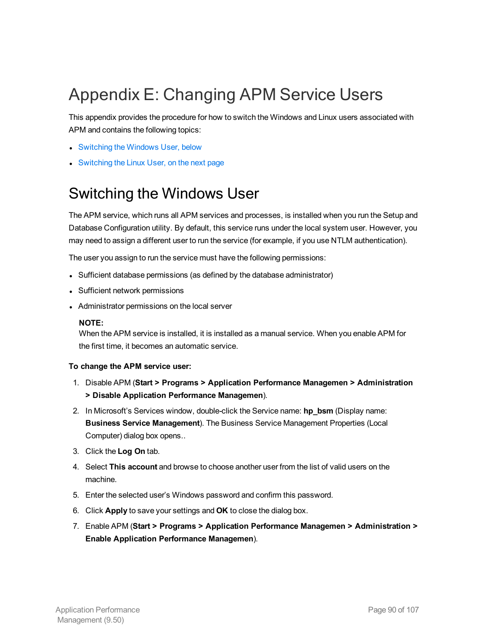## Appendix E: Changing APM Service Users

This appendix provides the procedure for how to switch the Windows and Linux users associated with APM and contains the following topics:

- [Switching](#page-89-0) the Windows User, below
- <span id="page-89-0"></span>• [Switching](#page-90-0) the Linux User, on the next page

## Switching the Windows User

The APM service, which runs all APM services and processes, is installed when you run the Setup and Database Configuration utility. By default, this service runs under the local system user. However, you may need to assign a different user to run the service (for example, if you use NTLM authentication).

The user you assign to run the service must have the following permissions:

- Sufficient database permissions (as defined by the database administrator)
- Sufficient network permissions
- Administrator permissions on the local server

#### **NOTE:**

When the APM service is installed, it is installed as a manual service. When you enable APM for the first time, it becomes an automatic service.

#### **To change the APM service user:**

- 1. Disable APM (**Start > Programs > Application Performance Managemen > Administration > Disable Application Performance Managemen**).
- 2. In Microsoft's Services window, double-click the Service name: **hp\_bsm** (Display name: **Business Service Management**). The Business Service Management Properties (Local Computer) dialog box opens..
- 3. Click the **Log On** tab.
- 4. Select **This account** and browse to choose another user from the list of valid users on the machine.
- 5. Enter the selected user's Windows password and confirm this password.
- 6. Click **Apply** to save your settings and **OK** to close the dialog box.
- 7. Enable APM (**Start > Programs > Application Performance Managemen > Administration > Enable Application Performance Managemen**).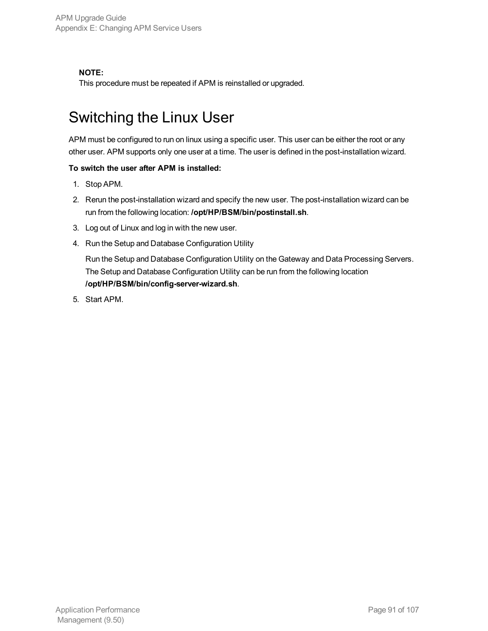#### **NOTE:**

<span id="page-90-0"></span>This procedure must be repeated if APM is reinstalled or upgraded.

## Switching the Linux User

APM must be configured to run on linux using a specific user. This user can be either the root or any other user. APM supports only one user at a time. The user is defined in the post-installation wizard.

#### **To switch the user after APM is installed:**

- 1. Stop APM.
- 2. Rerun the post-installation wizard and specify the new user. The post-installation wizard can be run from the following location: **/opt/HP/BSM/bin/postinstall.sh**.
- 3. Log out of Linux and log in with the new user.
- 4. Run the Setup and Database Configuration Utility

Run the Setup and Database Configuration Utility on the Gateway and Data Processing Servers. The Setup and Database Configuration Utility can be run from the following location **/opt/HP/BSM/bin/config-server-wizard.sh**.

5. Start APM.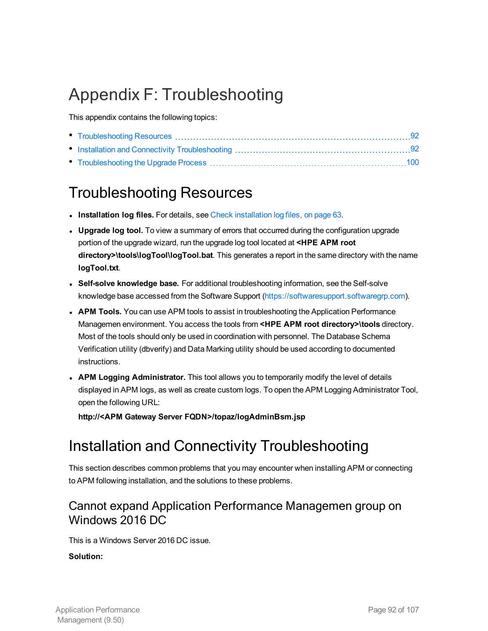## Appendix F: Troubleshooting

This appendix contains the following topics:

## <span id="page-91-0"></span>Troubleshooting Resources

- **Installation log files.** For details, see Check [installation](#page-62-0) log files, on page 63.
- **Upgrade log tool.** To view a summary of errors that occurred during the configuration upgrade portion of the upgrade wizard, run the upgrade log tool located at **<HPE APM root directory>\tools\logTool\logTool.bat**. This generates a report in the same directory with the name **logTool.txt**.
- <sup>l</sup> **Self-solve knowledge base.** For additional troubleshooting information, see the Self-solve knowledge base accessed from the Software Support [\(https://softwaresupport.softwaregrp.com](https://softwaresupport.softwaregrp.com/)).
- **APM Tools.** You can use APM tools to assist in troubleshooting the Application Performance Managemen environment. You access the tools from **<HPE APM root directory>\tools** directory. Most of the tools should only be used in coordination with personnel. The Database Schema Verification utility (dbverify) and Data Marking utility should be used according to documented instructions.
- <sup>l</sup> **APM Logging Administrator.** This tool allows you to temporarily modify the level of details displayed in APM logs, as well as create custom logs. To open the APM Logging Administrator Tool, open the following URL:

<span id="page-91-1"></span>**http://<APM Gateway Server FQDN>/topaz/logAdminBsm.jsp**

## Installation and Connectivity Troubleshooting

This section describes common problems that you may encounter when installing APM or connecting to APM following installation, and the solutions to these problems.

### Cannot expand Application Performance Managemen group on Windows 2016 DC

This is a Windows Server 2016 DC issue.

#### **Solution:**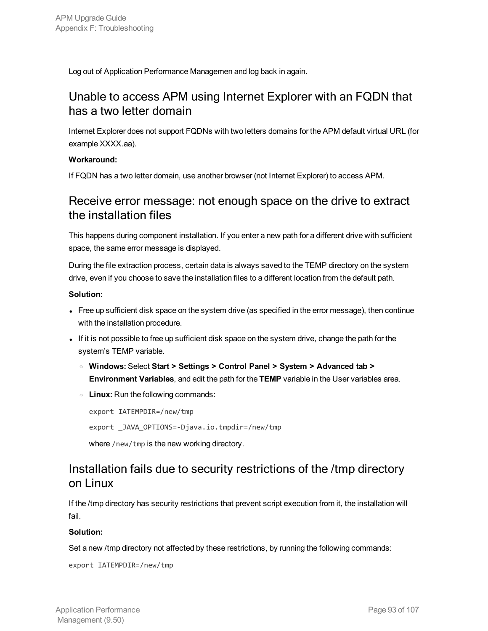Log out of Application Performance Managemen and log back in again.

### Unable to access APM using Internet Explorer with an FQDN that has a two letter domain

Internet Explorer does not support FQDNs with two letters domains for the APM default virtual URL (for example XXXX.aa).

#### **Workaround:**

If FQDN has a two letter domain, use another browser (not Internet Explorer) to access APM.

### Receive error message: not enough space on the drive to extract the installation files

This happens during component installation. If you enter a new path for a different drive with sufficient space, the same error message is displayed.

During the file extraction process, certain data is always saved to the TEMP directory on the system drive, even if you choose to save the installation files to a different location from the default path.

#### **Solution:**

- Free up sufficient disk space on the system drive (as specified in the error message), then continue with the installation procedure.
- If it is not possible to free up sufficient disk space on the system drive, change the path for the system's TEMP variable.
	- <sup>o</sup> **Windows:** Select **Start > Settings > Control Panel > System > Advanced tab > Environment Variables**, and edit the path for the **TEMP** variable in the User variables area.
	- <sup>o</sup> **Linux:** Run the following commands:

```
export IATEMPDIR=/new/tmp
export _JAVA_OPTIONS=-Djava.io.tmpdir=/new/tmp
where /new/tmp is the new working directory.
```
### Installation fails due to security restrictions of the /tmp directory on Linux

If the /tmp directory has security restrictions that prevent script execution from it, the installation will fail.

#### **Solution:**

Set a new /tmp directory not affected by these restrictions, by running the following commands:

export IATEMPDIR=/new/tmp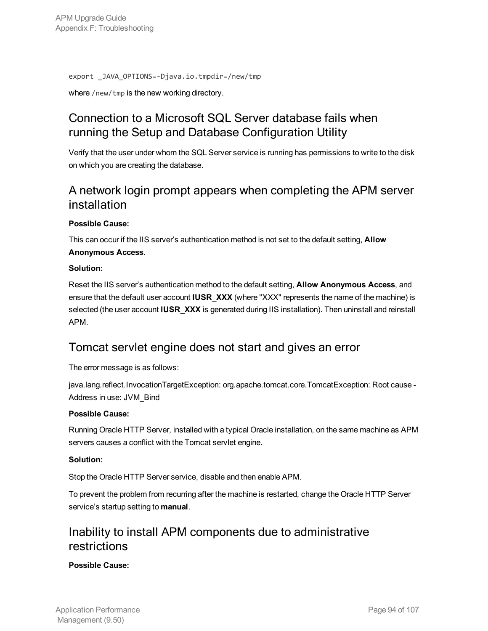export \_JAVA\_OPTIONS=-Djava.io.tmpdir=/new/tmp

where /new/tmp is the new working directory.

### Connection to a Microsoft SQL Server database fails when running the Setup and Database Configuration Utility

Verify that the user under whom the SQL Server service is running has permissions to write to the disk on which you are creating the database.

### A network login prompt appears when completing the APM server installation

#### **Possible Cause:**

This can occur if the IIS server's authentication method is not set to the default setting, **Allow Anonymous Access**.

#### **Solution:**

Reset the IIS server's authentication method to the default setting, **Allow Anonymous Access**, and ensure that the default user account **IUSR\_XXX** (where "XXX" represents the name of the machine) is selected (the user account **IUSR\_XXX** is generated during IIS installation). Then uninstall and reinstall APM.

### Tomcat servlet engine does not start and gives an error

The error message is as follows:

java.lang.reflect.InvocationTargetException: org.apache.tomcat.core.TomcatException: Root cause -Address in use: JVM\_Bind

#### **Possible Cause:**

Running Oracle HTTP Server, installed with a typical Oracle installation, on the same machine as APM servers causes a conflict with the Tomcat servlet engine.

#### **Solution:**

Stop the Oracle HTTP Server service, disable and then enable APM.

To prevent the problem from recurring after the machine is restarted, change the Oracle HTTP Server service's startup setting to **manual**.

### Inability to install APM components due to administrative restrictions

#### **Possible Cause:**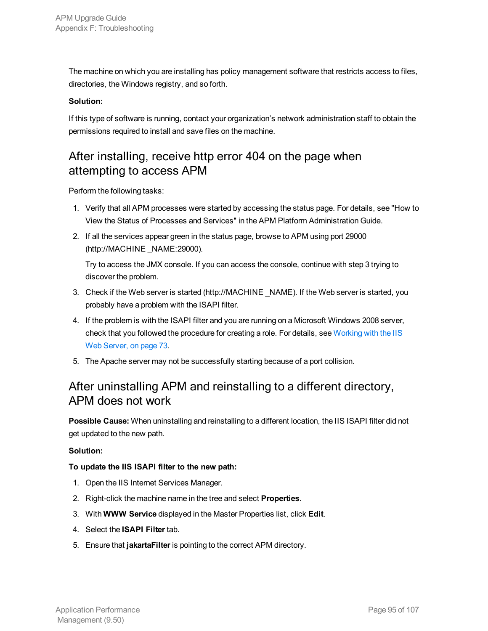The machine on which you are installing has policy management software that restricts access to files, directories, the Windows registry, and so forth.

#### **Solution:**

If this type of software is running, contact your organization's network administration staff to obtain the permissions required to install and save files on the machine.

### After installing, receive http error 404 on the page when attempting to access APM

Perform the following tasks:

- 1. Verify that all APM processes were started by accessing the status page. For details, see "How to View the Status of Processes and Services" in the APM Platform Administration Guide.
- 2. If all the services appear green in the status page, browse to APM using port 29000 (http://MACHINE \_NAME:29000).

Try to access the JMX console. If you can access the console, continue with step 3 trying to discover the problem.

- 3. Check if the Web server is started (http://MACHINE \_NAME). If the Web server is started, you probably have a problem with the ISAPI filter.
- 4. If the problem is with the ISAPI filter and you are running on a Microsoft Windows 2008 server, check that you followed the procedure for creating a role. For details, see [Working](#page-72-0) with the IIS Web [Server,](#page-72-0) on page 73.
- 5. The Apache server may not be successfully starting because of a port collision.

### After uninstalling APM and reinstalling to a different directory, APM does not work

**Possible Cause:** When uninstalling and reinstalling to a different location, the IIS ISAPI filter did not get updated to the new path.

#### **Solution:**

#### **To update the IIS ISAPI filter to the new path:**

- 1. Open the IIS Internet Services Manager.
- 2. Right-click the machine name in the tree and select **Properties**.
- 3. With **WWW Service** displayed in the Master Properties list, click **Edit**.
- 4. Select the **ISAPI Filter** tab.
- 5. Ensure that **jakartaFilter** is pointing to the correct APM directory.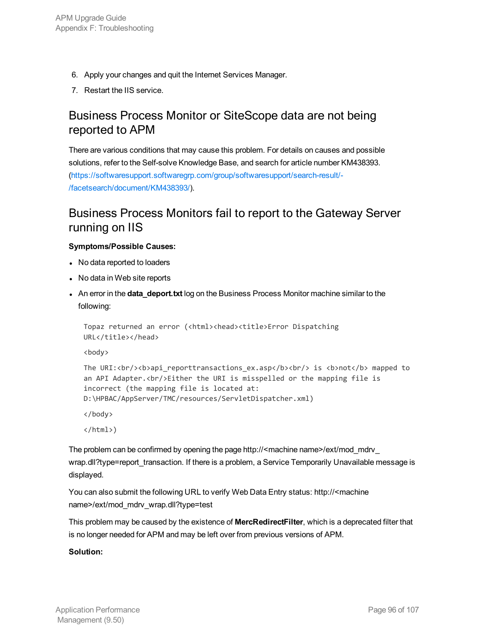- 6. Apply your changes and quit the Internet Services Manager.
- 7. Restart the IIS service.

### Business Process Monitor or SiteScope data are not being reported to APM

There are various conditions that may cause this problem. For details on causes and possible solutions, refer to the Self-solve Knowledge Base, and search for article number KM438393. [\(https://softwaresupport.softwaregrp.com/group/softwaresupport/search-result/-](https://softwaresupport.softwaregrp.com/group/softwaresupport/search-result/-/facetsearch/document/KM438393/) [/facetsearch/document/KM438393/](https://softwaresupport.softwaregrp.com/group/softwaresupport/search-result/-/facetsearch/document/KM438393/)).

### Business Process Monitors fail to report to the Gateway Server running on IIS

#### **Symptoms/Possible Causes:**

- No data reported to loaders
- No data in Web site reports
- **An error in the data\_deport.txt** log on the Business Process Monitor machine similar to the following:

```
Topaz returned an error (<html><head><title>Error Dispatching
URL</title></head>
```
<br/>body> <br/> <br/> <br/> <br/> <br/> <br/> <br/> <br/> <br/> <br/> <br/> <br/> <br/> <br/> <br/> <br/> <br/> <br/> <br/> <br/> <br/> <br/> <br/> <br/> <br/> <br/> <br/> <br/> <br/> <br/> <br/> <br/> <br/> <br/> <br/> <

```
The URI:<br/>kbr/>>>>>>>b_reporttransactions_ex.asp</b><br/>>br/>is <br/>b>not</b> mapped to
an API Adapter.<br/>kbr/>Either the URI is misspelled or the mapping file is
incorrect (the mapping file is located at:
D:\HPBAC/AppServer/TMC/resources/ServletDispatcher.xml)
```

```
</body>
```
</html>)

The problem can be confirmed by opening the page http://<machine name>/ext/mod\_mdrv\_ wrap.dll?type=report\_transaction. If there is a problem, a Service Temporarily Unavailable message is displayed.

You can also submit the following URL to verify Web Data Entry status: http://<machine name>/ext/mod\_mdrv\_wrap.dll?type=test

This problem may be caused by the existence of **MercRedirectFilter**, which is a deprecated filter that is no longer needed for APM and may be left over from previous versions of APM.

#### **Solution:**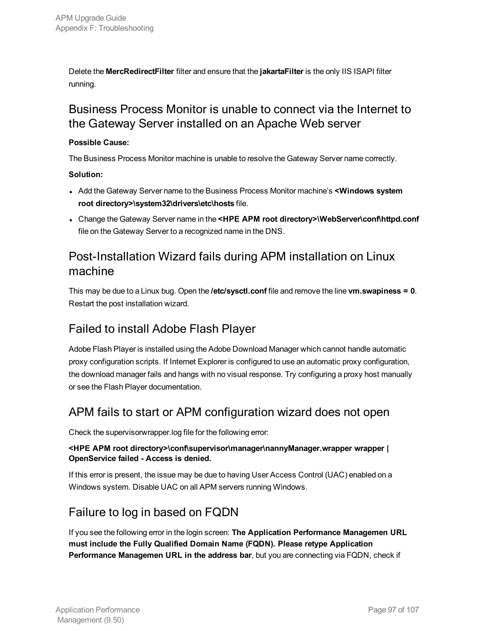Delete the **MercRedirectFilter** filter and ensure that the **jakartaFilter** is the only IIS ISAPI filter running.

### Business Process Monitor is unable to connect via the Internet to the Gateway Server installed on an Apache Web server

#### **Possible Cause:**

The Business Process Monitor machine is unable to resolve the Gateway Server name correctly.

#### **Solution:**

- <sup>l</sup> Add the Gateway Server name to the Business Process Monitor machine's **<Windows system root directory>\system32\drivers\etc\hosts** file.
- <sup>l</sup> Change the Gateway Server name in the **<HPE APM root directory>\WebServer\conf\httpd.conf** file on the Gateway Server to a recognized name in the DNS.

### Post-Installation Wizard fails during APM installation on Linux machine

This may be due to a Linux bug. Open the **/etc/sysctl.conf** file and remove the line **vm.swapiness = 0**. Restart the post installation wizard.

### Failed to install Adobe Flash Player

Adobe Flash Player is installed using the Adobe Download Manager which cannot handle automatic proxy configuration scripts. If Internet Explorer is configured to use an automatic proxy configuration, the download manager fails and hangs with no visual response. Try configuring a proxy host manually or see the Flash Player documentation.

### APM fails to start or APM configuration wizard does not open

Check the supervisorwrapper.log file for the following error:

#### **<HPE APM root directory>\conf\supervisor\manager\nannyManager.wrapper wrapper | OpenService failed - Access is denied.**

If this error is present, the issue may be due to having User Access Control (UAC) enabled on a Windows system. Disable UAC on all APM servers running Windows.

### Failure to log in based on FQDN

If you see the following error in the login screen: **The Application Performance Managemen URL must include the Fully Qualified Domain Name (FQDN). Please retype Application Performance Managemen URL in the address bar**, but you are connecting via FQDN, check if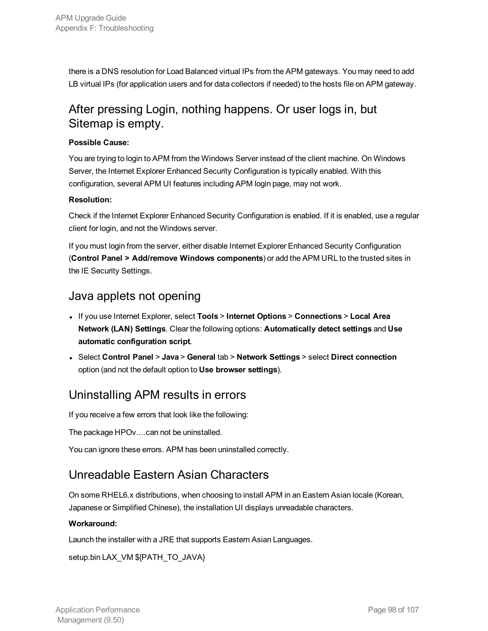there is a DNS resolution for Load Balanced virtual IPs from the APM gateways. You may need to add LB virtual IPs (for application users and for data collectors if needed) to the hosts file on APM gateway.

### After pressing Login, nothing happens. Or user logs in, but Sitemap is empty.

#### **Possible Cause:**

You are trying to login to APM from the Windows Server instead of the client machine. On Windows Server, the Internet Explorer Enhanced Security Configuration is typically enabled. With this configuration, several APM UI features including APM login page, may not work.

#### **Resolution:**

Check if the Internet Explorer Enhanced Security Configuration is enabled. If it is enabled, use a regular client for login, and not the Windows server.

If you must login from the server, either disable Internet Explorer Enhanced Security Configuration (**Control Panel > Add/remove Windows components**) or add the APM URL to the trusted sites in the IE Security Settings.

### Java applets not opening

- <sup>l</sup> If you use Internet Explorer, select **Tools** > **Internet Options** > **Connections** > **Local Area Network (LAN) Settings**. Clear the following options: **Automatically detect settings** and **Use automatic configuration script**.
- <sup>l</sup> Select **Control Panel** > **Java** > **General** tab > **Network Settings** > select **Direct connection** option (and not the default option to **Use browser settings**).

### Uninstalling APM results in errors

If you receive a few errors that look like the following:

The package HPOv....can not be uninstalled.

You can ignore these errors. APM has been uninstalled correctly.

### Unreadable Eastern Asian Characters

On some RHEL6.x distributions, when choosing to install APM in an Eastern Asian locale (Korean, Japanese or Simplified Chinese), the installation UI displays unreadable characters.

#### **Workaround:**

Launch the installer with a JRE that supports Eastern Asian Languages.

setup.bin LAX\_VM \${PATH\_TO\_JAVA}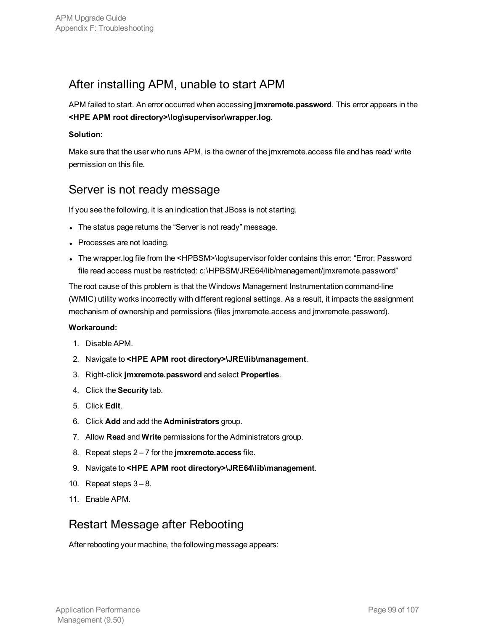### After installing APM, unable to start APM

APM failed to start. An error occurred when accessing **jmxremote.password**. This error appears in the **<HPE APM root directory>\log\supervisor\wrapper.log**.

#### **Solution:**

Make sure that the user who runs APM, is the owner of the jmxremote.access file and has read/ write permission on this file.

### Server is not ready message

If you see the following, it is an indication that JBoss is not starting.

- The status page returns the "Server is not ready" message.
- Processes are not loading.
- The wrapper.log file from the <HPBSM>\log\supervisor folder contains this error: "Error: Password file read access must be restricted: c:\HPBSM/JRE64/lib/management/jmxremote.password"

The root cause of this problem is that the Windows Management Instrumentation command-line (WMIC) utility works incorrectly with different regional settings. As a result, it impacts the assignment mechanism of ownership and permissions (files jmxremote.access and jmxremote.password).

#### **Workaround:**

- 1. Disable APM.
- 2. Navigate to **<HPE APM root directory>\JRE\lib\management**.
- 3. Right-click **jmxremote.password** and select **Properties**.
- 4. Click the **Security** tab.
- 5. Click **Edit**.
- 6. Click **Add** and add the **Administrators** group.
- 7. Allow **Read** and **Write** permissions for the Administrators group.
- 8. Repeat steps 2 7 for the **jmxremote.access** file.
- 9. Navigate to **<HPE APM root directory>\JRE64\lib\management**.
- 10. Repeat steps  $3-8$ .
- 11. Enable APM.

### Restart Message after Rebooting

After rebooting your machine, the following message appears: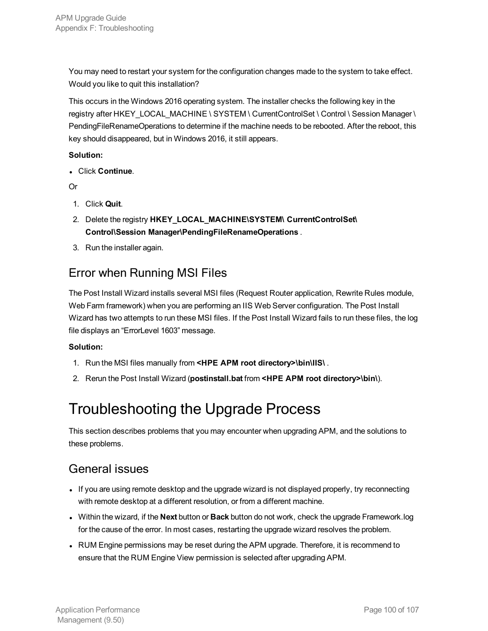You may need to restart your system for the configuration changes made to the system to take effect. Would you like to quit this installation?

This occurs in the Windows 2016 operating system. The installer checks the following key in the registry after HKEY\_LOCAL\_MACHINE \ SYSTEM \ CurrentControlSet \ Control \ Session Manager \ PendingFileRenameOperations to determine if the machine needs to be rebooted. After the reboot, this key should disappeared, but in Windows 2016, it still appears.

#### **Solution:**

<sup>l</sup> Click **Continue**.

Or

- 1. Click **Quit**.
- 2. Delete the registry **HKEY\_LOCAL\_MACHINE\SYSTEM\ CurrentControlSet\ Control\Session Manager\PendingFileRenameOperations** .
- 3. Run the installer again.

### Error when Running MSI Files

The Post Install Wizard installs several MSI files (Request Router application, Rewrite Rules module, Web Farm framework) when you are performing an IIS Web Server configuration. The Post Install Wizard has two attempts to run these MSI files. If the Post Install Wizard fails to run these files, the log file displays an "ErrorLevel 1603" message.

#### **Solution:**

- 1. Run the MSI files manually from **<HPE APM root directory>\bin\IIS\** .
- <span id="page-99-0"></span>2. Rerun the Post Install Wizard (**postinstall.bat** from **<HPE APM root directory>\bin\**).

## Troubleshooting the Upgrade Process

This section describes problems that you may encounter when upgrading APM, and the solutions to these problems.

### General issues

- If you are using remote desktop and the upgrade wizard is not displayed properly, try reconnecting with remote desktop at a different resolution, or from a different machine.
- <sup>l</sup> Within the wizard, if the **Next** button or **Back** button do not work, check the upgrade Framework.log for the cause of the error. In most cases, restarting the upgrade wizard resolves the problem.
- RUM Engine permissions may be reset during the APM upgrade. Therefore, it is recommend to ensure that the RUM Engine View permission is selected after upgrading APM.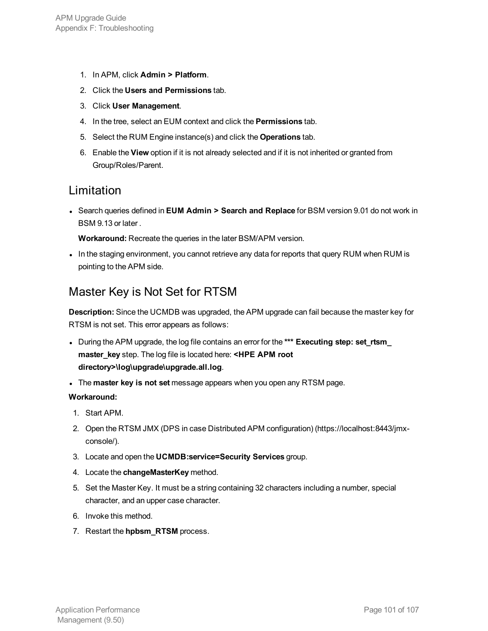- 1. In APM, click **Admin > Platform**.
- 2. Click the **Users and Permissions** tab.
- 3. Click **User Management**.
- 4. In the tree, select an EUM context and click the **Permissions** tab.
- 5. Select the RUM Engine instance(s) and click the **Operations** tab.
- 6. Enable the **View** option if it is not already selected and if it is not inherited or granted from Group/Roles/Parent.

### Limitation

<sup>l</sup> Search queries defined in **EUM Admin > Search and Replace** for BSM version 9.01 do not work in BSM 9.13 or later .

**Workaround:** Recreate the queries in the later BSM/APM version.

In the staging environment, you cannot retrieve any data for reports that query RUM when RUM is pointing to the APM side.

### Master Key is Not Set for RTSM

**Description:** Since the UCMDB was upgraded, the APM upgrade can fail because the master key for RTSM is not set. This error appears as follows:

- <sup>l</sup> During the APM upgrade, the log file contains an error for the **\*\*\* Executing step: set\_rtsm\_ master\_key** step. The log file is located here: **<HPE APM root directory>\log\upgrade\upgrade.all.log**.
- <sup>l</sup> The **master key is not set** message appears when you open any RTSM page.

#### **Workaround:**

- 1. Start APM.
- 2. Open the RTSM JMX (DPS in case Distributed APM configuration) (https://localhost:8443/jmxconsole/).
- 3. Locate and open the **UCMDB:service=Security Services** group.
- 4. Locate the **changeMasterKey** method.
- 5. Set the Master Key. It must be a string containing 32 characters including a number, special character, and an upper case character.
- 6. Invoke this method.
- 7. Restart the **hpbsm\_RTSM** process.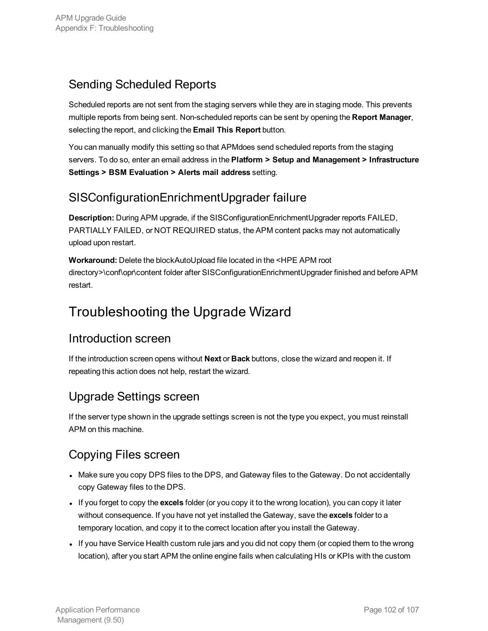### Sending Scheduled Reports

Scheduled reports are not sent from the staging servers while they are in staging mode. This prevents multiple reports from being sent. Non-scheduled reports can be sent by opening the **Report Manager**, selecting the report, and clicking the **Email This Report** button.

You can manually modify this setting so that APMdoes send scheduled reports from the staging servers. To do so, enter an email address in the **Platform > Setup and Management > Infrastructure Settings > BSM Evaluation > Alerts mail address** setting.

### SISConfigurationEnrichmentUpgrader failure

**Description:** During APM upgrade, if the SISConfigurationEnrichmentUpgrader reports FAILED, PARTIALLY FAILED, or NOT REQUIRED status, the APM content packs may not automatically upload upon restart.

**Workaround:** Delete the blockAutoUpload file located in the <HPE APM root directory>\conf\opr\content folder after SISConfigurationEnrichmentUpgrader finished and before APM restart.

## Troubleshooting the Upgrade Wizard

### Introduction screen

If the introduction screen opens without **Next** or **Back** buttons, close the wizard and reopen it. If repeating this action does not help, restart the wizard.

### Upgrade Settings screen

If the server type shown in the upgrade settings screen is not the type you expect, you must reinstall APM on this machine.

### Copying Files screen

- Make sure you copy DPS files to the DPS, and Gateway files to the Gateway. Do not accidentally copy Gateway files to the DPS.
- If you forget to copy the **excels** folder (or you copy it to the wrong location), you can copy it later without consequence. If you have not yet installed the Gateway, save the **excels** folder to a temporary location, and copy it to the correct location after you install the Gateway.
- If you have Service Health custom rule jars and you did not copy them (or copied them to the wrong location), after you start APM the online engine fails when calculating HIs or KPIs with the custom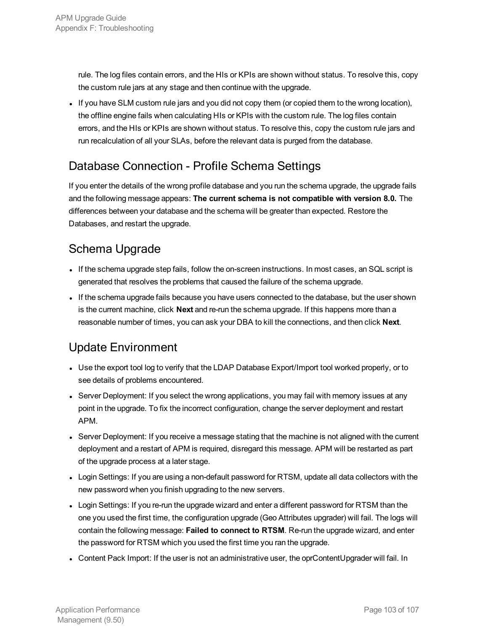rule. The log files contain errors, and the HIs or KPIs are shown without status. To resolve this, copy the custom rule jars at any stage and then continue with the upgrade.

If you have SLM custom rule jars and you did not copy them (or copied them to the wrong location), the offline engine fails when calculating HIs or KPIs with the custom rule. The log files contain errors, and the HIs or KPIs are shown without status. To resolve this, copy the custom rule jars and run recalculation of all your SLAs, before the relevant data is purged from the database.

### Database Connection - Profile Schema Settings

If you enter the details of the wrong profile database and you run the schema upgrade, the upgrade fails and the following message appears: **The current schema is not compatible with version 8.0.** The differences between your database and the schema will be greater than expected. Restore the Databases, and restart the upgrade.

### Schema Upgrade

- If the schema upgrade step fails, follow the on-screen instructions. In most cases, an SQL script is generated that resolves the problems that caused the failure of the schema upgrade.
- If the schema upgrade fails because you have users connected to the database, but the user shown is the current machine, click **Next** and re-run the schema upgrade. If this happens more than a reasonable number of times, you can ask your DBA to kill the connections, and then click **Next**.

### Update Environment

- Use the export tool log to verify that the LDAP Database Export/Import tool worked properly, or to see details of problems encountered.
- Server Deployment: If you select the wrong applications, you may fail with memory issues at any point in the upgrade. To fix the incorrect configuration, change the server deployment and restart APM.
- Server Deployment: If you receive a message stating that the machine is not aligned with the current deployment and a restart of APM is required, disregard this message. APM will be restarted as part of the upgrade process at a later stage.
- Login Settings: If you are using a non-default password for RTSM, update all data collectors with the new password when you finish upgrading to the new servers.
- Login Settings: If you re-run the upgrade wizard and enter a different password for RTSM than the one you used the first time, the configuration upgrade (Geo Attributes upgrader) will fail. The logs will contain the following message: **Failed to connect to RTSM**. Re-run the upgrade wizard, and enter the password for RTSM which you used the first time you ran the upgrade.
- Content Pack Import: If the user is not an administrative user, the oprContentUpgrader will fail. In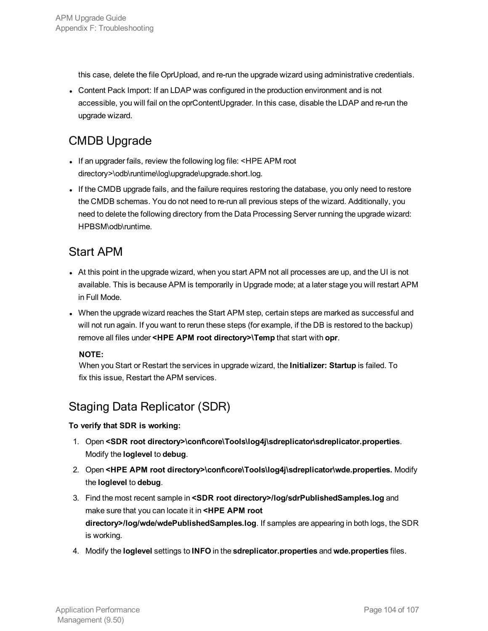this case, delete the file OprUpload, and re-run the upgrade wizard using administrative credentials.

• Content Pack Import: If an LDAP was configured in the production environment and is not accessible, you will fail on the oprContentUpgrader. In this case, disable the LDAP and re-run the upgrade wizard.

### CMDB Upgrade

- If an upgrader fails, review the following log file: <HPE APM root directory>\odb\runtime\log\upgrade\upgrade.short.log.
- If the CMDB upgrade fails, and the failure requires restoring the database, you only need to restore the CMDB schemas. You do not need to re-run all previous steps of the wizard. Additionally, you need to delete the following directory from the Data Processing Server running the upgrade wizard: HPBSM\odb\runtime.

### Start APM

- At this point in the upgrade wizard, when you start APM not all processes are up, and the UI is not available. This is because APM is temporarily in Upgrade mode; at a later stage you will restart APM in Full Mode.
- When the upgrade wizard reaches the Start APM step, certain steps are marked as successful and will not run again. If you want to rerun these steps (for example, if the DB is restored to the backup) remove all files under **<HPE APM root directory>\Temp** that start with **opr**.

#### **NOTE:**

When you Start or Restart the services in upgrade wizard, the **Initializer: Startup** is failed. To fix this issue, Restart the APM services.

### Staging Data Replicator (SDR)

#### **To verify that SDR is working:**

- 1. Open **<SDR root directory>\conf\core\Tools\log4j\sdreplicator\sdreplicator.properties**. Modify the **loglevel** to **debug**.
- 2. Open **<HPE APM root directory>\conf\core\Tools\log4j\sdreplicator\wde.properties.** Modify the **loglevel** to **debug**.
- 3. Find the most recent sample in **<SDR root directory>/log/sdrPublishedSamples.log** and make sure that you can locate it in **<HPE APM root directory>/log/wde/wdePublishedSamples.log**. If samples are appearing in both logs, the SDR is working.
- 4. Modify the **loglevel** settings to **INFO** in the **sdreplicator.properties** and **wde.properties** files.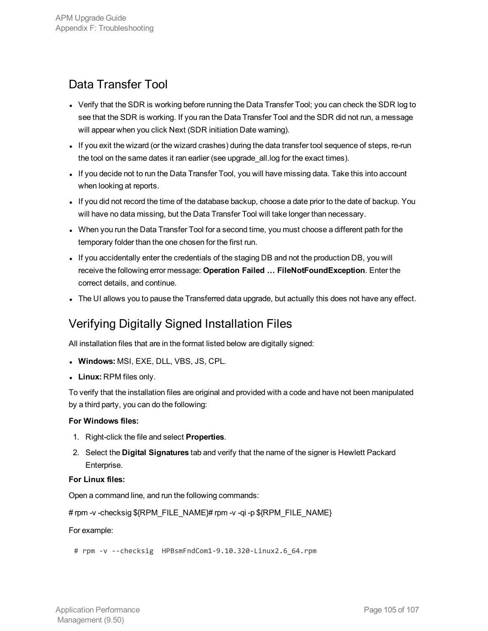### Data Transfer Tool

- Verify that the SDR is working before running the Data Transfer Tool; you can check the SDR log to see that the SDR is working. If you ran the Data Transfer Tool and the SDR did not run, a message will appear when you click Next (SDR initiation Date warning).
- If you exit the wizard (or the wizard crashes) during the data transfer tool sequence of steps, re-run the tool on the same dates it ran earlier (see upgrade\_all.log for the exact times).
- If you decide not to run the Data Transfer Tool, you will have missing data. Take this into account when looking at reports.
- If you did not record the time of the database backup, choose a date prior to the date of backup. You will have no data missing, but the Data Transfer Tool will take longer than necessary.
- When you run the Data Transfer Tool for a second time, you must choose a different path for the temporary folder than the one chosen for the first run.
- <sup>l</sup> If you accidentally enter the credentials of the staging DB and not the production DB, you will receive the following error message: **Operation Failed … FileNotFoundException**. Enter the correct details, and continue.
- The UI allows you to pause the Transferred data upgrade, but actually this does not have any effect.

### Verifying Digitally Signed Installation Files

All installation files that are in the format listed below are digitally signed:

- **Windows: MSI, EXE, DLL, VBS, JS, CPL.**
- **Linux: RPM files only.**

To verify that the installation files are original and provided with a code and have not been manipulated by a third party, you can do the following:

#### **For Windows files:**

- 1. Right-click the file and select **Properties**.
- 2. Select the **Digital Signatures** tab and verify that the name of the signer is Hewlett Packard Enterprise.

#### **For Linux files:**

Open a command line, and run the following commands:

# rpm -v -checksig \${RPM\_FILE\_NAME}# rpm -v -qi -p \${RPM\_FILE\_NAME}

#### For example:

```
# rpm -v --checksig HPBsmFndCom1-9.10.320-Linux2.6_64.rpm
```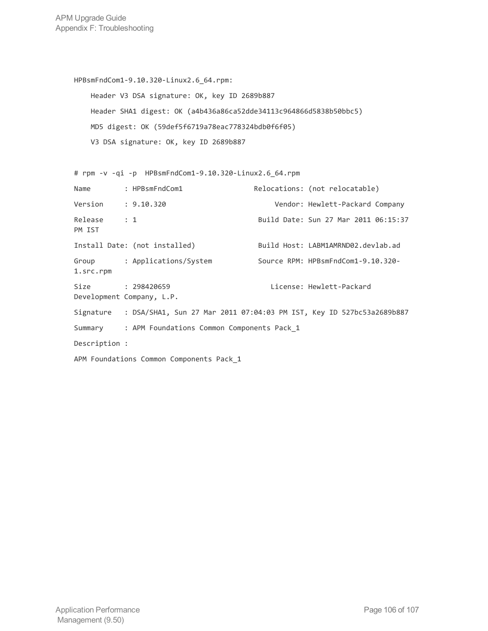APM Upgrade Guide Appendix F: Troubleshooting

```
HPBsmFndCom1-9.10.320-Linux2.6_64.rpm:
   Header V3 DSA signature: OK, key ID 2689b887
   Header SHA1 digest: OK (a4b436a86ca52dde34113c964866d5838b50bbc5)
   MD5 digest: OK (59def5f6719a78eac778324bdb0f6f05)
   V3 DSA signature: OK, key ID 2689b887
# rpm -v -qi -p HPBsmFndCom1-9.10.320-Linux2.6_64.rpm
Name : HPBsmFndCom1 Relocations: (not relocatable)
Version : 9.10.320 Vendor: Hewlett-Packard Company
Release : 1 Build Date: Sun 27 Mar 2011 06:15:37
PM IST
Install Date: (not installed) Build Host: LABM1AMRND02.devlab.ad
Group : Applications/System Source RPM: HPBsmFndCom1-9.10.320-
1.src.rpm
Size : 298420659 License: Hewlett-Packard
Development Company, L.P.
Signature : DSA/SHA1, Sun 27 Mar 2011 07:04:03 PM IST, Key ID 527bc53a2689b887
Summary : APM Foundations Common Components Pack_1
Description :
APM Foundations Common Components Pack_1
```